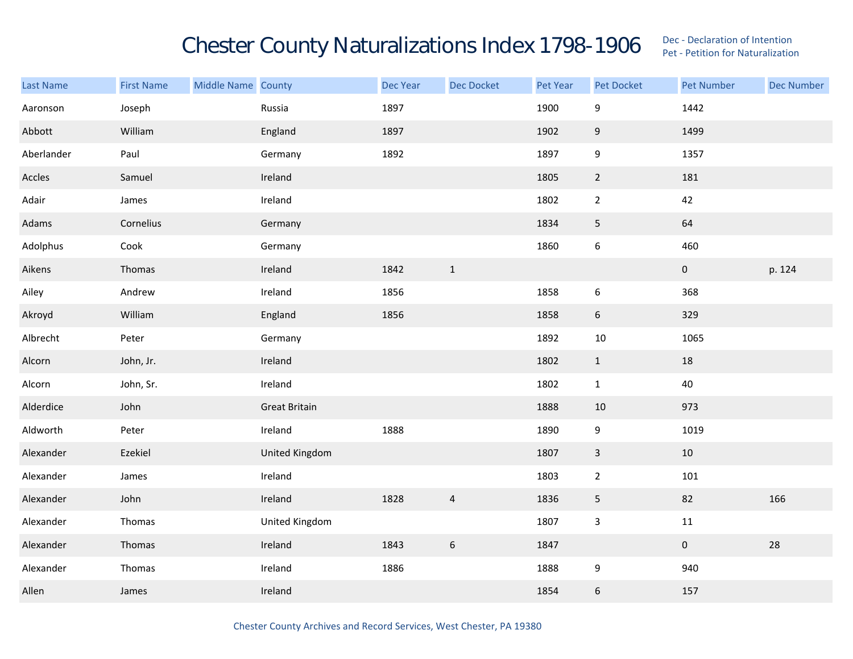## Chester County Naturalizations Index 1798-1906 Dec - Declaration of Intention Contention

| Last Name  | <b>First Name</b> | Middle Name County |                      | Dec Year | Dec Docket     | Pet Year | Pet Docket       | <b>Pet Number</b> | <b>Dec Number</b> |
|------------|-------------------|--------------------|----------------------|----------|----------------|----------|------------------|-------------------|-------------------|
| Aaronson   | Joseph            |                    | Russia               | 1897     |                | 1900     | $\boldsymbol{9}$ | 1442              |                   |
| Abbott     | William           |                    | England              | 1897     |                | 1902     | $9\,$            | 1499              |                   |
| Aberlander | Paul              |                    | Germany              | 1892     |                | 1897     | $\boldsymbol{9}$ | 1357              |                   |
| Accles     | Samuel            |                    | Ireland              |          |                | 1805     | $\overline{2}$   | 181               |                   |
| Adair      | James             |                    | Ireland              |          |                | 1802     | $\overline{2}$   | 42                |                   |
| Adams      | Cornelius         |                    | Germany              |          |                | 1834     | $\overline{5}$   | 64                |                   |
| Adolphus   | Cook              |                    | Germany              |          |                | 1860     | $\boldsymbol{6}$ | 460               |                   |
| Aikens     | Thomas            |                    | Ireland              | 1842     | $\mathbf{1}$   |          |                  | $\mathbf 0$       | p. 124            |
| Ailey      | Andrew            |                    | Ireland              | 1856     |                | 1858     | $\boldsymbol{6}$ | 368               |                   |
| Akroyd     | William           |                    | England              | 1856     |                | 1858     | $\boldsymbol{6}$ | 329               |                   |
| Albrecht   | Peter             |                    | Germany              |          |                | 1892     | 10               | 1065              |                   |
| Alcorn     | John, Jr.         |                    | Ireland              |          |                | 1802     | $\mathbf{1}$     | 18                |                   |
| Alcorn     | John, Sr.         |                    | Ireland              |          |                | 1802     | $\mathbf{1}$     | 40                |                   |
| Alderdice  | John              |                    | <b>Great Britain</b> |          |                | 1888     | 10               | 973               |                   |
| Aldworth   | Peter             |                    | Ireland              | 1888     |                | 1890     | $\boldsymbol{9}$ | 1019              |                   |
| Alexander  | Ezekiel           |                    | United Kingdom       |          |                | 1807     | $\overline{3}$   | $10\,$            |                   |
| Alexander  | James             |                    | Ireland              |          |                | 1803     | $\overline{2}$   | 101               |                   |
| Alexander  | John              |                    | Ireland              | 1828     | $\overline{4}$ | 1836     | $\sqrt{5}$       | 82                | 166               |
| Alexander  | Thomas            |                    | United Kingdom       |          |                | 1807     | $\mathbf{3}$     | $11\,$            |                   |
| Alexander  | Thomas            |                    | Ireland              | 1843     | 6              | 1847     |                  | $\mathbf 0$       | 28                |
| Alexander  | Thomas            |                    | Ireland              | 1886     |                | 1888     | 9                | 940               |                   |
| Allen      | James             |                    | Ireland              |          |                | 1854     | $\boldsymbol{6}$ | 157               |                   |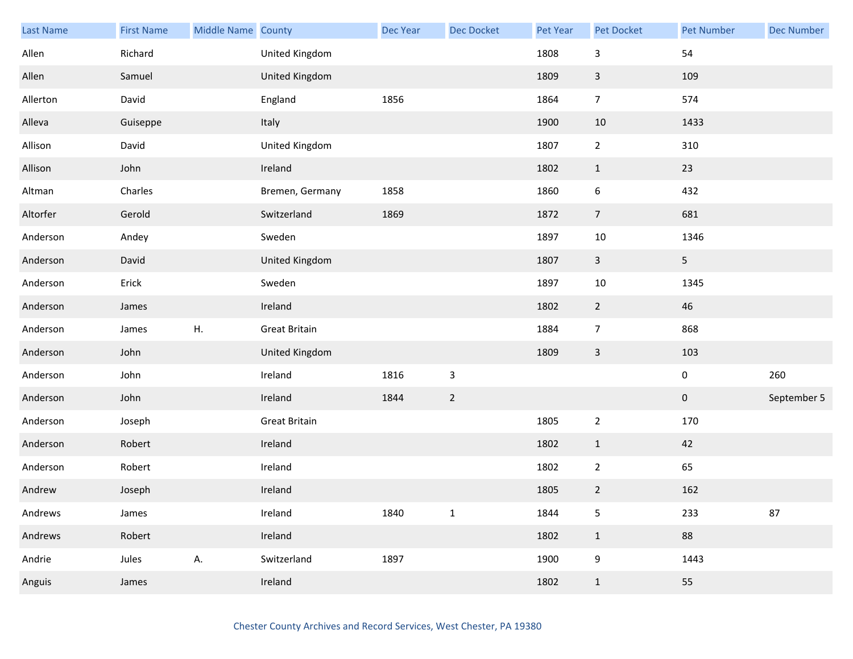| <b>Last Name</b> | <b>First Name</b> | Middle Name County |                      | Dec Year | Dec Docket     | Pet Year | <b>Pet Docket</b> | <b>Pet Number</b> | <b>Dec Number</b> |
|------------------|-------------------|--------------------|----------------------|----------|----------------|----------|-------------------|-------------------|-------------------|
| Allen            | Richard           |                    | United Kingdom       |          |                | 1808     | $\mathbf{3}$      | 54                |                   |
| Allen            | Samuel            |                    | United Kingdom       |          |                | 1809     | $\mathsf{3}$      | 109               |                   |
| Allerton         | David             |                    | England              | 1856     |                | 1864     | $\overline{7}$    | 574               |                   |
| Alleva           | Guiseppe          |                    | Italy                |          |                | 1900     | 10                | 1433              |                   |
| Allison          | David             |                    | United Kingdom       |          |                | 1807     | $\overline{2}$    | 310               |                   |
| Allison          | John              |                    | Ireland              |          |                | 1802     | $\mathbf{1}$      | 23                |                   |
| Altman           | Charles           |                    | Bremen, Germany      | 1858     |                | 1860     | 6                 | 432               |                   |
| Altorfer         | Gerold            |                    | Switzerland          | 1869     |                | 1872     | $\overline{7}$    | 681               |                   |
| Anderson         | Andey             |                    | Sweden               |          |                | 1897     | 10                | 1346              |                   |
| Anderson         | David             |                    | United Kingdom       |          |                | 1807     | $\mathbf{3}$      | 5 <sub>1</sub>    |                   |
| Anderson         | Erick             |                    | Sweden               |          |                | 1897     | 10                | 1345              |                   |
| Anderson         | James             |                    | Ireland              |          |                | 1802     | $\overline{2}$    | 46                |                   |
| Anderson         | James             | ${\sf H}.$         | <b>Great Britain</b> |          |                | 1884     | $\overline{7}$    | 868               |                   |
| Anderson         | John              |                    | United Kingdom       |          |                | 1809     | $\mathsf{3}$      | 103               |                   |
| Anderson         | John              |                    | Ireland              | 1816     | $\mathbf{3}$   |          |                   | $\pmb{0}$         | 260               |
| Anderson         | John              |                    | Ireland              | 1844     | $\overline{2}$ |          |                   | $\mathbf 0$       | September 5       |
| Anderson         | Joseph            |                    | <b>Great Britain</b> |          |                | 1805     | $\mathbf 2$       | 170               |                   |
| Anderson         | Robert            |                    | Ireland              |          |                | 1802     | $\mathbf{1}$      | 42                |                   |
| Anderson         | Robert            |                    | Ireland              |          |                | 1802     | $\overline{2}$    | 65                |                   |
| Andrew           | Joseph            |                    | Ireland              |          |                | 1805     | $\overline{2}$    | 162               |                   |
| Andrews          | James             |                    | Ireland              | 1840     | $\mathbf 1$    | 1844     | 5                 | 233               | 87                |
| Andrews          | Robert            |                    | Ireland              |          |                | 1802     | $\mathbf{1}$      | 88                |                   |
| Andrie           | Jules             | А.                 | Switzerland          | 1897     |                | 1900     | $\boldsymbol{9}$  | 1443              |                   |
| Anguis           | James             |                    | Ireland              |          |                | 1802     | $\mathbf{1}$      | 55                |                   |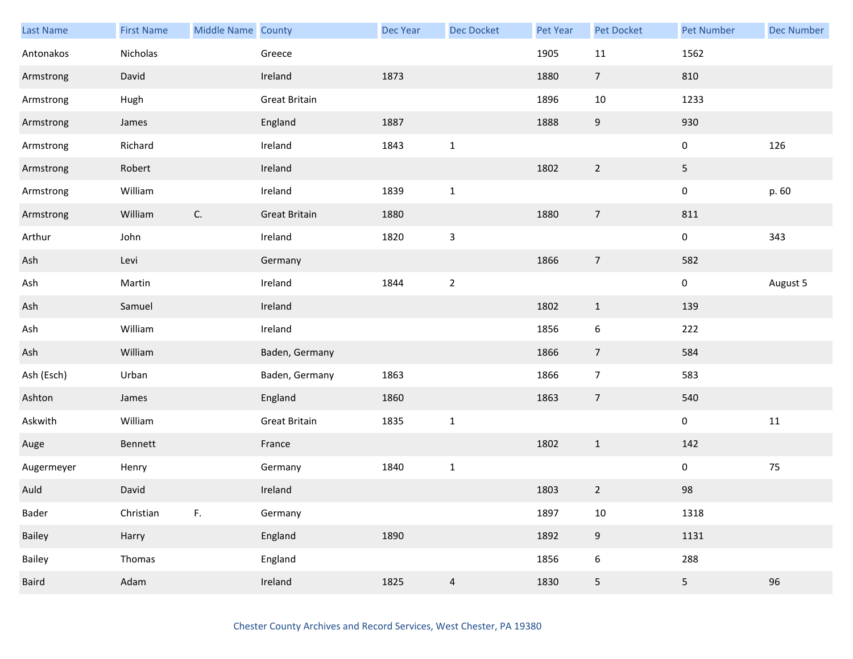| Last Name  | <b>First Name</b> | Middle Name County |                      | <b>Dec Year</b> | <b>Dec Docket</b> | Pet Year | Pet Docket     | <b>Pet Number</b> | <b>Dec Number</b> |
|------------|-------------------|--------------------|----------------------|-----------------|-------------------|----------|----------------|-------------------|-------------------|
| Antonakos  | Nicholas          |                    | Greece               |                 |                   | 1905     | $11\,$         | 1562              |                   |
| Armstrong  | David             |                    | Ireland              | 1873            |                   | 1880     | $\overline{7}$ | 810               |                   |
| Armstrong  | Hugh              |                    | <b>Great Britain</b> |                 |                   | 1896     | 10             | 1233              |                   |
| Armstrong  | James             |                    | England              | 1887            |                   | 1888     | 9              | 930               |                   |
| Armstrong  | Richard           |                    | Ireland              | 1843            | $\mathbf{1}$      |          |                | $\pmb{0}$         | 126               |
| Armstrong  | Robert            |                    | Ireland              |                 |                   | 1802     | $\overline{2}$ | 5                 |                   |
| Armstrong  | William           |                    | Ireland              | 1839            | $\mathbf{1}$      |          |                | $\pmb{0}$         | p. 60             |
| Armstrong  | William           | $\mathsf{C}.$      | <b>Great Britain</b> | 1880            |                   | 1880     | $\overline{7}$ | 811               |                   |
| Arthur     | John              |                    | Ireland              | 1820            | $\mathsf{3}$      |          |                | $\pmb{0}$         | 343               |
| Ash        | Levi              |                    | Germany              |                 |                   | 1866     | $\overline{7}$ | 582               |                   |
| Ash        | Martin            |                    | Ireland              | 1844            | $\mathbf 2$       |          |                | $\pmb{0}$         | August 5          |
| Ash        | Samuel            |                    | Ireland              |                 |                   | 1802     | $\mathbf{1}$   | 139               |                   |
| Ash        | William           |                    | Ireland              |                 |                   | 1856     | 6              | 222               |                   |
| Ash        | William           |                    | Baden, Germany       |                 |                   | 1866     | $\overline{7}$ | 584               |                   |
| Ash (Esch) | Urban             |                    | Baden, Germany       | 1863            |                   | 1866     | $\overline{7}$ | 583               |                   |
| Ashton     | James             |                    | England              | 1860            |                   | 1863     | $\overline{7}$ | 540               |                   |
| Askwith    | William           |                    | <b>Great Britain</b> | 1835            | $\mathbf 1$       |          |                | $\pmb{0}$         | $11\,$            |
| Auge       | Bennett           |                    | France               |                 |                   | 1802     | $\mathbf{1}$   | 142               |                   |
| Augermeyer | Henry             |                    | Germany              | 1840            | $\mathbf{1}$      |          |                | $\boldsymbol{0}$  | $75\,$            |
| Auld       | David             |                    | Ireland              |                 |                   | 1803     | $\overline{2}$ | 98                |                   |
| Bader      | Christian         | F.                 | Germany              |                 |                   | 1897     | $10\,$         | 1318              |                   |
| Bailey     | Harry             |                    | England              | 1890            |                   | 1892     | 9              | 1131              |                   |
| Bailey     | Thomas            |                    | England              |                 |                   | 1856     | 6              | 288               |                   |
| Baird      | Adam              |                    | Ireland              | 1825            | $\overline{4}$    | 1830     | 5              | 5                 | 96                |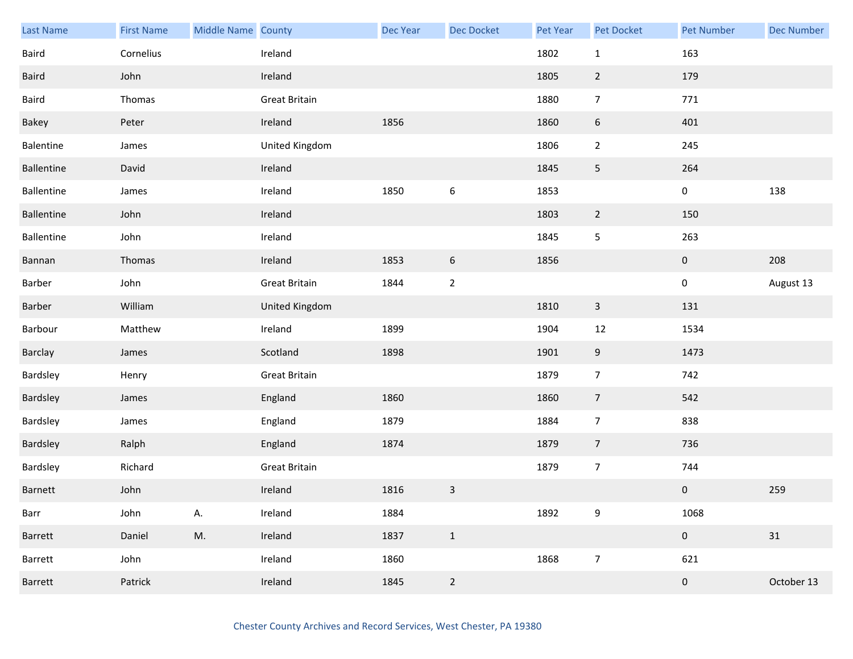| <b>Last Name</b> | <b>First Name</b> | Middle Name County |                      | <b>Dec Year</b> | Dec Docket       | Pet Year | <b>Pet Docket</b> | <b>Pet Number</b> | <b>Dec Number</b> |
|------------------|-------------------|--------------------|----------------------|-----------------|------------------|----------|-------------------|-------------------|-------------------|
| Baird            | Cornelius         |                    | Ireland              |                 |                  | 1802     | $\mathbf{1}$      | 163               |                   |
| Baird            | John              |                    | Ireland              |                 |                  | 1805     | $\overline{2}$    | 179               |                   |
| Baird            | Thomas            |                    | Great Britain        |                 |                  | 1880     | $\overline{7}$    | 771               |                   |
| Bakey            | Peter             |                    | Ireland              | 1856            |                  | 1860     | 6                 | 401               |                   |
| Balentine        | James             |                    | United Kingdom       |                 |                  | 1806     | $\overline{2}$    | 245               |                   |
| Ballentine       | David             |                    | Ireland              |                 |                  | 1845     | $\overline{5}$    | 264               |                   |
| Ballentine       | James             |                    | Ireland              | 1850            | $\boldsymbol{6}$ | 1853     |                   | $\pmb{0}$         | 138               |
| Ballentine       | John              |                    | Ireland              |                 |                  | 1803     | $\overline{2}$    | 150               |                   |
| Ballentine       | John              |                    | Ireland              |                 |                  | 1845     | $\mathsf S$       | 263               |                   |
| Bannan           | Thomas            |                    | Ireland              | 1853            | $\boldsymbol{6}$ | 1856     |                   | $\pmb{0}$         | 208               |
| Barber           | John              |                    | <b>Great Britain</b> | 1844            | $\mathbf 2$      |          |                   | $\pmb{0}$         | August 13         |
| Barber           | William           |                    | United Kingdom       |                 |                  | 1810     | $\mathbf{3}$      | 131               |                   |
| Barbour          | Matthew           |                    | Ireland              | 1899            |                  | 1904     | 12                | 1534              |                   |
| Barclay          | James             |                    | Scotland             | 1898            |                  | 1901     | 9                 | 1473              |                   |
| Bardsley         | Henry             |                    | <b>Great Britain</b> |                 |                  | 1879     | $\overline{7}$    | 742               |                   |
| Bardsley         | James             |                    | England              | 1860            |                  | 1860     | $\overline{7}$    | 542               |                   |
| Bardsley         | James             |                    | England              | 1879            |                  | 1884     | $\overline{7}$    | 838               |                   |
| Bardsley         | Ralph             |                    | England              | 1874            |                  | 1879     | $\overline{7}$    | 736               |                   |
| Bardsley         | Richard           |                    | <b>Great Britain</b> |                 |                  | 1879     | $\overline{7}$    | 744               |                   |
| Barnett          | John              |                    | Ireland              | 1816            | $\mathsf{3}$     |          |                   | $\pmb{0}$         | 259               |
| Barr             | John              | Α.                 | Ireland              | 1884            |                  | 1892     | 9                 | 1068              |                   |
| Barrett          | Daniel            | M.                 | Ireland              | 1837            | $\mathbf{1}$     |          |                   | $\mathbf 0$       | $31\,$            |
| Barrett          | John              |                    | Ireland              | 1860            |                  | 1868     | $\overline{7}$    | 621               |                   |
| Barrett          | Patrick           |                    | Ireland              | 1845            | $\overline{2}$   |          |                   | $\pmb{0}$         | October 13        |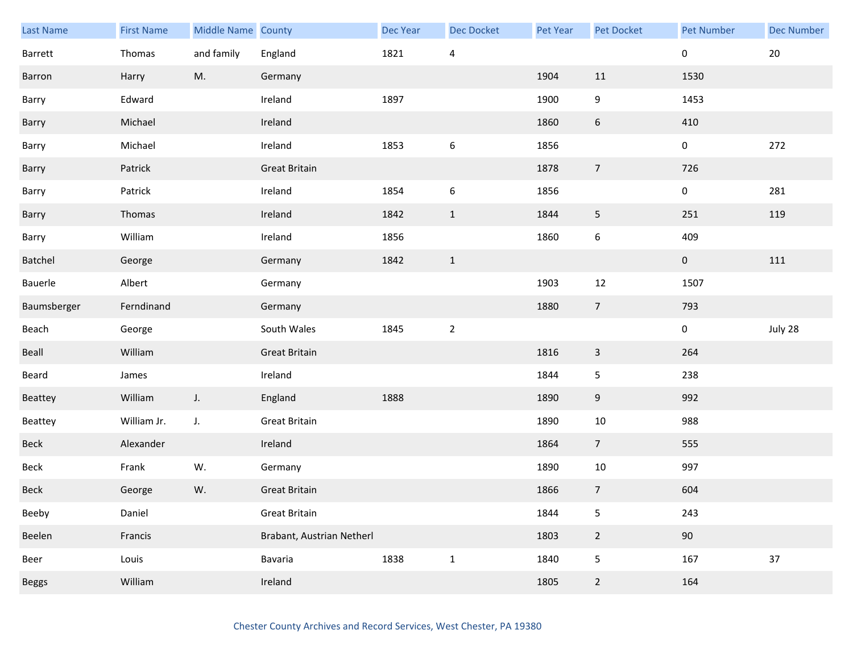| Last Name    | <b>First Name</b> | Middle Name County |                           | Dec Year | <b>Dec Docket</b> | <b>Pet Year</b> | Pet Docket       | <b>Pet Number</b> | <b>Dec Number</b> |
|--------------|-------------------|--------------------|---------------------------|----------|-------------------|-----------------|------------------|-------------------|-------------------|
| Barrett      | Thomas            | and family         | England                   | 1821     | $\overline{4}$    |                 |                  | 0                 | $20\,$            |
| Barron       | Harry             | M.                 | Germany                   |          |                   | 1904            | 11               | 1530              |                   |
| Barry        | Edward            |                    | Ireland                   | 1897     |                   | 1900            | 9                | 1453              |                   |
| Barry        | Michael           |                    | Ireland                   |          |                   | 1860            | $6\phantom{.}6$  | 410               |                   |
| Barry        | Michael           |                    | Ireland                   | 1853     | 6                 | 1856            |                  | 0                 | 272               |
| Barry        | Patrick           |                    | <b>Great Britain</b>      |          |                   | 1878            | $\overline{7}$   | 726               |                   |
| Barry        | Patrick           |                    | Ireland                   | 1854     | $\boldsymbol{6}$  | 1856            |                  | 0                 | 281               |
| Barry        | Thomas            |                    | Ireland                   | 1842     | $\mathbf{1}$      | 1844            | 5                | 251               | 119               |
| Barry        | William           |                    | Ireland                   | 1856     |                   | 1860            | $\boldsymbol{6}$ | 409               |                   |
| Batchel      | George            |                    | Germany                   | 1842     | $\mathbf{1}$      |                 |                  | $\mathbf 0$       | 111               |
| Bauerle      | Albert            |                    | Germany                   |          |                   | 1903            | 12               | 1507              |                   |
| Baumsberger  | Ferndinand        |                    | Germany                   |          |                   | 1880            | $7\overline{ }$  | 793               |                   |
| Beach        | George            |                    | South Wales               | 1845     | $\overline{2}$    |                 |                  | 0                 | July 28           |
| Beall        | William           |                    | <b>Great Britain</b>      |          |                   | 1816            | $\mathbf{3}$     | 264               |                   |
| Beard        | James             |                    | Ireland                   |          |                   | 1844            | 5                | 238               |                   |
| Beattey      | William           | $J_{\star}$        | England                   | 1888     |                   | 1890            | 9                | 992               |                   |
| Beattey      | William Jr.       | J.                 | Great Britain             |          |                   | 1890            | 10               | 988               |                   |
| Beck         | Alexander         |                    | Ireland                   |          |                   | 1864            | $7\overline{ }$  | 555               |                   |
| Beck         | Frank             | W.                 | Germany                   |          |                   | 1890            | $10\,$           | 997               |                   |
| Beck         | George            | W.                 | <b>Great Britain</b>      |          |                   | 1866            | $\overline{7}$   | 604               |                   |
| Beeby        | Daniel            |                    | <b>Great Britain</b>      |          |                   | 1844            | 5                | 243               |                   |
| Beelen       | Francis           |                    | Brabant, Austrian Netherl |          |                   | 1803            | $\overline{2}$   | 90                |                   |
| Beer         | Louis             |                    | Bavaria                   | 1838     | $\mathbf{1}$      | 1840            | 5                | 167               | 37                |
| <b>Beggs</b> | William           |                    | Ireland                   |          |                   | 1805            | $\overline{2}$   | 164               |                   |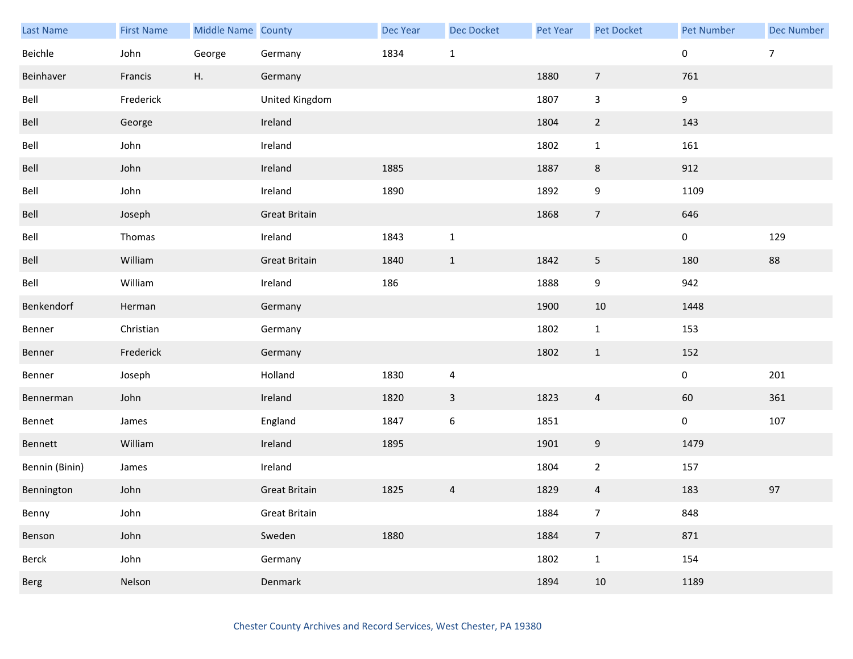| Last Name      | <b>First Name</b> | Middle Name County |                      | <b>Dec Year</b> | <b>Dec Docket</b> | Pet Year | Pet Docket              | <b>Pet Number</b> | <b>Dec Number</b> |
|----------------|-------------------|--------------------|----------------------|-----------------|-------------------|----------|-------------------------|-------------------|-------------------|
| Beichle        | John              | George             | Germany              | 1834            | $1\,$             |          |                         | $\pmb{0}$         | $\overline{7}$    |
| Beinhaver      | Francis           | Η.                 | Germany              |                 |                   | 1880     | $\overline{7}$          | 761               |                   |
| Bell           | Frederick         |                    | United Kingdom       |                 |                   | 1807     | $\mathsf{3}$            | 9                 |                   |
| Bell           | George            |                    | Ireland              |                 |                   | 1804     | $\overline{2}$          | 143               |                   |
| Bell           | John              |                    | Ireland              |                 |                   | 1802     | $\mathbf{1}$            | 161               |                   |
| Bell           | John              |                    | Ireland              | 1885            |                   | 1887     | 8                       | 912               |                   |
| Bell           | John              |                    | Ireland              | 1890            |                   | 1892     | 9                       | 1109              |                   |
| Bell           | Joseph            |                    | <b>Great Britain</b> |                 |                   | 1868     | $\overline{7}$          | 646               |                   |
| Bell           | Thomas            |                    | Ireland              | 1843            | $\mathbf{1}$      |          |                         | $\pmb{0}$         | 129               |
| Bell           | William           |                    | <b>Great Britain</b> | 1840            | $\mathbf{1}$      | 1842     | $\mathsf S$             | 180               | 88                |
| Bell           | William           |                    | Ireland              | 186             |                   | 1888     | 9                       | 942               |                   |
| Benkendorf     | Herman            |                    | Germany              |                 |                   | 1900     | 10                      | 1448              |                   |
| Benner         | Christian         |                    | Germany              |                 |                   | 1802     | $\mathbf{1}$            | 153               |                   |
| Benner         | Frederick         |                    | Germany              |                 |                   | 1802     | $\mathbf{1}$            | 152               |                   |
| Benner         | Joseph            |                    | Holland              | 1830            | $\overline{4}$    |          |                         | $\pmb{0}$         | 201               |
| Bennerman      | John              |                    | Ireland              | 1820            | $\mathsf{3}$      | 1823     | $\overline{a}$          | 60                | 361               |
| Bennet         | James             |                    | England              | 1847            | $\boldsymbol{6}$  | 1851     |                         | $\pmb{0}$         | 107               |
| Bennett        | William           |                    | Ireland              | 1895            |                   | 1901     | 9                       | 1479              |                   |
| Bennin (Binin) | James             |                    | Ireland              |                 |                   | 1804     | $\overline{2}$          | 157               |                   |
| Bennington     | John              |                    | <b>Great Britain</b> | 1825            | $\overline{4}$    | 1829     | $\overline{\mathbf{4}}$ | 183               | 97                |
| Benny          | John              |                    | <b>Great Britain</b> |                 |                   | 1884     | $\overline{7}$          | 848               |                   |
| Benson         | John              |                    | Sweden               | 1880            |                   | 1884     | $\overline{7}$          | 871               |                   |
| Berck          | John              |                    | Germany              |                 |                   | 1802     | $\mathbf{1}$            | 154               |                   |
| Berg           | Nelson            |                    | Denmark              |                 |                   | 1894     | 10                      | 1189              |                   |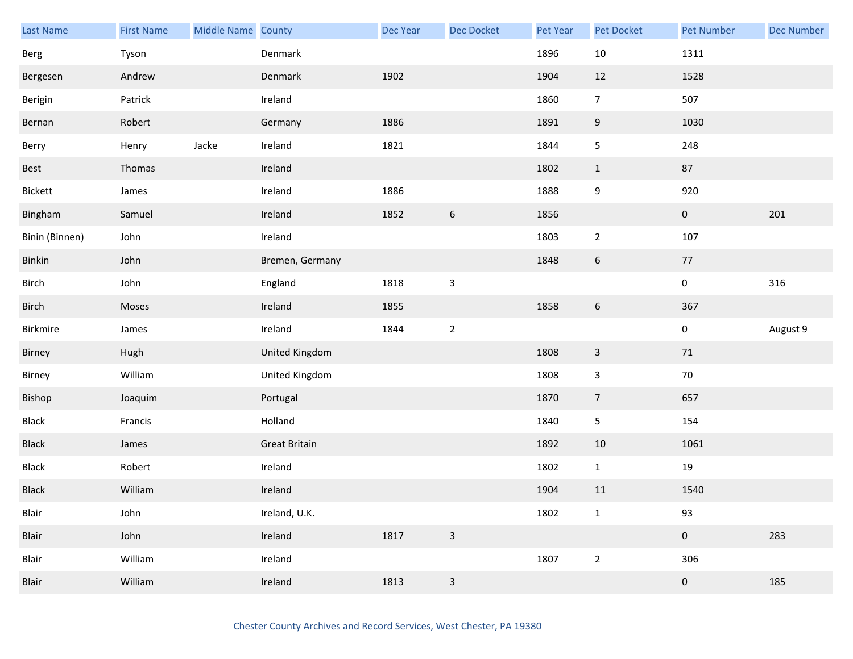| <b>Last Name</b> | <b>First Name</b> | Middle Name County |                      | Dec Year | <b>Dec Docket</b> | <b>Pet Year</b> | Pet Docket     | <b>Pet Number</b> | <b>Dec Number</b> |
|------------------|-------------------|--------------------|----------------------|----------|-------------------|-----------------|----------------|-------------------|-------------------|
| Berg             | Tyson             |                    | Denmark              |          |                   | 1896            | $10\,$         | 1311              |                   |
| Bergesen         | Andrew            |                    | Denmark              | 1902     |                   | 1904            | 12             | 1528              |                   |
| Berigin          | Patrick           |                    | Ireland              |          |                   | 1860            | $\overline{7}$ | 507               |                   |
| Bernan           | Robert            |                    | Germany              | 1886     |                   | 1891            | 9              | 1030              |                   |
| Berry            | Henry             | Jacke              | Ireland              | 1821     |                   | 1844            | 5              | 248               |                   |
| Best             | Thomas            |                    | Ireland              |          |                   | 1802            | $\mathbf{1}$   | 87                |                   |
| Bickett          | James             |                    | Ireland              | 1886     |                   | 1888            | 9              | 920               |                   |
| Bingham          | Samuel            |                    | Ireland              | 1852     | $\boldsymbol{6}$  | 1856            |                | $\pmb{0}$         | 201               |
| Binin (Binnen)   | John              |                    | Ireland              |          |                   | 1803            | $\overline{2}$ | 107               |                   |
| Binkin           | John              |                    | Bremen, Germany      |          |                   | 1848            | $\sqrt{6}$     | $77$              |                   |
| Birch            | John              |                    | England              | 1818     | $\mathsf 3$       |                 |                | $\pmb{0}$         | 316               |
| Birch            | Moses             |                    | Ireland              | 1855     |                   | 1858            | $6\,$          | 367               |                   |
| Birkmire         | James             |                    | Ireland              | 1844     | $\boldsymbol{2}$  |                 |                | $\pmb{0}$         | August 9          |
| Birney           | Hugh              |                    | United Kingdom       |          |                   | 1808            | $\mathbf{3}$   | 71                |                   |
| Birney           | William           |                    | United Kingdom       |          |                   | 1808            | $\mathsf{3}$   | $70\,$            |                   |
| Bishop           | Joaquim           |                    | Portugal             |          |                   | 1870            | $\overline{7}$ | 657               |                   |
| Black            | Francis           |                    | Holland              |          |                   | 1840            | 5              | 154               |                   |
| Black            | James             |                    | <b>Great Britain</b> |          |                   | 1892            | 10             | 1061              |                   |
| Black            | Robert            |                    | Ireland              |          |                   | 1802            | $\mathbf{1}$   | $19\,$            |                   |
| <b>Black</b>     | William           |                    | Ireland              |          |                   | 1904            | $11\,$         | 1540              |                   |
| Blair            | John              |                    | Ireland, U.K.        |          |                   | 1802            | $\mathbf{1}$   | 93                |                   |
| Blair            | John              |                    | Ireland              | 1817     | $\mathsf 3$       |                 |                | $\pmb{0}$         | 283               |
| Blair            | William           |                    | Ireland              |          |                   | 1807            | $\overline{2}$ | 306               |                   |
| Blair            | William           |                    | Ireland              | 1813     | $\mathsf{3}$      |                 |                | $\boldsymbol{0}$  | 185               |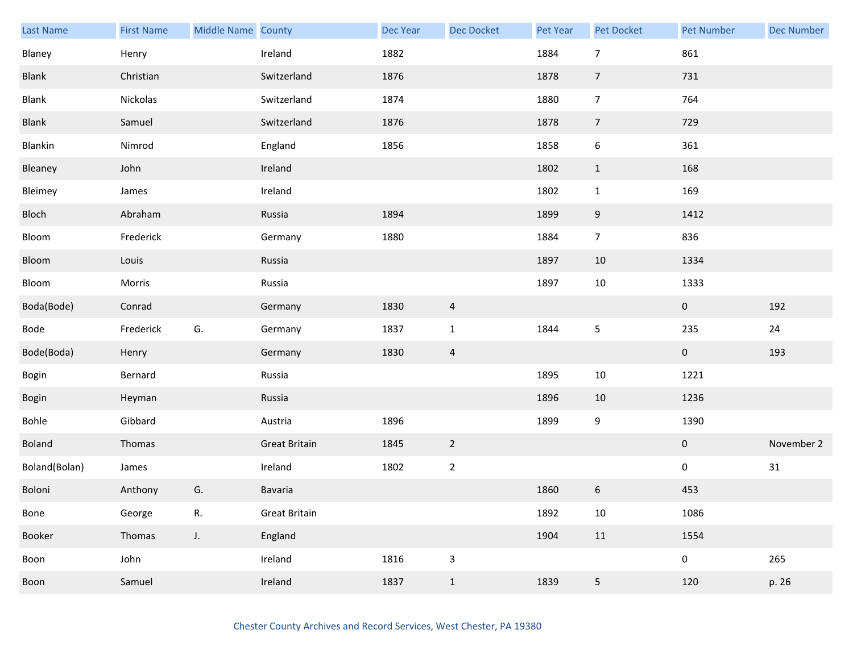| <b>Last Name</b> | <b>First Name</b> | Middle Name County |                      | Dec Year | <b>Dec Docket</b>         | Pet Year | Pet Docket              | <b>Pet Number</b> | <b>Dec Number</b> |
|------------------|-------------------|--------------------|----------------------|----------|---------------------------|----------|-------------------------|-------------------|-------------------|
| Blaney           | Henry             |                    | Ireland              | 1882     |                           | 1884     | $\overline{7}$          | 861               |                   |
| Blank            | Christian         |                    | Switzerland          | 1876     |                           | 1878     | $\overline{7}$          | 731               |                   |
| Blank            | Nickolas          |                    | Switzerland          | 1874     |                           | 1880     | $\overline{7}$          | 764               |                   |
| Blank            | Samuel            |                    | Switzerland          | 1876     |                           | 1878     | $\overline{7}$          | 729               |                   |
| Blankin          | Nimrod            |                    | England              | 1856     |                           | 1858     | 6                       | 361               |                   |
| Bleaney          | John              |                    | Ireland              |          |                           | 1802     | $\mathbf{1}$            | 168               |                   |
| Bleimey          | James             |                    | Ireland              |          |                           | 1802     | $\mathbf{1}$            | 169               |                   |
| Bloch            | Abraham           |                    | Russia               | 1894     |                           | 1899     | 9                       | 1412              |                   |
| Bloom            | Frederick         |                    | Germany              | 1880     |                           | 1884     | $\overline{7}$          | 836               |                   |
| Bloom            | Louis             |                    | Russia               |          |                           | 1897     | 10                      | 1334              |                   |
| Bloom            | Morris            |                    | Russia               |          |                           | 1897     | $10\,$                  | 1333              |                   |
| Boda(Bode)       | Conrad            |                    | Germany              | 1830     | $\overline{a}$            |          |                         | $\mathbf{0}$      | 192               |
| Bode             | Frederick         | G.                 | Germany              | 1837     | $\mathbf 1$               | 1844     | 5                       | 235               | 24                |
| Bode(Boda)       | Henry             |                    | Germany              | 1830     | $\overline{a}$            |          |                         | $\overline{0}$    | 193               |
| Bogin            | Bernard           |                    | Russia               |          |                           | 1895     | $10\,$                  | 1221              |                   |
| Bogin            | Heyman            |                    | Russia               |          |                           | 1896     | 10                      | 1236              |                   |
| Bohle            | Gibbard           |                    | Austria              | 1896     |                           | 1899     | 9                       | 1390              |                   |
| <b>Boland</b>    | Thomas            |                    | <b>Great Britain</b> | 1845     | $\overline{2}$            |          |                         | $\mathbf{0}$      | November 2        |
| Boland(Bolan)    | James             |                    | Ireland              | 1802     | $\overline{2}$            |          |                         | $\pmb{0}$         | $31\,$            |
| Boloni           | Anthony           | G.                 | Bavaria              |          |                           | 1860     | 6                       | 453               |                   |
| Bone             | George            | R.                 | <b>Great Britain</b> |          |                           | 1892     | 10                      | 1086              |                   |
| Booker           | Thomas            | $J_{\star}$        | England              |          |                           | 1904     | 11                      | 1554              |                   |
| Boon             | John              |                    | Ireland              | 1816     | $\ensuremath{\mathsf{3}}$ |          |                         | 0                 | 265               |
| Boon             | Samuel            |                    | Ireland              | 1837     | $1\,$                     | 1839     | $\overline{\mathbf{5}}$ | 120               | p. 26             |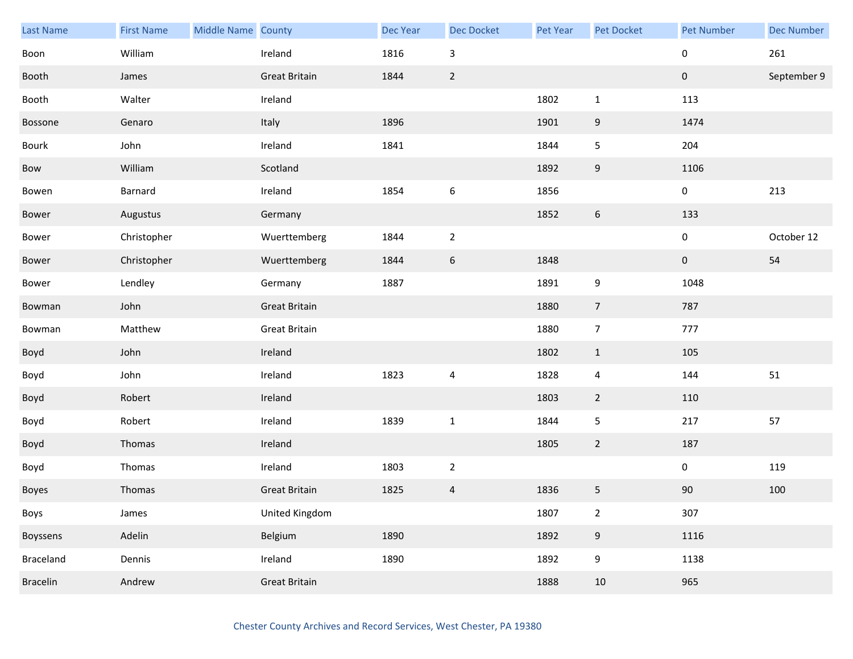| Last Name       | <b>First Name</b> | Middle Name County |                      | Dec Year | <b>Dec Docket</b>         | Pet Year | Pet Docket       | <b>Pet Number</b> | <b>Dec Number</b> |
|-----------------|-------------------|--------------------|----------------------|----------|---------------------------|----------|------------------|-------------------|-------------------|
| Boon            | William           |                    | Ireland              | 1816     | $\ensuremath{\mathsf{3}}$ |          |                  | $\pmb{0}$         | 261               |
| Booth           | James             |                    | <b>Great Britain</b> | 1844     | $\sqrt{2}$                |          |                  | $\mathbf 0$       | September 9       |
| Booth           | Walter            |                    | Ireland              |          |                           | 1802     | $\mathbf{1}$     | 113               |                   |
| Bossone         | Genaro            |                    | Italy                | 1896     |                           | 1901     | 9                | 1474              |                   |
| Bourk           | John              |                    | Ireland              | 1841     |                           | 1844     | $\mathsf S$      | 204               |                   |
| Bow             | William           |                    | Scotland             |          |                           | 1892     | $\boldsymbol{9}$ | 1106              |                   |
| Bowen           | Barnard           |                    | Ireland              | 1854     | $\,$ 6 $\,$               | 1856     |                  | 0                 | 213               |
| Bower           | Augustus          |                    | Germany              |          |                           | 1852     | 6                | 133               |                   |
| Bower           | Christopher       |                    | Wuerttemberg         | 1844     | $\overline{2}$            |          |                  | $\pmb{0}$         | October 12        |
| Bower           | Christopher       |                    | Wuerttemberg         | 1844     | $\boldsymbol{6}$          | 1848     |                  | $\pmb{0}$         | 54                |
| Bower           | Lendley           |                    | Germany              | 1887     |                           | 1891     | 9                | 1048              |                   |
| Bowman          | John              |                    | <b>Great Britain</b> |          |                           | 1880     | $\overline{7}$   | 787               |                   |
| Bowman          | Matthew           |                    | <b>Great Britain</b> |          |                           | 1880     | $\overline{7}$   | 777               |                   |
| Boyd            | John              |                    | Ireland              |          |                           | 1802     | $\mathbf{1}$     | 105               |                   |
| Boyd            | John              |                    | Ireland              | 1823     | 4                         | 1828     | $\overline{4}$   | 144               | 51                |
| Boyd            | Robert            |                    | Ireland              |          |                           | 1803     | $\overline{2}$   | 110               |                   |
| Boyd            | Robert            |                    | Ireland              | 1839     | $\mathbf 1$               | 1844     | 5                | 217               | 57                |
| Boyd            | Thomas            |                    | Ireland              |          |                           | 1805     | $\overline{2}$   | 187               |                   |
| Boyd            | Thomas            |                    | Ireland              | 1803     | $\overline{2}$            |          |                  | $\pmb{0}$         | 119               |
| Boyes           | Thomas            |                    | <b>Great Britain</b> | 1825     | $\overline{4}$            | 1836     | 5                | $90\,$            | 100               |
| Boys            | James             |                    | United Kingdom       |          |                           | 1807     | $\overline{2}$   | 307               |                   |
| Boyssens        | Adelin            |                    | Belgium              | 1890     |                           | 1892     | $9\,$            | 1116              |                   |
| Braceland       | Dennis            |                    | Ireland              | 1890     |                           | 1892     | 9                | 1138              |                   |
| <b>Bracelin</b> | Andrew            |                    | <b>Great Britain</b> |          |                           | 1888     | 10               | 965               |                   |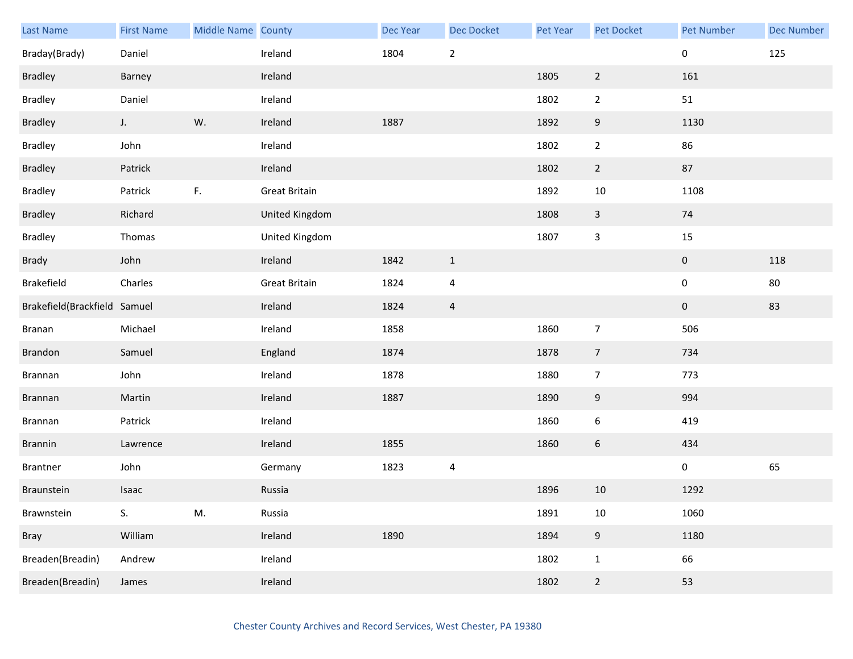| Last Name                    | <b>First Name</b> | Middle Name County |                      | Dec Year | Dec Docket              | Pet Year | <b>Pet Docket</b> | <b>Pet Number</b> | <b>Dec Number</b> |
|------------------------------|-------------------|--------------------|----------------------|----------|-------------------------|----------|-------------------|-------------------|-------------------|
| Braday(Brady)                | Daniel            |                    | Ireland              | 1804     | $\overline{2}$          |          |                   | $\pmb{0}$         | 125               |
| <b>Bradley</b>               | Barney            |                    | Ireland              |          |                         | 1805     | $\overline{2}$    | 161               |                   |
| <b>Bradley</b>               | Daniel            |                    | Ireland              |          |                         | 1802     | $\overline{2}$    | 51                |                   |
| <b>Bradley</b>               | $J_{\star}$       | W.                 | Ireland              | 1887     |                         | 1892     | $\boldsymbol{9}$  | 1130              |                   |
| <b>Bradley</b>               | John              |                    | Ireland              |          |                         | 1802     | $\overline{2}$    | 86                |                   |
| <b>Bradley</b>               | Patrick           |                    | Ireland              |          |                         | 1802     | $\overline{2}$    | 87                |                   |
| <b>Bradley</b>               | Patrick           | F.                 | <b>Great Britain</b> |          |                         | 1892     | $10\,$            | 1108              |                   |
| <b>Bradley</b>               | Richard           |                    | United Kingdom       |          |                         | 1808     | $\mathbf{3}$      | 74                |                   |
| <b>Bradley</b>               | Thomas            |                    | United Kingdom       |          |                         | 1807     | $\mathbf{3}$      | $15\,$            |                   |
| Brady                        | John              |                    | Ireland              | 1842     | $\mathbf{1}$            |          |                   | $\pmb{0}$         | 118               |
| Brakefield                   | Charles           |                    | <b>Great Britain</b> | 1824     | $\overline{4}$          |          |                   | $\pmb{0}$         | $80\,$            |
| Brakefield(Brackfield Samuel |                   |                    | Ireland              | 1824     | $\overline{4}$          |          |                   | $\bf{0}$          | 83                |
| Branan                       | Michael           |                    | Ireland              | 1858     |                         | 1860     | $\overline{7}$    | 506               |                   |
| Brandon                      | Samuel            |                    | England              | 1874     |                         | 1878     | $\overline{7}$    | 734               |                   |
| Brannan                      | John              |                    | Ireland              | 1878     |                         | 1880     | $\overline{7}$    | 773               |                   |
| Brannan                      | Martin            |                    | Ireland              | 1887     |                         | 1890     | $\boldsymbol{9}$  | 994               |                   |
| Brannan                      | Patrick           |                    | Ireland              |          |                         | 1860     | $\boldsymbol{6}$  | 419               |                   |
| Brannin                      | Lawrence          |                    | Ireland              | 1855     |                         | 1860     | $6\phantom{.0}$   | 434               |                   |
| Brantner                     | John              |                    | Germany              | 1823     | $\overline{\mathbf{4}}$ |          |                   | $\pmb{0}$         | 65                |
| Braunstein                   | Isaac             |                    | Russia               |          |                         | 1896     | 10                | 1292              |                   |
| Brawnstein                   | S.                | M.                 | Russia               |          |                         | 1891     | $10\,$            | 1060              |                   |
| Bray                         | William           |                    | Ireland              | 1890     |                         | 1894     | $\boldsymbol{9}$  | 1180              |                   |
| Breaden(Breadin)             | Andrew            |                    | Ireland              |          |                         | 1802     | $\mathbf{1}$      | 66                |                   |
| Breaden(Breadin)             | James             |                    | Ireland              |          |                         | 1802     | $\overline{2}$    | 53                |                   |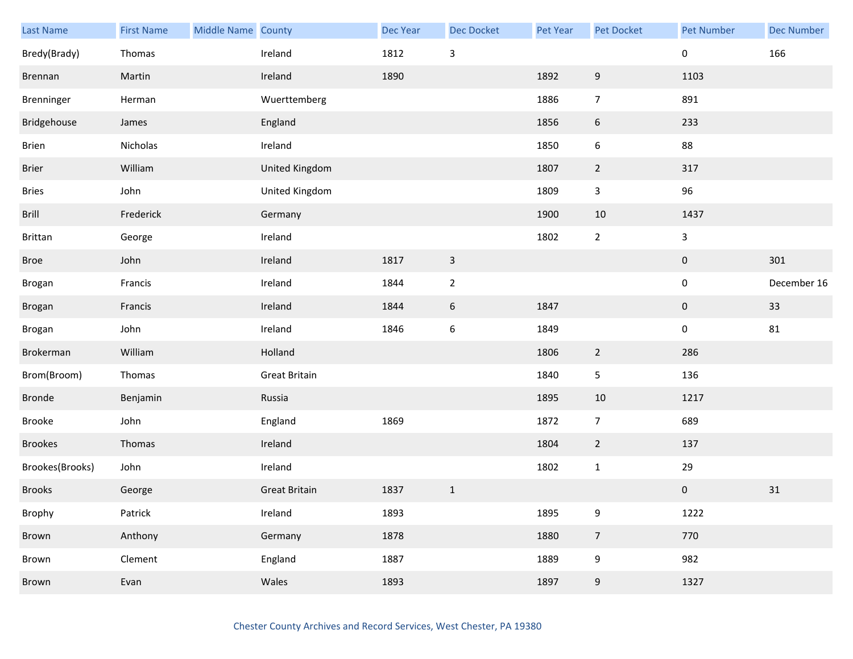| Last Name       | <b>First Name</b> | Middle Name County |                      | Dec Year | Dec Docket       | Pet Year | Pet Docket       | <b>Pet Number</b> | <b>Dec Number</b> |
|-----------------|-------------------|--------------------|----------------------|----------|------------------|----------|------------------|-------------------|-------------------|
| Bredy(Brady)    | Thomas            |                    | Ireland              | 1812     | $\mathsf 3$      |          |                  | 0                 | 166               |
| Brennan         | Martin            |                    | Ireland              | 1890     |                  | 1892     | 9                | 1103              |                   |
| Brenninger      | Herman            |                    | Wuerttemberg         |          |                  | 1886     | $\overline{7}$   | 891               |                   |
| Bridgehouse     | James             |                    | England              |          |                  | 1856     | 6                | 233               |                   |
| Brien           | Nicholas          |                    | Ireland              |          |                  | 1850     | 6                | 88                |                   |
| <b>Brier</b>    | William           |                    | United Kingdom       |          |                  | 1807     | $\overline{2}$   | 317               |                   |
| <b>Bries</b>    | John              |                    | United Kingdom       |          |                  | 1809     | 3                | 96                |                   |
| Brill           | Frederick         |                    | Germany              |          |                  | 1900     | $10\,$           | 1437              |                   |
| Brittan         | George            |                    | Ireland              |          |                  | 1802     | $\overline{2}$   | $\mathbf{3}$      |                   |
| <b>Broe</b>     | John              |                    | Ireland              | 1817     | $\mathbf{3}$     |          |                  | $\pmb{0}$         | 301               |
| Brogan          | Francis           |                    | Ireland              | 1844     | $\overline{2}$   |          |                  | $\pmb{0}$         | December 16       |
| Brogan          | Francis           |                    | Ireland              | 1844     | $6\phantom{.}6$  | 1847     |                  | $\mathbf 0$       | 33                |
| Brogan          | John              |                    | Ireland              | 1846     | $\boldsymbol{6}$ | 1849     |                  | $\pmb{0}$         | 81                |
| Brokerman       | William           |                    | Holland              |          |                  | 1806     | $\overline{2}$   | 286               |                   |
| Brom(Broom)     | Thomas            |                    | <b>Great Britain</b> |          |                  | 1840     | 5                | 136               |                   |
| <b>Bronde</b>   | Benjamin          |                    | Russia               |          |                  | 1895     | 10               | 1217              |                   |
| Brooke          | John              |                    | England              | 1869     |                  | 1872     | $\overline{7}$   | 689               |                   |
| <b>Brookes</b>  | Thomas            |                    | Ireland              |          |                  | 1804     | $\overline{2}$   | 137               |                   |
| Brookes(Brooks) | John              |                    | Ireland              |          |                  | 1802     | $\mathbf{1}$     | 29                |                   |
| <b>Brooks</b>   | George            |                    | <b>Great Britain</b> | 1837     | $\mathbf{1}$     |          |                  | $\mathbf 0$       | $31\,$            |
| Brophy          | Patrick           |                    | Ireland              | 1893     |                  | 1895     | 9                | 1222              |                   |
| Brown           | Anthony           |                    | Germany              | 1878     |                  | 1880     | $\overline{7}$   | 770               |                   |
| Brown           | Clement           |                    | England              | 1887     |                  | 1889     | 9                | 982               |                   |
| Brown           | Evan              |                    | Wales                | 1893     |                  | 1897     | $\boldsymbol{9}$ | 1327              |                   |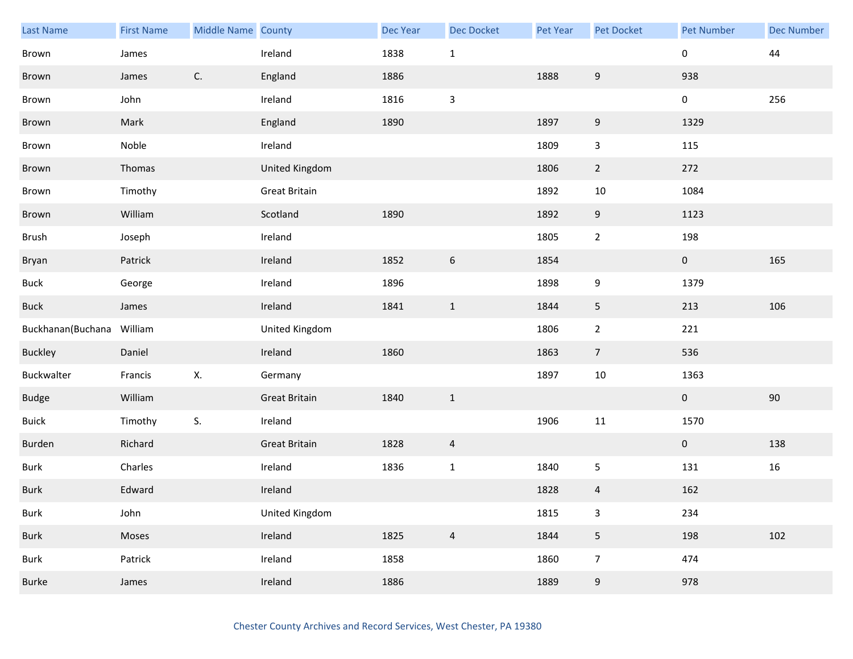| <b>Last Name</b>  | <b>First Name</b> | Middle Name County |                      | Dec Year | <b>Dec Docket</b> | Pet Year | Pet Docket       | <b>Pet Number</b> | <b>Dec Number</b> |
|-------------------|-------------------|--------------------|----------------------|----------|-------------------|----------|------------------|-------------------|-------------------|
| Brown             | James             |                    | Ireland              | 1838     | $1\,$             |          |                  | 0                 | $44\,$            |
| Brown             | James             | C.                 | England              | 1886     |                   | 1888     | $\boldsymbol{9}$ | 938               |                   |
| Brown             | John              |                    | Ireland              | 1816     | 3                 |          |                  | 0                 | 256               |
| Brown             | Mark              |                    | England              | 1890     |                   | 1897     | $\boldsymbol{9}$ | 1329              |                   |
| Brown             | Noble             |                    | Ireland              |          |                   | 1809     | 3                | 115               |                   |
| Brown             | Thomas            |                    | United Kingdom       |          |                   | 1806     | $\overline{2}$   | 272               |                   |
| Brown             | Timothy           |                    | <b>Great Britain</b> |          |                   | 1892     | 10               | 1084              |                   |
| Brown             | William           |                    | Scotland             | 1890     |                   | 1892     | 9                | 1123              |                   |
| Brush             | Joseph            |                    | Ireland              |          |                   | 1805     | $\overline{2}$   | 198               |                   |
| Bryan             | Patrick           |                    | Ireland              | 1852     | $\boldsymbol{6}$  | 1854     |                  | $\mathbf{0}$      | 165               |
| <b>Buck</b>       | George            |                    | Ireland              | 1896     |                   | 1898     | 9                | 1379              |                   |
| <b>Buck</b>       | James             |                    | Ireland              | 1841     | $\mathbf{1}$      | 1844     | 5                | 213               | 106               |
| Buckhanan(Buchana | William           |                    | United Kingdom       |          |                   | 1806     | $\mathbf{2}$     | 221               |                   |
| <b>Buckley</b>    | Daniel            |                    | Ireland              | 1860     |                   | 1863     | $\overline{7}$   | 536               |                   |
| Buckwalter        | Francis           | Х.                 | Germany              |          |                   | 1897     | 10               | 1363              |                   |
| <b>Budge</b>      | William           |                    | <b>Great Britain</b> | 1840     | $1\,$             |          |                  | $\mathbf{0}$      | 90                |
| <b>Buick</b>      | Timothy           | S.                 | Ireland              |          |                   | 1906     | $11\,$           | 1570              |                   |
| Burden            | Richard           |                    | <b>Great Britain</b> | 1828     | 4                 |          |                  | $\mathbf{0}$      | 138               |
| <b>Burk</b>       | Charles           |                    | Ireland              | 1836     | $\mathbf{1}$      | 1840     | 5                | 131               | 16                |
| <b>Burk</b>       | Edward            |                    | Ireland              |          |                   | 1828     | 4                | 162               |                   |
| <b>Burk</b>       | John              |                    | United Kingdom       |          |                   | 1815     | 3                | 234               |                   |
| <b>Burk</b>       | Moses             |                    | Ireland              | 1825     | $\overline{4}$    | 1844     | 5                | 198               | 102               |
| <b>Burk</b>       | Patrick           |                    | Ireland              | 1858     |                   | 1860     | $\overline{7}$   | 474               |                   |
| <b>Burke</b>      | James             |                    | Ireland              | 1886     |                   | 1889     | $\boldsymbol{9}$ | 978               |                   |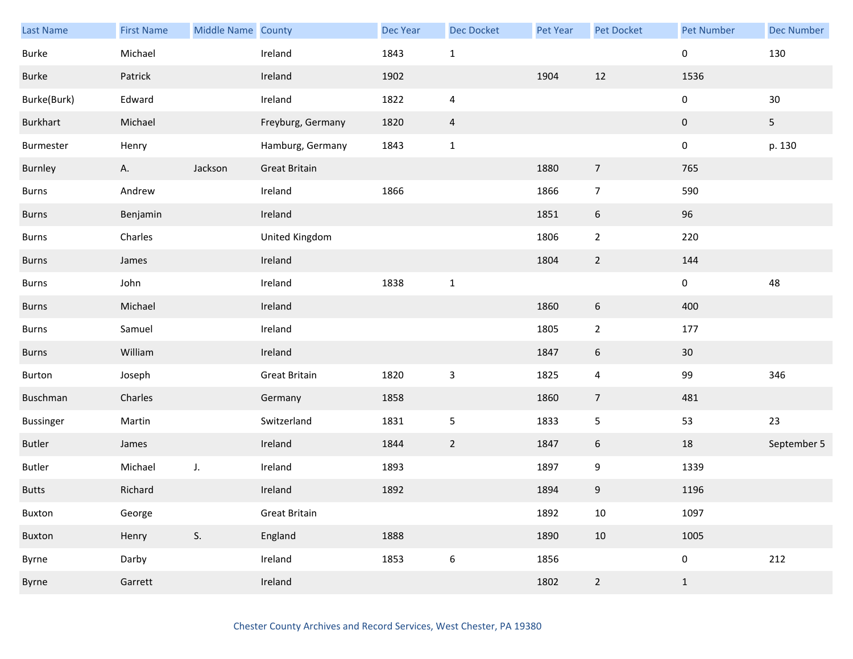| <b>Last Name</b> | <b>First Name</b> | Middle Name County |                      | Dec Year | <b>Dec Docket</b>       | Pet Year | Pet Docket       | <b>Pet Number</b> | <b>Dec Number</b> |
|------------------|-------------------|--------------------|----------------------|----------|-------------------------|----------|------------------|-------------------|-------------------|
| Burke            | Michael           |                    | Ireland              | 1843     | $\mathbf{1}$            |          |                  | 0                 | 130               |
| Burke            | Patrick           |                    | Ireland              | 1902     |                         | 1904     | 12               | 1536              |                   |
| Burke(Burk)      | Edward            |                    | Ireland              | 1822     | $\overline{\mathbf{4}}$ |          |                  | 0                 | $30\,$            |
| Burkhart         | Michael           |                    | Freyburg, Germany    | 1820     | $\overline{a}$          |          |                  | $\pmb{0}$         | 5 <sub>5</sub>    |
| Burmester        | Henry             |                    | Hamburg, Germany     | 1843     | $\mathbf{1}$            |          |                  | 0                 | p. 130            |
| Burnley          | Α.                | Jackson            | <b>Great Britain</b> |          |                         | 1880     | $\overline{7}$   | 765               |                   |
| <b>Burns</b>     | Andrew            |                    | Ireland              | 1866     |                         | 1866     | $\overline{7}$   | 590               |                   |
| <b>Burns</b>     | Benjamin          |                    | Ireland              |          |                         | 1851     | $\boldsymbol{6}$ | 96                |                   |
| <b>Burns</b>     | Charles           |                    | United Kingdom       |          |                         | 1806     | $\overline{2}$   | 220               |                   |
| <b>Burns</b>     | James             |                    | Ireland              |          |                         | 1804     | $\overline{2}$   | 144               |                   |
| <b>Burns</b>     | John              |                    | Ireland              | 1838     | $\mathbf 1$             |          |                  | 0                 | 48                |
| <b>Burns</b>     | Michael           |                    | Ireland              |          |                         | 1860     | $\boldsymbol{6}$ | 400               |                   |
| <b>Burns</b>     | Samuel            |                    | Ireland              |          |                         | 1805     | $\overline{2}$   | 177               |                   |
| Burns            | William           |                    | Ireland              |          |                         | 1847     | $\boldsymbol{6}$ | 30 <sup>°</sup>   |                   |
| Burton           | Joseph            |                    | <b>Great Britain</b> | 1820     | $\mathbf{3}$            | 1825     | $\overline{4}$   | 99                | 346               |
| Buschman         | Charles           |                    | Germany              | 1858     |                         | 1860     | $\overline{7}$   | 481               |                   |
| <b>Bussinger</b> | Martin            |                    | Switzerland          | 1831     | $\sqrt{5}$              | 1833     | 5                | 53                | 23                |
| <b>Butler</b>    | James             |                    | Ireland              | 1844     | $\overline{2}$          | 1847     | 6                | 18                | September 5       |
| Butler           | Michael           | $J_{\star}$        | Ireland              | 1893     |                         | 1897     | 9                | 1339              |                   |
| <b>Butts</b>     | Richard           |                    | Ireland              | 1892     |                         | 1894     | 9                | 1196              |                   |
| Buxton           | George            |                    | <b>Great Britain</b> |          |                         | 1892     | 10               | 1097              |                   |
| Buxton           | Henry             | S.                 | England              | 1888     |                         | 1890     | 10               | 1005              |                   |
| Byrne            | Darby             |                    | Ireland              | 1853     | $\boldsymbol{6}$        | 1856     |                  | 0                 | 212               |
| Byrne            | Garrett           |                    | Ireland              |          |                         | 1802     | $\overline{2}$   | $\mathbf{1}$      |                   |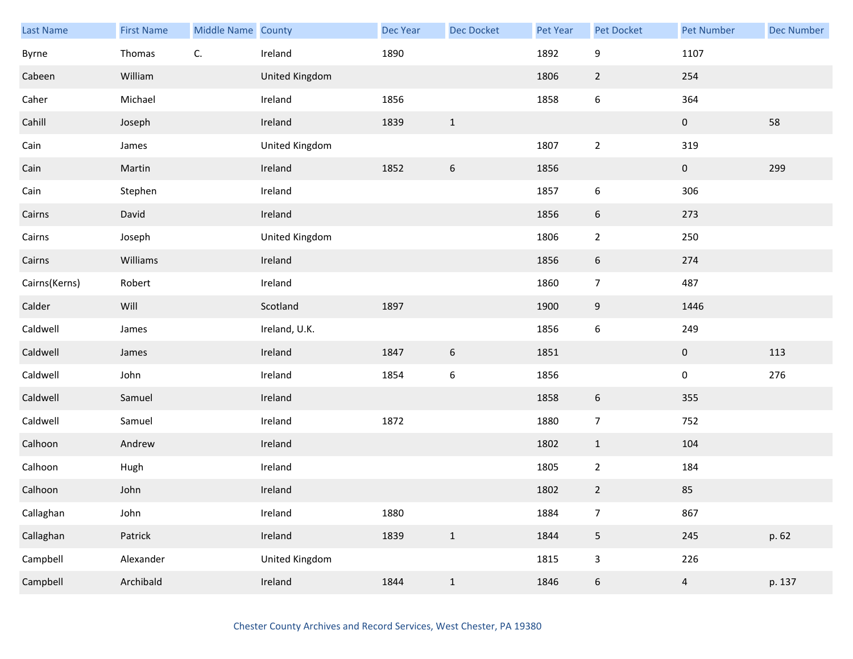| Last Name     | <b>First Name</b> | Middle Name County |                | <b>Dec Year</b> | Dec Docket       | Pet Year | <b>Pet Docket</b> | <b>Pet Number</b> | <b>Dec Number</b> |
|---------------|-------------------|--------------------|----------------|-----------------|------------------|----------|-------------------|-------------------|-------------------|
| Byrne         | Thomas            | C.                 | Ireland        | 1890            |                  | 1892     | 9                 | 1107              |                   |
| Cabeen        | William           |                    | United Kingdom |                 |                  | 1806     | $\overline{2}$    | 254               |                   |
| Caher         | Michael           |                    | Ireland        | 1856            |                  | 1858     | $\boldsymbol{6}$  | 364               |                   |
| Cahill        | Joseph            |                    | Ireland        | 1839            | $\mathbf{1}$     |          |                   | $\mathbf{0}$      | 58                |
| Cain          | James             |                    | United Kingdom |                 |                  | 1807     | $\overline{2}$    | 319               |                   |
| Cain          | Martin            |                    | Ireland        | 1852            | $\boldsymbol{6}$ | 1856     |                   | $\bf{0}$          | 299               |
| Cain          | Stephen           |                    | Ireland        |                 |                  | 1857     | 6                 | 306               |                   |
| Cairns        | David             |                    | Ireland        |                 |                  | 1856     | 6                 | 273               |                   |
| Cairns        | Joseph            |                    | United Kingdom |                 |                  | 1806     | $\overline{2}$    | 250               |                   |
| Cairns        | Williams          |                    | Ireland        |                 |                  | 1856     | 6                 | 274               |                   |
| Cairns(Kerns) | Robert            |                    | Ireland        |                 |                  | 1860     | $\overline{7}$    | 487               |                   |
| Calder        | Will              |                    | Scotland       | 1897            |                  | 1900     | 9                 | 1446              |                   |
| Caldwell      | James             |                    | Ireland, U.K.  |                 |                  | 1856     | 6                 | 249               |                   |
| Caldwell      | James             |                    | Ireland        | 1847            | $6\,$            | 1851     |                   | $\mathbf 0$       | 113               |
| Caldwell      | John              |                    | Ireland        | 1854            | $\boldsymbol{6}$ | 1856     |                   | $\pmb{0}$         | 276               |
| Caldwell      | Samuel            |                    | Ireland        |                 |                  | 1858     | 6                 | 355               |                   |
| Caldwell      | Samuel            |                    | Ireland        | 1872            |                  | 1880     | $\overline{7}$    | 752               |                   |
| Calhoon       | Andrew            |                    | Ireland        |                 |                  | 1802     | $\mathbf{1}$      | 104               |                   |
| Calhoon       | Hugh              |                    | Ireland        |                 |                  | 1805     | $\overline{2}$    | 184               |                   |
| Calhoon       | John              |                    | Ireland        |                 |                  | 1802     | $\overline{2}$    | 85                |                   |
| Callaghan     | John              |                    | Ireland        | 1880            |                  | 1884     | $\overline{7}$    | 867               |                   |
| Callaghan     | Patrick           |                    | Ireland        | 1839            | $\mathbf{1}$     | 1844     | 5                 | 245               | p. 62             |
| Campbell      | Alexander         |                    | United Kingdom |                 |                  | 1815     | $\mathbf{3}$      | 226               |                   |
| Campbell      | Archibald         |                    | Ireland        | 1844            | $\,1\,$          | 1846     | $\boldsymbol{6}$  | $\overline{a}$    | p. 137            |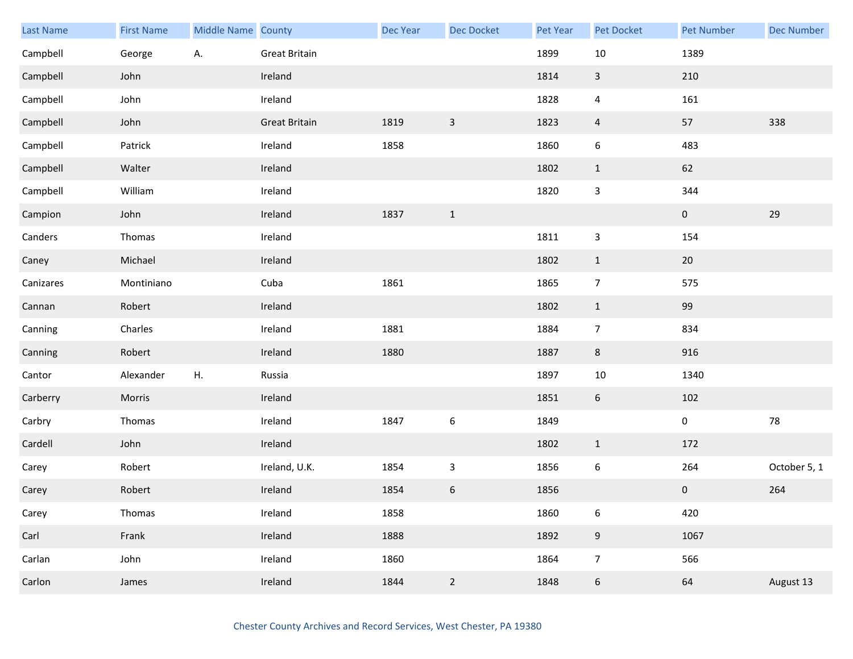| Last Name | <b>First Name</b> | <b>Middle Name County</b> |                      | <b>Dec Year</b> | <b>Dec Docket</b> | Pet Year | Pet Docket       | <b>Pet Number</b> | <b>Dec Number</b> |
|-----------|-------------------|---------------------------|----------------------|-----------------|-------------------|----------|------------------|-------------------|-------------------|
| Campbell  | George            | Α.                        | <b>Great Britain</b> |                 |                   | 1899     | $10\,$           | 1389              |                   |
| Campbell  | John              |                           | Ireland              |                 |                   | 1814     | $\mathbf{3}$     | 210               |                   |
| Campbell  | John              |                           | Ireland              |                 |                   | 1828     | $\overline{a}$   | 161               |                   |
| Campbell  | John              |                           | <b>Great Britain</b> | 1819            | $\mathbf{3}$      | 1823     | $\overline{4}$   | 57                | 338               |
| Campbell  | Patrick           |                           | Ireland              | 1858            |                   | 1860     | $\boldsymbol{6}$ | 483               |                   |
| Campbell  | Walter            |                           | Ireland              |                 |                   | 1802     | $\mathbf{1}$     | 62                |                   |
| Campbell  | William           |                           | Ireland              |                 |                   | 1820     | $\mathbf{3}$     | 344               |                   |
| Campion   | John              |                           | Ireland              | 1837            | $\mathbf{1}$      |          |                  | $\pmb{0}$         | 29                |
| Canders   | Thomas            |                           | Ireland              |                 |                   | 1811     | $\mathsf 3$      | 154               |                   |
| Caney     | Michael           |                           | Ireland              |                 |                   | 1802     | $\mathbf{1}$     | $20\,$            |                   |
| Canizares | Montiniano        |                           | Cuba                 | 1861            |                   | 1865     | $\overline{7}$   | 575               |                   |
| Cannan    | Robert            |                           | Ireland              |                 |                   | 1802     | $\mathbf{1}$     | 99                |                   |
| Canning   | Charles           |                           | Ireland              | 1881            |                   | 1884     | $\overline{7}$   | 834               |                   |
| Canning   | Robert            |                           | Ireland              | 1880            |                   | 1887     | 8                | 916               |                   |
| Cantor    | Alexander         | ${\sf H}.$                | Russia               |                 |                   | 1897     | $10\,$           | 1340              |                   |
| Carberry  | Morris            |                           | Ireland              |                 |                   | 1851     | $6\,$            | 102               |                   |
| Carbry    | Thomas            |                           | Ireland              | 1847            | $\boldsymbol{6}$  | 1849     |                  | $\pmb{0}$         | 78                |
| Cardell   | John              |                           | Ireland              |                 |                   | 1802     | $\mathbf{1}$     | 172               |                   |
| Carey     | Robert            |                           | Ireland, U.K.        | 1854            | $\mathsf{3}$      | 1856     | $\boldsymbol{6}$ | 264               | October 5, 1      |
| Carey     | Robert            |                           | Ireland              | 1854            | $\boldsymbol{6}$  | 1856     |                  | $\pmb{0}$         | 264               |
| Carey     | Thomas            |                           | Ireland              | 1858            |                   | 1860     | $\boldsymbol{6}$ | 420               |                   |
| Carl      | Frank             |                           | Ireland              | 1888            |                   | 1892     | $9\,$            | 1067              |                   |
| Carlan    | John              |                           | Ireland              | 1860            |                   | 1864     | $\overline{7}$   | 566               |                   |
| Carlon    | James             |                           | Ireland              | 1844            | $\overline{2}$    | 1848     | $\boldsymbol{6}$ | 64                | August 13         |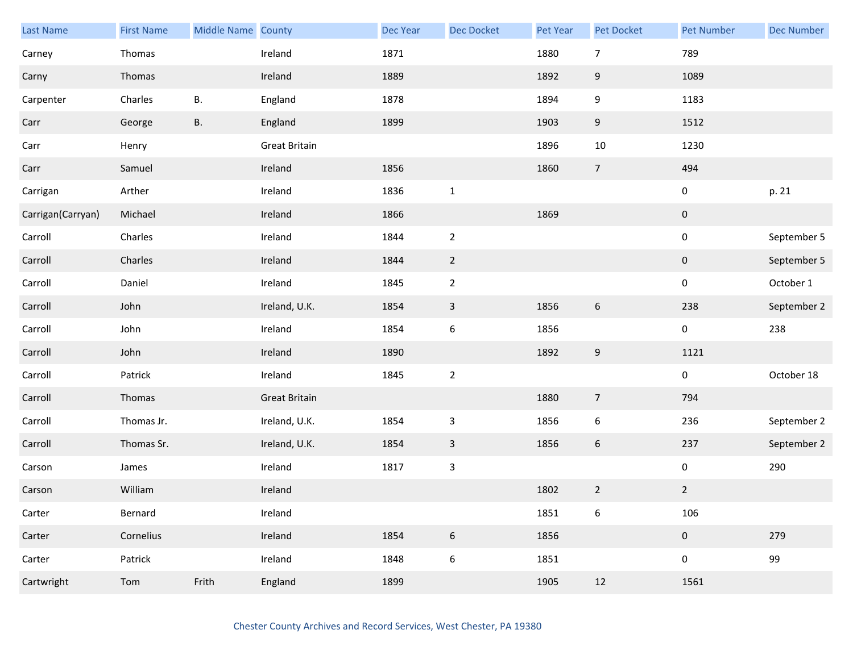| <b>Last Name</b>  | <b>First Name</b> | Middle Name County |                      | Dec Year | <b>Dec Docket</b> | <b>Pet Year</b> | Pet Docket       | <b>Pet Number</b>   | <b>Dec Number</b> |
|-------------------|-------------------|--------------------|----------------------|----------|-------------------|-----------------|------------------|---------------------|-------------------|
| Carney            | Thomas            |                    | Ireland              | 1871     |                   | 1880            | $\overline{7}$   | 789                 |                   |
| Carny             | Thomas            |                    | Ireland              | 1889     |                   | 1892            | $9\,$            | 1089                |                   |
| Carpenter         | Charles           | В.                 | England              | 1878     |                   | 1894            | 9                | 1183                |                   |
| Carr              | George            | В.                 | England              | 1899     |                   | 1903            | 9                | 1512                |                   |
| Carr              | Henry             |                    | Great Britain        |          |                   | 1896            | $10\,$           | 1230                |                   |
| Carr              | Samuel            |                    | Ireland              | 1856     |                   | 1860            | $\overline{7}$   | 494                 |                   |
| Carrigan          | Arther            |                    | Ireland              | 1836     | $\mathbf 1$       |                 |                  | $\mathbf 0$         | p. 21             |
| Carrigan(Carryan) | Michael           |                    | Ireland              | 1866     |                   | 1869            |                  | $\mathbf 0$         |                   |
| Carroll           | Charles           |                    | Ireland              | 1844     | $\overline{2}$    |                 |                  | $\pmb{0}$           | September 5       |
| Carroll           | Charles           |                    | Ireland              | 1844     | $\overline{2}$    |                 |                  | $\mathbf 0$         | September 5       |
| Carroll           | Daniel            |                    | Ireland              | 1845     | $\mathbf 2$       |                 |                  | $\mathbf 0$         | October 1         |
| Carroll           | John              |                    | Ireland, U.K.        | 1854     | $\mathsf{3}$      | 1856            | $\boldsymbol{6}$ | 238                 | September 2       |
| Carroll           | John              |                    | Ireland              | 1854     | $\boldsymbol{6}$  | 1856            |                  | $\pmb{0}$           | 238               |
| Carroll           | John              |                    | Ireland              | 1890     |                   | 1892            | $9\,$            | 1121                |                   |
| Carroll           | Patrick           |                    | Ireland              | 1845     | $\mathbf 2$       |                 |                  | $\mathsf{O}\xspace$ | October 18        |
| Carroll           | Thomas            |                    | <b>Great Britain</b> |          |                   | 1880            | $\overline{7}$   | 794                 |                   |
| Carroll           | Thomas Jr.        |                    | Ireland, U.K.        | 1854     | $\mathsf 3$       | 1856            | $\boldsymbol{6}$ | 236                 | September 2       |
| Carroll           | Thomas Sr.        |                    | Ireland, U.K.        | 1854     | $\mathsf{3}$      | 1856            | $6\,$            | 237                 | September 2       |
| Carson            | James             |                    | Ireland              | 1817     | $\mathsf 3$       |                 |                  | $\mathbf 0$         | 290               |
| Carson            | William           |                    | Ireland              |          |                   | 1802            | $\overline{2}$   | $\overline{2}$      |                   |
| Carter            | Bernard           |                    | Ireland              |          |                   | 1851            | 6                | 106                 |                   |
| Carter            | Cornelius         |                    | Ireland              | 1854     | $\boldsymbol{6}$  | 1856            |                  | $\mathbf{0}$        | 279               |
| Carter            | Patrick           |                    | Ireland              | 1848     | $\boldsymbol{6}$  | 1851            |                  | $\pmb{0}$           | 99                |
| Cartwright        | Tom               | Frith              | England              | 1899     |                   | 1905            | 12               | 1561                |                   |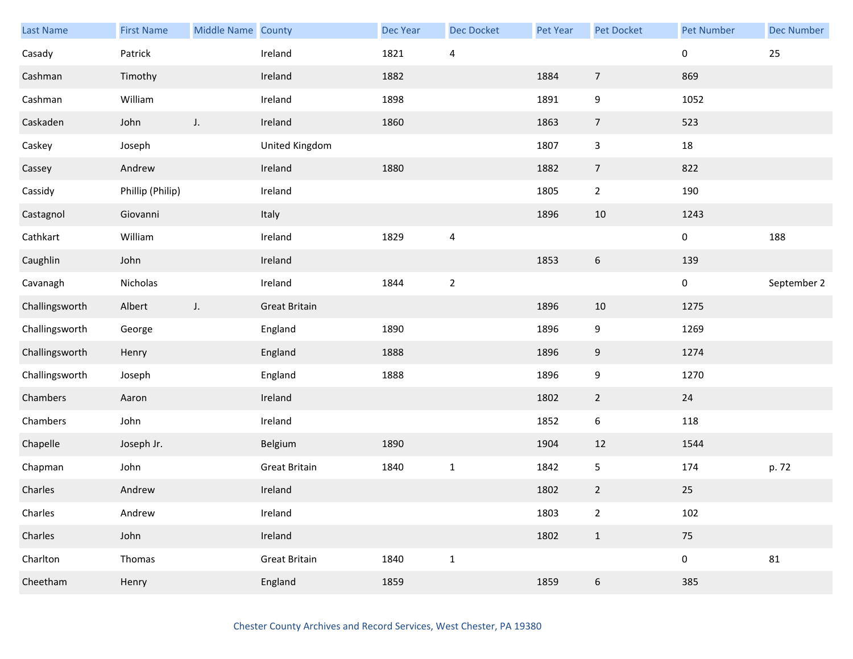| <b>Last Name</b> | <b>First Name</b> | Middle Name County |                      | <b>Dec Year</b> | <b>Dec Docket</b>       | Pet Year | Pet Docket       | Pet Number  | <b>Dec Number</b> |
|------------------|-------------------|--------------------|----------------------|-----------------|-------------------------|----------|------------------|-------------|-------------------|
| Casady           | Patrick           |                    | Ireland              | 1821            | $\overline{\mathbf{4}}$ |          |                  | 0           | 25                |
| Cashman          | Timothy           |                    | Ireland              | 1882            |                         | 1884     | $\overline{7}$   | 869         |                   |
| Cashman          | William           |                    | Ireland              | 1898            |                         | 1891     | 9                | 1052        |                   |
| Caskaden         | John              | J.                 | Ireland              | 1860            |                         | 1863     | $\overline{7}$   | 523         |                   |
| Caskey           | Joseph            |                    | United Kingdom       |                 |                         | 1807     | $\mathbf{3}$     | 18          |                   |
| Cassey           | Andrew            |                    | Ireland              | 1880            |                         | 1882     | $\overline{7}$   | 822         |                   |
| Cassidy          | Phillip (Philip)  |                    | Ireland              |                 |                         | 1805     | $\overline{2}$   | 190         |                   |
| Castagnol        | Giovanni          |                    | Italy                |                 |                         | 1896     | $10\,$           | 1243        |                   |
| Cathkart         | William           |                    | Ireland              | 1829            | $\overline{\mathbf{4}}$ |          |                  | 0           | 188               |
| Caughlin         | John              |                    | Ireland              |                 |                         | 1853     | $\boldsymbol{6}$ | 139         |                   |
| Cavanagh         | Nicholas          |                    | Ireland              | 1844            | $\sqrt{2}$              |          |                  | 0           | September 2       |
| Challingsworth   | Albert            | J.                 | <b>Great Britain</b> |                 |                         | 1896     | 10               | 1275        |                   |
| Challingsworth   | George            |                    | England              | 1890            |                         | 1896     | 9                | 1269        |                   |
| Challingsworth   | Henry             |                    | England              | 1888            |                         | 1896     | 9                | 1274        |                   |
| Challingsworth   | Joseph            |                    | England              | 1888            |                         | 1896     | 9                | 1270        |                   |
| Chambers         | Aaron             |                    | Ireland              |                 |                         | 1802     | $\overline{2}$   | 24          |                   |
| Chambers         | John              |                    | Ireland              |                 |                         | 1852     | $\boldsymbol{6}$ | 118         |                   |
| Chapelle         | Joseph Jr.        |                    | Belgium              | 1890            |                         | 1904     | 12               | 1544        |                   |
| Chapman          | John              |                    | <b>Great Britain</b> | 1840            | $\mathbf{1}$            | 1842     | 5                | 174         | p. 72             |
| Charles          | Andrew            |                    | Ireland              |                 |                         | 1802     | $\overline{2}$   | 25          |                   |
| Charles          | Andrew            |                    | Ireland              |                 |                         | 1803     | $\overline{2}$   | 102         |                   |
| Charles          | John              |                    | Ireland              |                 |                         | 1802     | $\mathbf 1$      | 75          |                   |
| Charlton         | Thomas            |                    | <b>Great Britain</b> | 1840            | $\mathbf 1$             |          |                  | $\mathbf 0$ | 81                |
| Cheetham         | Henry             |                    | England              | 1859            |                         | 1859     | 6                | 385         |                   |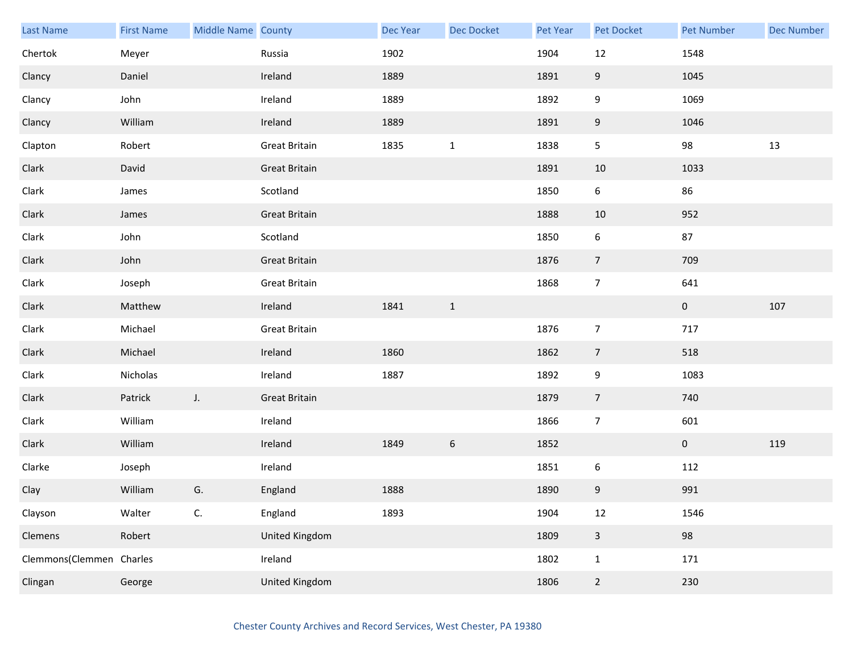| Last Name                | <b>First Name</b> | Middle Name County |                       | <b>Dec Year</b> | <b>Dec Docket</b> | Pet Year | <b>Pet Docket</b>       | <b>Pet Number</b> | <b>Dec Number</b> |
|--------------------------|-------------------|--------------------|-----------------------|-----------------|-------------------|----------|-------------------------|-------------------|-------------------|
| Chertok                  | Meyer             |                    | Russia                | 1902            |                   | 1904     | 12                      | 1548              |                   |
| Clancy                   | Daniel            |                    | Ireland               | 1889            |                   | 1891     | 9                       | 1045              |                   |
| Clancy                   | John              |                    | Ireland               | 1889            |                   | 1892     | 9                       | 1069              |                   |
| Clancy                   | William           |                    | Ireland               | 1889            |                   | 1891     | 9                       | 1046              |                   |
| Clapton                  | Robert            |                    | <b>Great Britain</b>  | 1835            | $\mathbf{1}$      | 1838     | 5                       | 98                | 13                |
| Clark                    | David             |                    | <b>Great Britain</b>  |                 |                   | 1891     | $10\,$                  | 1033              |                   |
| Clark                    | James             |                    | Scotland              |                 |                   | 1850     | 6                       | 86                |                   |
| Clark                    | James             |                    | <b>Great Britain</b>  |                 |                   | 1888     | 10                      | 952               |                   |
| Clark                    | John              |                    | Scotland              |                 |                   | 1850     | $\boldsymbol{6}$        | 87                |                   |
| Clark                    | John              |                    | <b>Great Britain</b>  |                 |                   | 1876     | $\overline{7}$          | 709               |                   |
| Clark                    | Joseph            |                    | <b>Great Britain</b>  |                 |                   | 1868     | $\overline{7}$          | 641               |                   |
| Clark                    | Matthew           |                    | Ireland               | 1841            | $\mathbf{1}$      |          |                         | $\mathbf 0$       | 107               |
| Clark                    | Michael           |                    | Great Britain         |                 |                   | 1876     | $\boldsymbol{7}$        | 717               |                   |
| Clark                    | Michael           |                    | Ireland               | 1860            |                   | 1862     | $\overline{7}$          | 518               |                   |
| Clark                    | Nicholas          |                    | Ireland               | 1887            |                   | 1892     | 9                       | 1083              |                   |
| Clark                    | Patrick           | $J_{\star}$        | <b>Great Britain</b>  |                 |                   | 1879     | $\overline{7}$          | 740               |                   |
| Clark                    | William           |                    | Ireland               |                 |                   | 1866     | $\overline{7}$          | 601               |                   |
| Clark                    | William           |                    | Ireland               | 1849            | $\sqrt{6}$        | 1852     |                         | $\mathbf{0}$      | 119               |
| Clarke                   | Joseph            |                    | Ireland               |                 |                   | 1851     | 6                       | 112               |                   |
| Clay                     | William           | G.                 | England               | 1888            |                   | 1890     | $\boldsymbol{9}$        | 991               |                   |
| Clayson                  | Walter            | C.                 | England               | 1893            |                   | 1904     | 12                      | 1546              |                   |
| Clemens                  | Robert            |                    | United Kingdom        |                 |                   | 1809     | $\overline{\mathbf{3}}$ | 98                |                   |
| Clemmons(Clemmen Charles |                   |                    | Ireland               |                 |                   | 1802     | $\mathbf{1}$            | 171               |                   |
| Clingan                  | George            |                    | <b>United Kingdom</b> |                 |                   | 1806     | $\overline{2}$          | 230               |                   |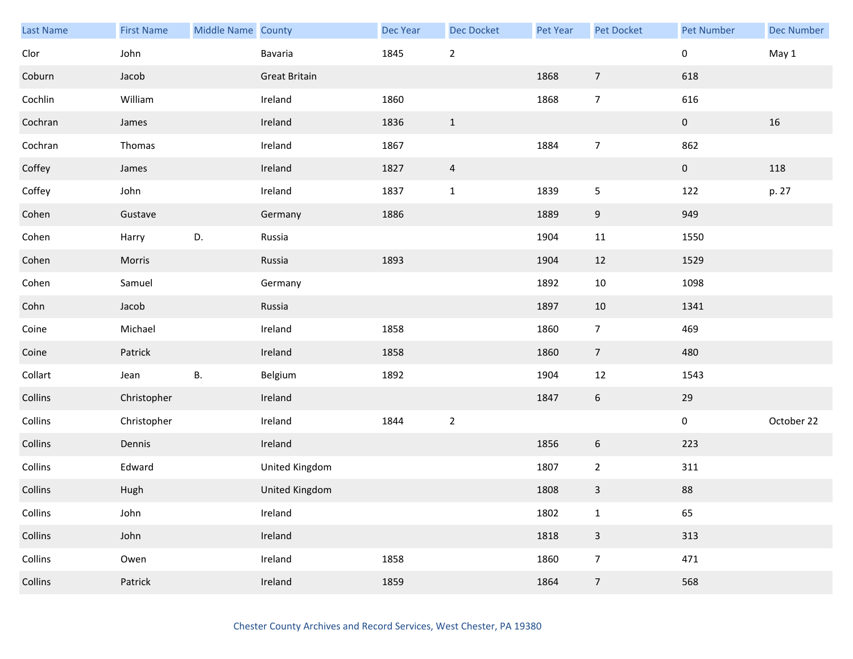| Last Name | <b>First Name</b> | Middle Name County |                      | Dec Year | Dec Docket     | <b>Pet Year</b> | Pet Docket     | <b>Pet Number</b> | <b>Dec Number</b> |
|-----------|-------------------|--------------------|----------------------|----------|----------------|-----------------|----------------|-------------------|-------------------|
| Clor      | John              |                    | Bavaria              | 1845     | $\mathbf 2$    |                 |                | 0                 | May 1             |
| Coburn    | Jacob             |                    | <b>Great Britain</b> |          |                | 1868            | $\overline{7}$ | 618               |                   |
| Cochlin   | William           |                    | Ireland              | 1860     |                | 1868            | $\overline{7}$ | 616               |                   |
| Cochran   | James             |                    | Ireland              | 1836     | $\mathbf{1}$   |                 |                | $\mathbf{0}$      | 16                |
| Cochran   | Thomas            |                    | Ireland              | 1867     |                | 1884            | $\overline{7}$ | 862               |                   |
| Coffey    | James             |                    | Ireland              | 1827     | $\overline{a}$ |                 |                | $\pmb{0}$         | 118               |
| Coffey    | John              |                    | Ireland              | 1837     | $1\,$          | 1839            | 5              | 122               | p. 27             |
| Cohen     | Gustave           |                    | Germany              | 1886     |                | 1889            | $9\,$          | 949               |                   |
| Cohen     | Harry             | D.                 | Russia               |          |                | 1904            | 11             | 1550              |                   |
| Cohen     | Morris            |                    | Russia               | 1893     |                | 1904            | 12             | 1529              |                   |
| Cohen     | Samuel            |                    | Germany              |          |                | 1892            | $10\,$         | 1098              |                   |
| Cohn      | Jacob             |                    | Russia               |          |                | 1897            | 10             | 1341              |                   |
| Coine     | Michael           |                    | Ireland              | 1858     |                | 1860            | $\overline{7}$ | 469               |                   |
| Coine     | Patrick           |                    | Ireland              | 1858     |                | 1860            | $\overline{7}$ | 480               |                   |
| Collart   | Jean              | В.                 | Belgium              | 1892     |                | 1904            | 12             | 1543              |                   |
| Collins   | Christopher       |                    | Ireland              |          |                | 1847            | $\sqrt{6}$     | 29                |                   |
| Collins   | Christopher       |                    | Ireland              | 1844     | $\mathbf 2$    |                 |                | $\pmb{0}$         | October 22        |
| Collins   | Dennis            |                    | Ireland              |          |                | 1856            | 6              | 223               |                   |
| Collins   | Edward            |                    | United Kingdom       |          |                | 1807            | $\mathbf{2}$   | 311               |                   |
| Collins   | Hugh              |                    | United Kingdom       |          |                | 1808            | $\mathbf{3}$   | 88                |                   |
| Collins   | John              |                    | Ireland              |          |                | 1802            | $\mathbf 1$    | 65                |                   |
| Collins   | John              |                    | Ireland              |          |                | 1818            | $\mathbf{3}$   | 313               |                   |
| Collins   | Owen              |                    | Ireland              | 1858     |                | 1860            | $\overline{7}$ | 471               |                   |
| Collins   | Patrick           |                    | Ireland              | 1859     |                | 1864            | $\overline{7}$ | 568               |                   |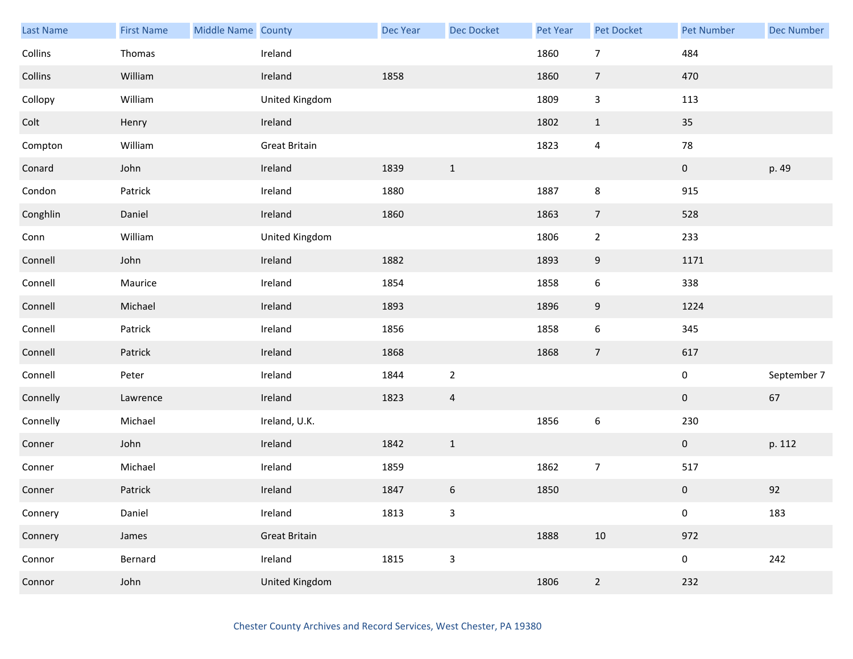| <b>Last Name</b> | <b>First Name</b> | Middle Name County |                      | Dec Year | <b>Dec Docket</b>         | Pet Year | Pet Docket       | <b>Pet Number</b> | <b>Dec Number</b> |
|------------------|-------------------|--------------------|----------------------|----------|---------------------------|----------|------------------|-------------------|-------------------|
| Collins          | Thomas            |                    | Ireland              |          |                           | 1860     | $\overline{7}$   | 484               |                   |
| Collins          | William           |                    | Ireland              | 1858     |                           | 1860     | $\overline{7}$   | 470               |                   |
| Collopy          | William           |                    | United Kingdom       |          |                           | 1809     | 3                | 113               |                   |
| Colt             | Henry             |                    | Ireland              |          |                           | 1802     | $\mathbf{1}$     | 35                |                   |
| Compton          | William           |                    | <b>Great Britain</b> |          |                           | 1823     | $\overline{4}$   | 78                |                   |
| Conard           | John              |                    | Ireland              | 1839     | $\mathbf 1$               |          |                  | $\pmb{0}$         | p. 49             |
| Condon           | Patrick           |                    | Ireland              | 1880     |                           | 1887     | 8                | 915               |                   |
| Conghlin         | Daniel            |                    | Ireland              | 1860     |                           | 1863     | $\overline{7}$   | 528               |                   |
| Conn             | William           |                    | United Kingdom       |          |                           | 1806     | $\overline{2}$   | 233               |                   |
| Connell          | John              |                    | Ireland              | 1882     |                           | 1893     | 9                | 1171              |                   |
| Connell          | Maurice           |                    | Ireland              | 1854     |                           | 1858     | 6                | 338               |                   |
| Connell          | Michael           |                    | Ireland              | 1893     |                           | 1896     | 9                | 1224              |                   |
| Connell          | Patrick           |                    | Ireland              | 1856     |                           | 1858     | 6                | 345               |                   |
| Connell          | Patrick           |                    | Ireland              | 1868     |                           | 1868     | $\overline{7}$   | 617               |                   |
| Connell          | Peter             |                    | Ireland              | 1844     | $\overline{2}$            |          |                  | $\pmb{0}$         | September 7       |
| Connelly         | Lawrence          |                    | Ireland              | 1823     | $\overline{4}$            |          |                  | $\mathbf 0$       | 67                |
| Connelly         | Michael           |                    | Ireland, U.K.        |          |                           | 1856     | $\boldsymbol{6}$ | 230               |                   |
| Conner           | John              |                    | Ireland              | 1842     | $\mathbf{1}$              |          |                  | $\overline{0}$    | p. 112            |
| Conner           | Michael           |                    | Ireland              | 1859     |                           | 1862     | $\overline{7}$   | 517               |                   |
| Conner           | Patrick           |                    | Ireland              | 1847     | $\boldsymbol{6}$          | 1850     |                  | $\pmb{0}$         | 92                |
| Connery          | Daniel            |                    | Ireland              | 1813     | $\ensuremath{\mathsf{3}}$ |          |                  | 0                 | 183               |
| Connery          | James             |                    | <b>Great Britain</b> |          |                           | 1888     | $10\,$           | 972               |                   |
| Connor           | Bernard           |                    | Ireland              | 1815     | $\mathbf{3}$              |          |                  | $\pmb{0}$         | 242               |
| Connor           | John              |                    | United Kingdom       |          |                           | 1806     | $\overline{a}$   | 232               |                   |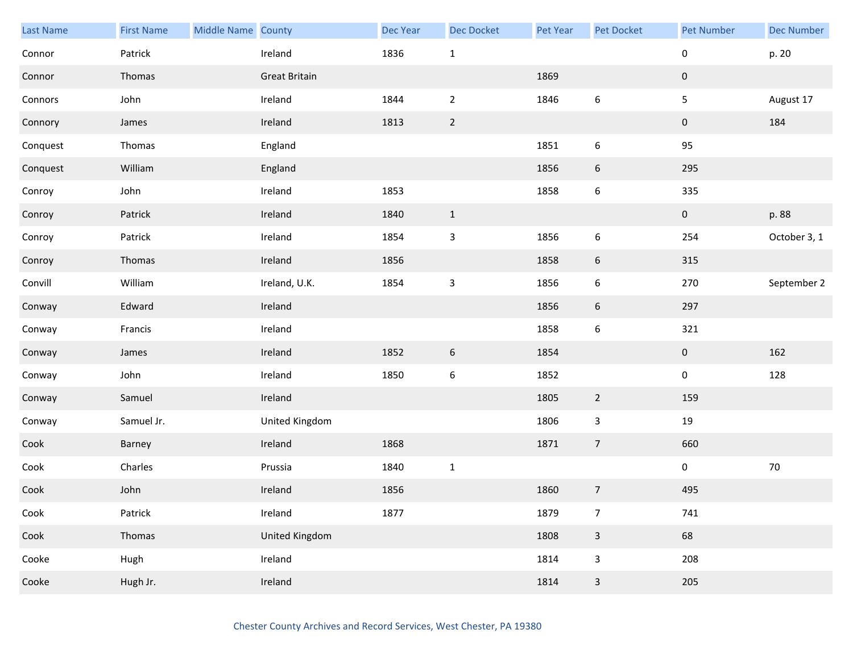| Last Name | <b>First Name</b> | Middle Name County |                      | Dec Year | <b>Dec Docket</b>         | Pet Year | Pet Docket               | Pet Number   | <b>Dec Number</b> |
|-----------|-------------------|--------------------|----------------------|----------|---------------------------|----------|--------------------------|--------------|-------------------|
| Connor    | Patrick           |                    | Ireland              | 1836     | $\mathbf 1$               |          |                          | 0            | p. 20             |
| Connor    | Thomas            |                    | <b>Great Britain</b> |          |                           | 1869     |                          | $\mathbf 0$  |                   |
| Connors   | John              |                    | Ireland              | 1844     | $\mathbf 2$               | 1846     | 6                        | 5            | August 17         |
| Connory   | James             |                    | Ireland              | 1813     | $\overline{2}$            |          |                          | $\mathbf{0}$ | 184               |
| Conquest  | Thomas            |                    | England              |          |                           | 1851     | 6                        | 95           |                   |
| Conquest  | William           |                    | England              |          |                           | 1856     | $\boldsymbol{6}$         | 295          |                   |
| Conroy    | John              |                    | Ireland              | 1853     |                           | 1858     | 6                        | 335          |                   |
| Conroy    | Patrick           |                    | Ireland              | 1840     | $1\,$                     |          |                          | $\mathbf 0$  | p. 88             |
| Conroy    | Patrick           |                    | Ireland              | 1854     | $\ensuremath{\mathsf{3}}$ | 1856     | 6                        | 254          | October 3, 1      |
| Conroy    | Thomas            |                    | Ireland              | 1856     |                           | 1858     | 6                        | 315          |                   |
| Convill   | William           |                    | Ireland, U.K.        | 1854     | $\ensuremath{\mathsf{3}}$ | 1856     | 6                        | 270          | September 2       |
| Conway    | Edward            |                    | Ireland              |          |                           | 1856     | 6                        | 297          |                   |
| Conway    | Francis           |                    | Ireland              |          |                           | 1858     | 6                        | 321          |                   |
| Conway    | James             |                    | Ireland              | 1852     | $\boldsymbol{6}$          | 1854     |                          | $\mathbf{0}$ | 162               |
| Conway    | John              |                    | Ireland              | 1850     | $\boldsymbol{6}$          | 1852     |                          | $\pmb{0}$    | 128               |
| Conway    | Samuel            |                    | Ireland              |          |                           | 1805     | $\overline{2}$           | 159          |                   |
| Conway    | Samuel Jr.        |                    | United Kingdom       |          |                           | 1806     | $\mathbf{3}$             | 19           |                   |
| Cook      | Barney            |                    | Ireland              | 1868     |                           | 1871     | $\overline{7}$           | 660          |                   |
| Cook      | Charles           |                    | Prussia              | 1840     | $1\,$                     |          |                          | $\pmb{0}$    | $70\,$            |
| Cook      | John              |                    | Ireland              | 1856     |                           | 1860     | $\overline{\phantom{a}}$ | 495          |                   |
| Cook      | Patrick           |                    | Ireland              | 1877     |                           | 1879     | $\overline{7}$           | 741          |                   |
| Cook      | Thomas            |                    | United Kingdom       |          |                           | 1808     | $\mathbf{3}$             | 68           |                   |
| Cooke     | Hugh              |                    | Ireland              |          |                           | 1814     | 3                        | 208          |                   |
| Cooke     | Hugh Jr.          |                    | Ireland              |          |                           | 1814     | $\mathbf{3}$             | 205          |                   |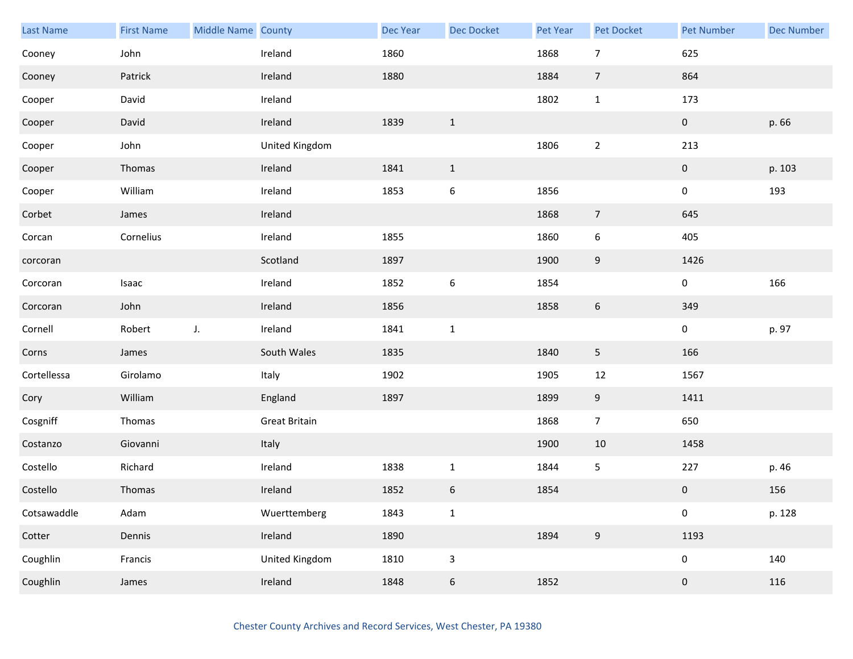| Last Name   | <b>First Name</b> | Middle Name County |                      | Dec Year | <b>Dec Docket</b> | Pet Year | Pet Docket       | <b>Pet Number</b> | <b>Dec Number</b> |
|-------------|-------------------|--------------------|----------------------|----------|-------------------|----------|------------------|-------------------|-------------------|
| Cooney      | John              |                    | Ireland              | 1860     |                   | 1868     | $\overline{7}$   | 625               |                   |
| Cooney      | Patrick           |                    | Ireland              | 1880     |                   | 1884     | $\overline{7}$   | 864               |                   |
| Cooper      | David             |                    | Ireland              |          |                   | 1802     | $\mathbf{1}$     | 173               |                   |
| Cooper      | David             |                    | Ireland              | 1839     | $\mathbf{1}$      |          |                  | $\overline{0}$    | p. 66             |
| Cooper      | John              |                    | United Kingdom       |          |                   | 1806     | $\overline{2}$   | 213               |                   |
| Cooper      | Thomas            |                    | Ireland              | 1841     | $\mathbf{1}$      |          |                  | 0                 | p. 103            |
| Cooper      | William           |                    | Ireland              | 1853     | $\,$ 6 $\,$       | 1856     |                  | 0                 | 193               |
| Corbet      | James             |                    | Ireland              |          |                   | 1868     | $\overline{7}$   | 645               |                   |
| Corcan      | Cornelius         |                    | Ireland              | 1855     |                   | 1860     | 6                | 405               |                   |
| corcoran    |                   |                    | Scotland             | 1897     |                   | 1900     | 9                | 1426              |                   |
| Corcoran    | Isaac             |                    | Ireland              | 1852     | $\boldsymbol{6}$  | 1854     |                  | 0                 | 166               |
| Corcoran    | John              |                    | Ireland              | 1856     |                   | 1858     | $\boldsymbol{6}$ | 349               |                   |
| Cornell     | Robert            | J.                 | Ireland              | 1841     | $1\,$             |          |                  | 0                 | p. 97             |
| Corns       | James             |                    | South Wales          | 1835     |                   | 1840     | 5                | 166               |                   |
| Cortellessa | Girolamo          |                    | Italy                | 1902     |                   | 1905     | $12\,$           | 1567              |                   |
| Cory        | William           |                    | England              | 1897     |                   | 1899     | 9                | 1411              |                   |
| Cosgniff    | Thomas            |                    | <b>Great Britain</b> |          |                   | 1868     | $\overline{7}$   | 650               |                   |
| Costanzo    | Giovanni          |                    | Italy                |          |                   | 1900     | 10               | 1458              |                   |
| Costello    | Richard           |                    | Ireland              | 1838     | $\mathbf{1}$      | 1844     | 5                | 227               | p. 46             |
| Costello    | Thomas            |                    | Ireland              | 1852     | $\,$ 6 $\,$       | 1854     |                  | $\pmb{0}$         | 156               |
| Cotsawaddle | Adam              |                    | Wuerttemberg         | 1843     | $\mathbf 1$       |          |                  | $\pmb{0}$         | p. 128            |
| Cotter      | Dennis            |                    | Ireland              | 1890     |                   | 1894     | $9\,$            | 1193              |                   |
| Coughlin    | Francis           |                    | United Kingdom       | 1810     | $\mathsf 3$       |          |                  | 0                 | 140               |
| Coughlin    | James             |                    | Ireland              | 1848     | $\sqrt{6}$        | 1852     |                  | $\pmb{0}$         | 116               |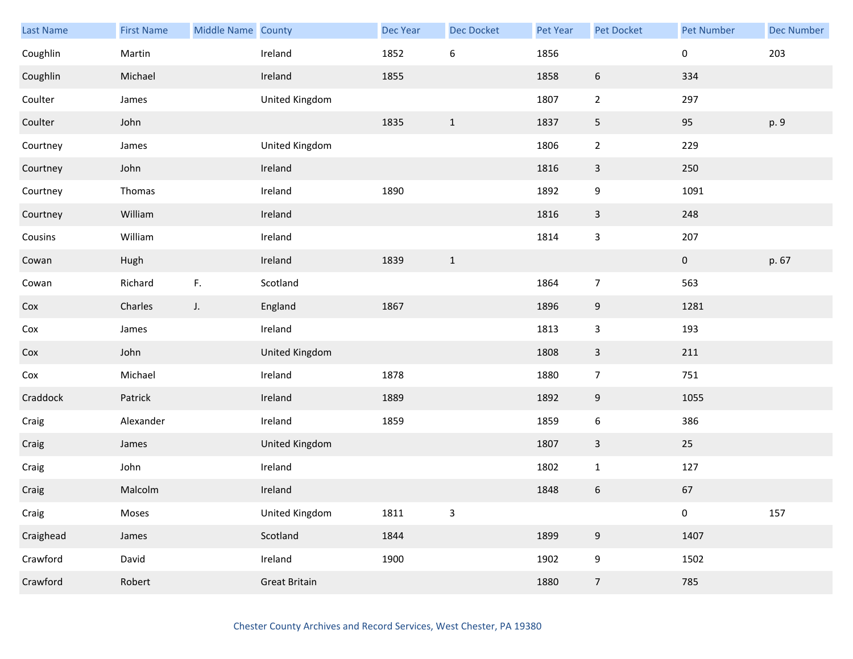| Last Name | <b>First Name</b> | Middle Name County |                      | Dec Year | <b>Dec Docket</b> | Pet Year | Pet Docket       | <b>Pet Number</b> | <b>Dec Number</b> |
|-----------|-------------------|--------------------|----------------------|----------|-------------------|----------|------------------|-------------------|-------------------|
| Coughlin  | Martin            |                    | Ireland              | 1852     | 6                 | 1856     |                  | 0                 | 203               |
| Coughlin  | Michael           |                    | Ireland              | 1855     |                   | 1858     | $\boldsymbol{6}$ | 334               |                   |
| Coulter   | James             |                    | United Kingdom       |          |                   | 1807     | $\overline{2}$   | 297               |                   |
| Coulter   | John              |                    |                      | 1835     | $\mathbf{1}$      | 1837     | 5                | 95                | p. 9              |
| Courtney  | James             |                    | United Kingdom       |          |                   | 1806     | $\mathbf{2}$     | 229               |                   |
| Courtney  | John              |                    | Ireland              |          |                   | 1816     | $\mathbf{3}$     | 250               |                   |
| Courtney  | Thomas            |                    | Ireland              | 1890     |                   | 1892     | 9                | 1091              |                   |
| Courtney  | William           |                    | Ireland              |          |                   | 1816     | $\mathbf{3}$     | 248               |                   |
| Cousins   | William           |                    | Ireland              |          |                   | 1814     | 3                | 207               |                   |
| Cowan     | Hugh              |                    | Ireland              | 1839     | $\mathbf{1}$      |          |                  | $\mathbf{0}$      | p. 67             |
| Cowan     | Richard           | F.                 | Scotland             |          |                   | 1864     | $\overline{7}$   | 563               |                   |
| Cox       | Charles           | $J_{\star}$        | England              | 1867     |                   | 1896     | 9                | 1281              |                   |
| Cox       | James             |                    | Ireland              |          |                   | 1813     | 3                | 193               |                   |
| Cox       | John              |                    | United Kingdom       |          |                   | 1808     | $\mathbf{3}$     | 211               |                   |
| Cox       | Michael           |                    | Ireland              | 1878     |                   | 1880     | $\overline{7}$   | 751               |                   |
| Craddock  | Patrick           |                    | Ireland              | 1889     |                   | 1892     | 9                | 1055              |                   |
| Craig     | Alexander         |                    | Ireland              | 1859     |                   | 1859     | 6                | 386               |                   |
| Craig     | James             |                    | United Kingdom       |          |                   | 1807     | 3                | 25                |                   |
| Craig     | John              |                    | Ireland              |          |                   | 1802     | $\mathbf{1}$     | 127               |                   |
| Craig     | Malcolm           |                    | Ireland              |          |                   | 1848     | 6                | 67                |                   |
| Craig     | Moses             |                    | United Kingdom       | 1811     | $\mathsf 3$       |          |                  | 0                 | 157               |
| Craighead | James             |                    | Scotland             | 1844     |                   | 1899     | 9                | 1407              |                   |
| Crawford  | David             |                    | Ireland              | 1900     |                   | 1902     | 9                | 1502              |                   |
| Crawford  | Robert            |                    | <b>Great Britain</b> |          |                   | 1880     | $\overline{7}$   | 785               |                   |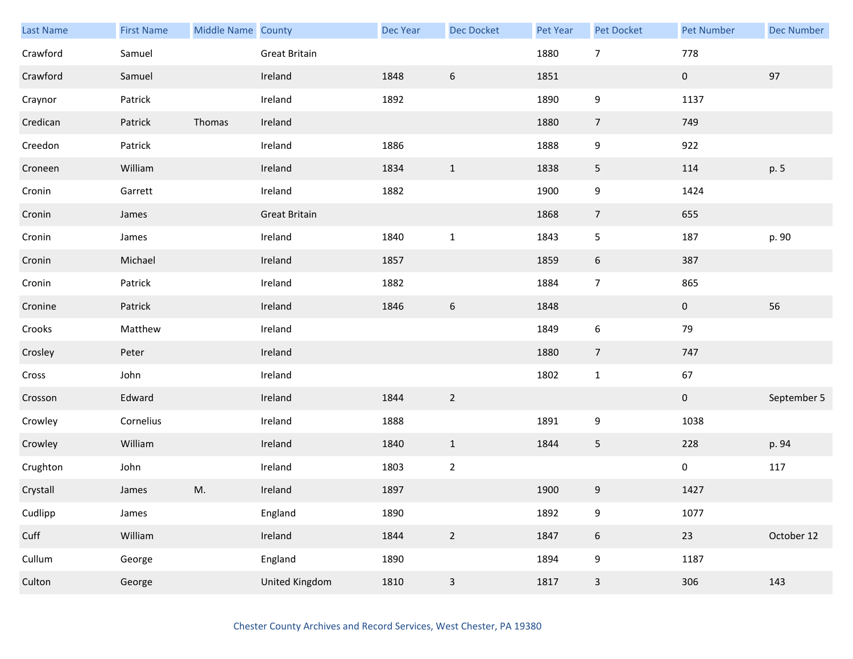| Last Name | <b>First Name</b> | Middle Name County |                      | <b>Dec Year</b> | <b>Dec Docket</b> | Pet Year | <b>Pet Docket</b> | <b>Pet Number</b> | <b>Dec Number</b> |
|-----------|-------------------|--------------------|----------------------|-----------------|-------------------|----------|-------------------|-------------------|-------------------|
| Crawford  | Samuel            |                    | <b>Great Britain</b> |                 |                   | 1880     | $\overline{7}$    | 778               |                   |
| Crawford  | Samuel            |                    | Ireland              | 1848            | $\boldsymbol{6}$  | 1851     |                   | $\pmb{0}$         | 97                |
| Craynor   | Patrick           |                    | Ireland              | 1892            |                   | 1890     | $\boldsymbol{9}$  | 1137              |                   |
| Credican  | Patrick           | Thomas             | Ireland              |                 |                   | 1880     | $\overline{7}$    | 749               |                   |
| Creedon   | Patrick           |                    | Ireland              | 1886            |                   | 1888     | 9                 | 922               |                   |
| Croneen   | William           |                    | Ireland              | 1834            | $\mathbf{1}$      | 1838     | $\overline{5}$    | 114               | p. 5              |
| Cronin    | Garrett           |                    | Ireland              | 1882            |                   | 1900     | 9                 | 1424              |                   |
| Cronin    | James             |                    | <b>Great Britain</b> |                 |                   | 1868     | $\overline{7}$    | 655               |                   |
| Cronin    | James             |                    | Ireland              | 1840            | $1\,$             | 1843     | 5                 | 187               | p. 90             |
| Cronin    | Michael           |                    | Ireland              | 1857            |                   | 1859     | $\boldsymbol{6}$  | 387               |                   |
| Cronin    | Patrick           |                    | Ireland              | 1882            |                   | 1884     | $\overline{7}$    | 865               |                   |
| Cronine   | Patrick           |                    | Ireland              | 1846            | $\sqrt{6}$        | 1848     |                   | $\mathbf 0$       | 56                |
| Crooks    | Matthew           |                    | Ireland              |                 |                   | 1849     | $\boldsymbol{6}$  | 79                |                   |
| Crosley   | Peter             |                    | Ireland              |                 |                   | 1880     | $\overline{7}$    | 747               |                   |
| Cross     | John              |                    | Ireland              |                 |                   | 1802     | $\mathbf 1$       | 67                |                   |
| Crosson   | Edward            |                    | Ireland              | 1844            | $\overline{2}$    |          |                   | $\boldsymbol{0}$  | September 5       |
| Crowley   | Cornelius         |                    | Ireland              | 1888            |                   | 1891     | 9                 | 1038              |                   |
| Crowley   | William           |                    | Ireland              | 1840            | $\mathbf{1}$      | 1844     | 5                 | 228               | p. 94             |
| Crughton  | John              |                    | Ireland              | 1803            | $\overline{2}$    |          |                   | $\pmb{0}$         | 117               |
| Crystall  | James             | M.                 | Ireland              | 1897            |                   | 1900     | $9\,$             | 1427              |                   |
| Cudlipp   | James             |                    | England              | 1890            |                   | 1892     | $\boldsymbol{9}$  | 1077              |                   |
| Cuff      | William           |                    | Ireland              | 1844            | $\overline{2}$    | 1847     | $6\phantom{.}6$   | $23\,$            | October 12        |
| Cullum    | George            |                    | England              | 1890            |                   | 1894     | 9                 | 1187              |                   |
| Culton    | George            |                    | United Kingdom       | 1810            | $\mathsf 3$       | 1817     | $\mathbf{3}$      | 306               | 143               |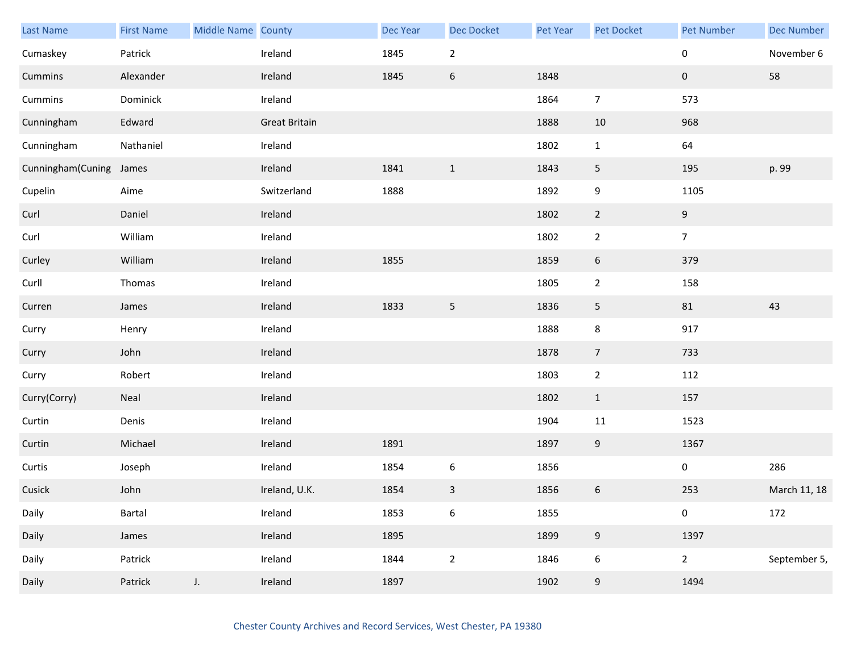| Last Name         | <b>First Name</b> | Middle Name County |                      | <b>Dec Year</b> | Dec Docket       | Pet Year | Pet Docket       | <b>Pet Number</b> | <b>Dec Number</b> |
|-------------------|-------------------|--------------------|----------------------|-----------------|------------------|----------|------------------|-------------------|-------------------|
| Cumaskey          | Patrick           |                    | Ireland              | 1845            | $\mathbf 2$      |          |                  | 0                 | November 6        |
| Cummins           | Alexander         |                    | Ireland              | 1845            | $\boldsymbol{6}$ | 1848     |                  | $\pmb{0}$         | 58                |
| Cummins           | Dominick          |                    | Ireland              |                 |                  | 1864     | $\overline{7}$   | 573               |                   |
| Cunningham        | Edward            |                    | <b>Great Britain</b> |                 |                  | 1888     | 10               | 968               |                   |
| Cunningham        | Nathaniel         |                    | Ireland              |                 |                  | 1802     | $\mathbf{1}$     | 64                |                   |
| Cunningham(Cuning | James             |                    | Ireland              | 1841            | $\mathbf{1}$     | 1843     | 5                | 195               | p. 99             |
| Cupelin           | Aime              |                    | Switzerland          | 1888            |                  | 1892     | 9                | 1105              |                   |
| Curl              | Daniel            |                    | Ireland              |                 |                  | 1802     | $\overline{2}$   | 9                 |                   |
| Curl              | William           |                    | Ireland              |                 |                  | 1802     | $\overline{2}$   | $\overline{7}$    |                   |
| Curley            | William           |                    | Ireland              | 1855            |                  | 1859     | 6                | 379               |                   |
| Curll             | Thomas            |                    | Ireland              |                 |                  | 1805     | $\overline{2}$   | 158               |                   |
| Curren            | James             |                    | Ireland              | 1833            | 5                | 1836     | 5                | 81                | 43                |
| Curry             | Henry             |                    | Ireland              |                 |                  | 1888     | 8                | 917               |                   |
| Curry             | John              |                    | Ireland              |                 |                  | 1878     | $\overline{7}$   | 733               |                   |
| Curry             | Robert            |                    | Ireland              |                 |                  | 1803     | $\overline{2}$   | 112               |                   |
| Curry(Corry)      | Neal              |                    | Ireland              |                 |                  | 1802     | $\mathbf{1}$     | 157               |                   |
| Curtin            | Denis             |                    | Ireland              |                 |                  | 1904     | 11               | 1523              |                   |
| Curtin            | Michael           |                    | Ireland              | 1891            |                  | 1897     | 9                | 1367              |                   |
| Curtis            | Joseph            |                    | Ireland              | 1854            | $\boldsymbol{6}$ | 1856     |                  | 0                 | 286               |
| Cusick            | John              |                    | Ireland, U.K.        | 1854            | $\mathbf{3}$     | 1856     | $\,$ 6 $\,$      | 253               | March 11, 18      |
| Daily             | Bartal            |                    | Ireland              | 1853            | $\boldsymbol{6}$ | 1855     |                  | 0                 | 172               |
| Daily             | James             |                    | Ireland              | 1895            |                  | 1899     | $9\,$            | 1397              |                   |
| Daily             | Patrick           |                    | Ireland              | 1844            | $\overline{2}$   | 1846     | $\boldsymbol{6}$ | $\overline{2}$    | September 5,      |
| Daily             | Patrick           | $J_{\star}$        | Ireland              | 1897            |                  | 1902     | 9                | 1494              |                   |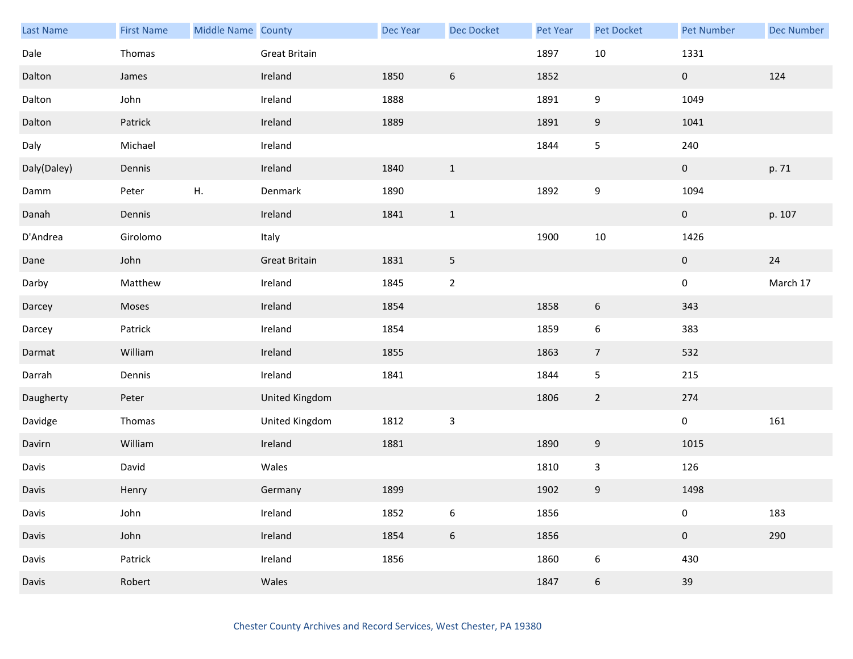| Last Name   | <b>First Name</b> | Middle Name County |                      | Dec Year | <b>Dec Docket</b> | Pet Year | Pet Docket     | <b>Pet Number</b> | <b>Dec Number</b> |
|-------------|-------------------|--------------------|----------------------|----------|-------------------|----------|----------------|-------------------|-------------------|
| Dale        | Thomas            |                    | Great Britain        |          |                   | 1897     | 10             | 1331              |                   |
| Dalton      | James             |                    | Ireland              | 1850     | $\boldsymbol{6}$  | 1852     |                | 0                 | 124               |
| Dalton      | John              |                    | Ireland              | 1888     |                   | 1891     | 9              | 1049              |                   |
| Dalton      | Patrick           |                    | Ireland              | 1889     |                   | 1891     | 9              | 1041              |                   |
| Daly        | Michael           |                    | Ireland              |          |                   | 1844     | 5              | 240               |                   |
| Daly(Daley) | Dennis            |                    | Ireland              | 1840     | $\mathbf{1}$      |          |                | $\mathbf 0$       | p. 71             |
| Damm        | Peter             | Н.                 | Denmark              | 1890     |                   | 1892     | 9              | 1094              |                   |
| Danah       | Dennis            |                    | Ireland              | 1841     | $\mathbf{1}$      |          |                | $\mathbf{0}$      | p. 107            |
| D'Andrea    | Girolomo          |                    | Italy                |          |                   | 1900     | $10\,$         | 1426              |                   |
| Dane        | John              |                    | <b>Great Britain</b> | 1831     | 5                 |          |                | $\mathbf{0}$      | 24                |
| Darby       | Matthew           |                    | Ireland              | 1845     | $\mathbf 2$       |          |                | $\mathbf 0$       | March 17          |
| Darcey      | Moses             |                    | Ireland              | 1854     |                   | 1858     | 6              | 343               |                   |
| Darcey      | Patrick           |                    | Ireland              | 1854     |                   | 1859     | 6              | 383               |                   |
| Darmat      | William           |                    | Ireland              | 1855     |                   | 1863     | $\overline{7}$ | 532               |                   |
| Darrah      | Dennis            |                    | Ireland              | 1841     |                   | 1844     | 5              | 215               |                   |
| Daugherty   | Peter             |                    | United Kingdom       |          |                   | 1806     | $\overline{2}$ | 274               |                   |
| Davidge     | Thomas            |                    | United Kingdom       | 1812     | $\mathsf{3}$      |          |                | $\mathbf 0$       | 161               |
| Davirn      | William           |                    | Ireland              | 1881     |                   | 1890     | 9              | 1015              |                   |
| Davis       | David             |                    | Wales                |          |                   | 1810     | $\mathbf{3}$   | 126               |                   |
| Davis       | Henry             |                    | Germany              | 1899     |                   | 1902     | 9              | 1498              |                   |
| Davis       | John              |                    | Ireland              | 1852     | $\boldsymbol{6}$  | 1856     |                | 0                 | 183               |
| Davis       | John              |                    | Ireland              | 1854     | $\boldsymbol{6}$  | 1856     |                | $\mathbf 0$       | 290               |
| Davis       | Patrick           |                    | Ireland              | 1856     |                   | 1860     | 6              | 430               |                   |
| Davis       | Robert            |                    | Wales                |          |                   | 1847     | 6              | 39                |                   |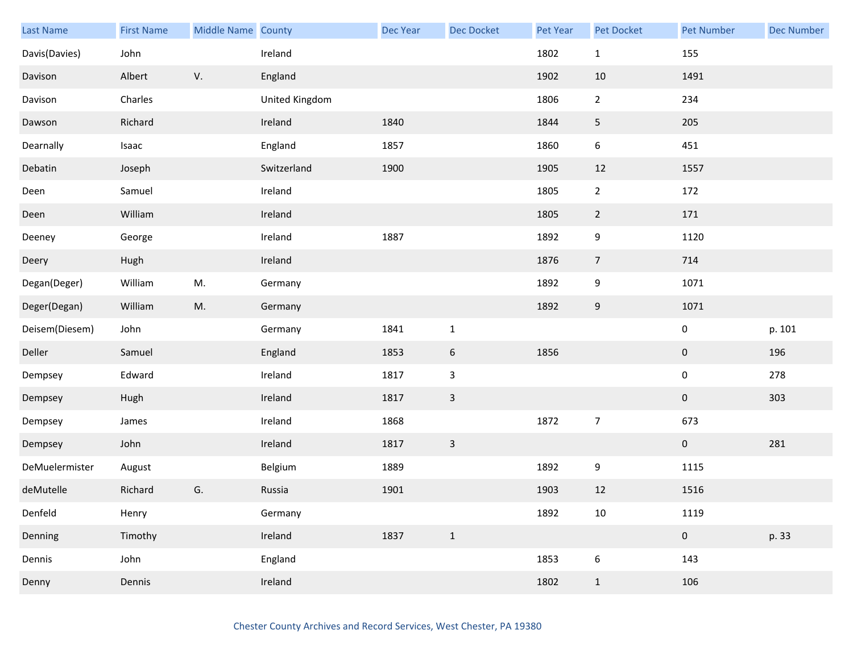| Last Name      | <b>First Name</b> | Middle Name County |                | <b>Dec Year</b> | <b>Dec Docket</b> | Pet Year | <b>Pet Docket</b> | <b>Pet Number</b> | <b>Dec Number</b> |
|----------------|-------------------|--------------------|----------------|-----------------|-------------------|----------|-------------------|-------------------|-------------------|
| Davis(Davies)  | John              |                    | Ireland        |                 |                   | 1802     | $\mathbf{1}$      | 155               |                   |
| Davison        | Albert            | V.                 | England        |                 |                   | 1902     | $10\,$            | 1491              |                   |
| Davison        | Charles           |                    | United Kingdom |                 |                   | 1806     | $\overline{2}$    | 234               |                   |
| Dawson         | Richard           |                    | Ireland        | 1840            |                   | 1844     | 5                 | 205               |                   |
| Dearnally      | Isaac             |                    | England        | 1857            |                   | 1860     | $\boldsymbol{6}$  | 451               |                   |
| Debatin        | Joseph            |                    | Switzerland    | 1900            |                   | 1905     | $12\,$            | 1557              |                   |
| Deen           | Samuel            |                    | Ireland        |                 |                   | 1805     | $\overline{2}$    | 172               |                   |
| Deen           | William           |                    | Ireland        |                 |                   | 1805     | $\overline{2}$    | 171               |                   |
| Deeney         | George            |                    | Ireland        | 1887            |                   | 1892     | 9                 | 1120              |                   |
| Deery          | Hugh              |                    | Ireland        |                 |                   | 1876     | $\overline{7}$    | 714               |                   |
| Degan(Deger)   | William           | M.                 | Germany        |                 |                   | 1892     | 9                 | 1071              |                   |
| Deger(Degan)   | William           | M.                 | Germany        |                 |                   | 1892     | 9                 | 1071              |                   |
| Deisem(Diesem) | John              |                    | Germany        | 1841            | $\mathbf 1$       |          |                   | $\pmb{0}$         | p. 101            |
| Deller         | Samuel            |                    | England        | 1853            | $6\,$             | 1856     |                   | $\mathbf 0$       | 196               |
| Dempsey        | Edward            |                    | Ireland        | 1817            | $\mathbf{3}$      |          |                   | $\pmb{0}$         | 278               |
| Dempsey        | Hugh              |                    | Ireland        | 1817            | $\mathbf{3}$      |          |                   | $\mathbf 0$       | 303               |
| Dempsey        | James             |                    | Ireland        | 1868            |                   | 1872     | $\overline{7}$    | 673               |                   |
| Dempsey        | John              |                    | Ireland        | 1817            | $\overline{3}$    |          |                   | $\mathbf 0$       | 281               |
| DeMuelermister | August            |                    | Belgium        | 1889            |                   | 1892     | $\boldsymbol{9}$  | 1115              |                   |
| deMutelle      | Richard           | G.                 | Russia         | 1901            |                   | 1903     | 12                | 1516              |                   |
| Denfeld        | Henry             |                    | Germany        |                 |                   | 1892     | $10\,$            | 1119              |                   |
| Denning        | Timothy           |                    | Ireland        | 1837            | $\mathbf{1}$      |          |                   | $\pmb{0}$         | p. 33             |
| Dennis         | John              |                    | England        |                 |                   | 1853     | $\boldsymbol{6}$  | 143               |                   |
| Denny          | Dennis            |                    | Ireland        |                 |                   | 1802     | $\mathbf{1}$      | 106               |                   |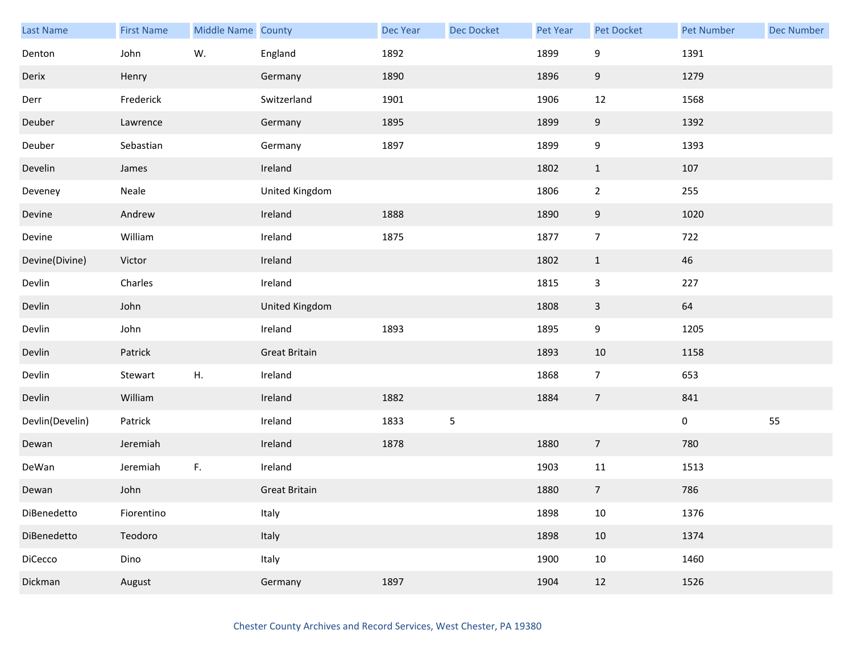| Last Name       | <b>First Name</b> | <b>Middle Name County</b> |                      | <b>Dec Year</b> | Dec Docket     | Pet Year | Pet Docket       | <b>Pet Number</b> | <b>Dec Number</b> |
|-----------------|-------------------|---------------------------|----------------------|-----------------|----------------|----------|------------------|-------------------|-------------------|
| Denton          | John              | W.                        | England              | 1892            |                | 1899     | 9                | 1391              |                   |
| Derix           | Henry             |                           | Germany              | 1890            |                | 1896     | $9\,$            | 1279              |                   |
| Derr            | Frederick         |                           | Switzerland          | 1901            |                | 1906     | 12               | 1568              |                   |
| Deuber          | Lawrence          |                           | Germany              | 1895            |                | 1899     | 9                | 1392              |                   |
| Deuber          | Sebastian         |                           | Germany              | 1897            |                | 1899     | 9                | 1393              |                   |
| Develin         | James             |                           | Ireland              |                 |                | 1802     | $\mathbf{1}$     | 107               |                   |
| Deveney         | Neale             |                           | United Kingdom       |                 |                | 1806     | $\mathbf 2$      | 255               |                   |
| Devine          | Andrew            |                           | Ireland              | 1888            |                | 1890     | $\boldsymbol{9}$ | 1020              |                   |
| Devine          | William           |                           | Ireland              | 1875            |                | 1877     | $\overline{7}$   | 722               |                   |
| Devine(Divine)  | Victor            |                           | Ireland              |                 |                | 1802     | $\mathbf{1}$     | 46                |                   |
| Devlin          | Charles           |                           | Ireland              |                 |                | 1815     | $\mathsf 3$      | 227               |                   |
| Devlin          | John              |                           | United Kingdom       |                 |                | 1808     | $\mathsf{3}$     | 64                |                   |
| Devlin          | John              |                           | Ireland              | 1893            |                | 1895     | $\boldsymbol{9}$ | 1205              |                   |
| Devlin          | Patrick           |                           | <b>Great Britain</b> |                 |                | 1893     | 10               | 1158              |                   |
| Devlin          | Stewart           | ${\sf H}.$                | Ireland              |                 |                | 1868     | $\overline{7}$   | 653               |                   |
| Devlin          | William           |                           | Ireland              | 1882            |                | 1884     | $\overline{7}$   | 841               |                   |
| Devlin(Develin) | Patrick           |                           | Ireland              | 1833            | $\overline{5}$ |          |                  | $\pmb{0}$         | 55                |
| Dewan           | Jeremiah          |                           | Ireland              | 1878            |                | 1880     | $\overline{7}$   | 780               |                   |
| DeWan           | Jeremiah          | F.                        | Ireland              |                 |                | 1903     | 11               | 1513              |                   |
| Dewan           | John              |                           | <b>Great Britain</b> |                 |                | 1880     | $\boldsymbol{7}$ | 786               |                   |
| DiBenedetto     | Fiorentino        |                           | Italy                |                 |                | 1898     | $10\,$           | 1376              |                   |
| DiBenedetto     | Teodoro           |                           | Italy                |                 |                | 1898     | $10\,$           | 1374              |                   |
| DiCecco         | Dino              |                           | Italy                |                 |                | 1900     | $10\,$           | 1460              |                   |
| Dickman         | August            |                           | Germany              | 1897            |                | 1904     | 12               | 1526              |                   |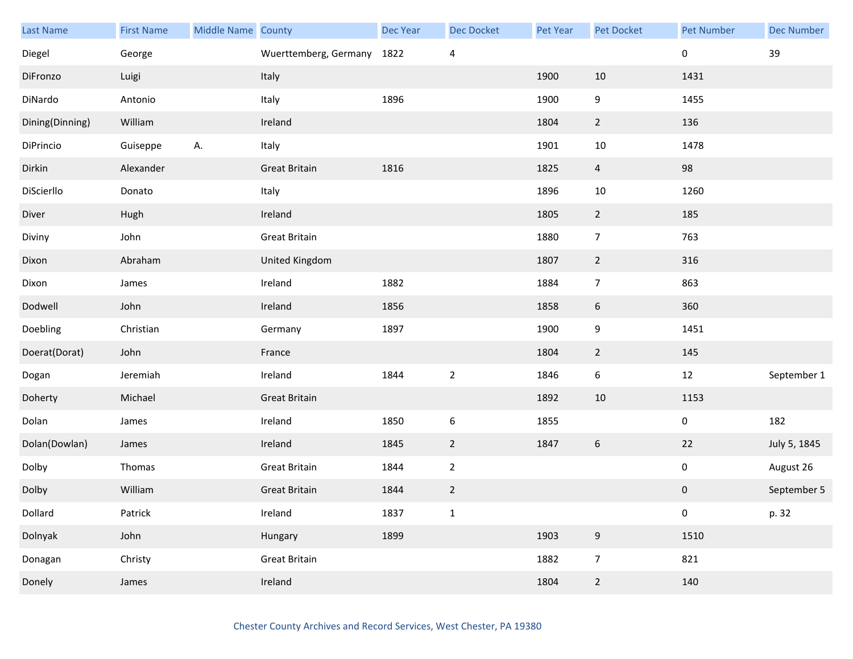| <b>Last Name</b> | <b>First Name</b> | Middle Name County |                       | Dec Year | <b>Dec Docket</b> | Pet Year | Pet Docket       | <b>Pet Number</b> | <b>Dec Number</b> |
|------------------|-------------------|--------------------|-----------------------|----------|-------------------|----------|------------------|-------------------|-------------------|
| Diegel           | George            |                    | Wuerttemberg, Germany | 1822     | 4                 |          |                  | 0                 | 39                |
| DiFronzo         | Luigi             |                    | Italy                 |          |                   | 1900     | 10               | 1431              |                   |
| DiNardo          | Antonio           |                    | Italy                 | 1896     |                   | 1900     | 9                | 1455              |                   |
| Dining(Dinning)  | William           |                    | Ireland               |          |                   | 1804     | $\overline{2}$   | 136               |                   |
| DiPrincio        | Guiseppe          | А.                 | Italy                 |          |                   | 1901     | $10\,$           | 1478              |                   |
| Dirkin           | Alexander         |                    | <b>Great Britain</b>  | 1816     |                   | 1825     | $\overline{4}$   | 98                |                   |
| DiScierllo       | Donato            |                    | Italy                 |          |                   | 1896     | 10               | 1260              |                   |
| Diver            | Hugh              |                    | Ireland               |          |                   | 1805     | $\overline{2}$   | 185               |                   |
| Diviny           | John              |                    | <b>Great Britain</b>  |          |                   | 1880     | $\overline{7}$   | 763               |                   |
| Dixon            | Abraham           |                    | United Kingdom        |          |                   | 1807     | $\overline{2}$   | 316               |                   |
| Dixon            | James             |                    | Ireland               | 1882     |                   | 1884     | $\overline{7}$   | 863               |                   |
| Dodwell          | John              |                    | Ireland               | 1856     |                   | 1858     | 6                | 360               |                   |
| Doebling         | Christian         |                    | Germany               | 1897     |                   | 1900     | 9                | 1451              |                   |
| Doerat(Dorat)    | John              |                    | France                |          |                   | 1804     | $\overline{2}$   | 145               |                   |
| Dogan            | Jeremiah          |                    | Ireland               | 1844     | $\overline{2}$    | 1846     | $\boldsymbol{6}$ | $12\,$            | September 1       |
| Doherty          | Michael           |                    | <b>Great Britain</b>  |          |                   | 1892     | 10               | 1153              |                   |
| Dolan            | James             |                    | Ireland               | 1850     | $\boldsymbol{6}$  | 1855     |                  | 0                 | 182               |
| Dolan(Dowlan)    | James             |                    | Ireland               | 1845     | $\overline{2}$    | 1847     | $\boldsymbol{6}$ | 22                | July 5, 1845      |
| Dolby            | Thomas            |                    | <b>Great Britain</b>  | 1844     | $\overline{2}$    |          |                  | 0                 | August 26         |
| Dolby            | William           |                    | <b>Great Britain</b>  | 1844     | $\overline{2}$    |          |                  | $\pmb{0}$         | September 5       |
| Dollard          | Patrick           |                    | Ireland               | 1837     | $\mathbf 1$       |          |                  | 0                 | p. 32             |
| Dolnyak          | John              |                    | Hungary               | 1899     |                   | 1903     | $\overline{9}$   | 1510              |                   |
| Donagan          | Christy           |                    | <b>Great Britain</b>  |          |                   | 1882     | $\overline{7}$   | 821               |                   |
| Donely           | James             |                    | Ireland               |          |                   | 1804     | $\overline{2}$   | 140               |                   |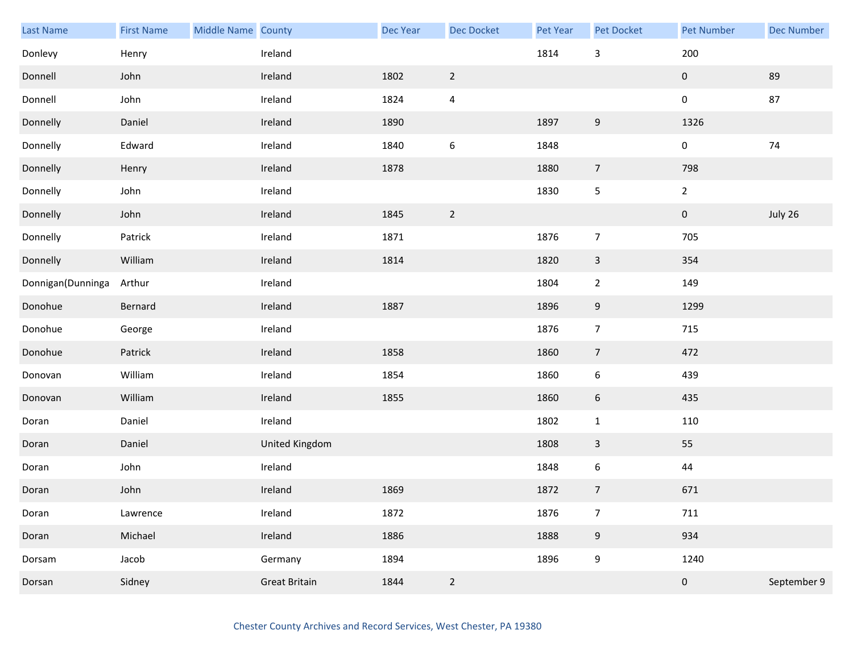| Last Name         | <b>First Name</b> | Middle Name County |                      | Dec Year | <b>Dec Docket</b> | Pet Year | Pet Docket       | <b>Pet Number</b> | <b>Dec Number</b> |
|-------------------|-------------------|--------------------|----------------------|----------|-------------------|----------|------------------|-------------------|-------------------|
| Donlevy           | Henry             |                    | Ireland              |          |                   | 1814     | $\mathsf{3}$     | 200               |                   |
| Donnell           | John              |                    | Ireland              | 1802     | $\overline{2}$    |          |                  | $\mathbf 0$       | 89                |
| Donnell           | John              |                    | Ireland              | 1824     | $\pmb{4}$         |          |                  | $\mathbf 0$       | 87                |
| Donnelly          | Daniel            |                    | Ireland              | 1890     |                   | 1897     | $9\,$            | 1326              |                   |
| Donnelly          | Edward            |                    | Ireland              | 1840     | $\,6\,$           | 1848     |                  | $\pmb{0}$         | $74$              |
| Donnelly          | Henry             |                    | Ireland              | 1878     |                   | 1880     | $\overline{7}$   | 798               |                   |
| Donnelly          | John              |                    | Ireland              |          |                   | 1830     | 5                | $\overline{2}$    |                   |
| Donnelly          | John              |                    | Ireland              | 1845     | $\overline{2}$    |          |                  | $\mathbf 0$       | July 26           |
| Donnelly          | Patrick           |                    | Ireland              | 1871     |                   | 1876     | $\overline{7}$   | 705               |                   |
| Donnelly          | William           |                    | Ireland              | 1814     |                   | 1820     | $\mathbf{3}$     | 354               |                   |
| Donnigan(Dunninga | Arthur            |                    | Ireland              |          |                   | 1804     | $\overline{2}$   | 149               |                   |
| Donohue           | Bernard           |                    | Ireland              | 1887     |                   | 1896     | 9                | 1299              |                   |
| Donohue           | George            |                    | Ireland              |          |                   | 1876     | $\overline{7}$   | 715               |                   |
| Donohue           | Patrick           |                    | Ireland              | 1858     |                   | 1860     | $\overline{7}$   | 472               |                   |
| Donovan           | William           |                    | Ireland              | 1854     |                   | 1860     | $\boldsymbol{6}$ | 439               |                   |
| Donovan           | William           |                    | Ireland              | 1855     |                   | 1860     | $6\phantom{.}6$  | 435               |                   |
| Doran             | Daniel            |                    | Ireland              |          |                   | 1802     | $\mathbf{1}$     | 110               |                   |
| Doran             | Daniel            |                    | United Kingdom       |          |                   | 1808     | $\mathbf{3}$     | 55                |                   |
| Doran             | John              |                    | Ireland              |          |                   | 1848     | $\boldsymbol{6}$ | 44                |                   |
| Doran             | John              |                    | Ireland              | 1869     |                   | 1872     | $\overline{7}$   | 671               |                   |
| Doran             | Lawrence          |                    | Ireland              | 1872     |                   | 1876     | $\overline{7}$   | 711               |                   |
| Doran             | Michael           |                    | Ireland              | 1886     |                   | 1888     | $9\,$            | 934               |                   |
| Dorsam            | Jacob             |                    | Germany              | 1894     |                   | 1896     | 9                | 1240              |                   |
| Dorsan            | Sidney            |                    | <b>Great Britain</b> | 1844     | $\overline{2}$    |          |                  | $\mathbf 0$       | September 9       |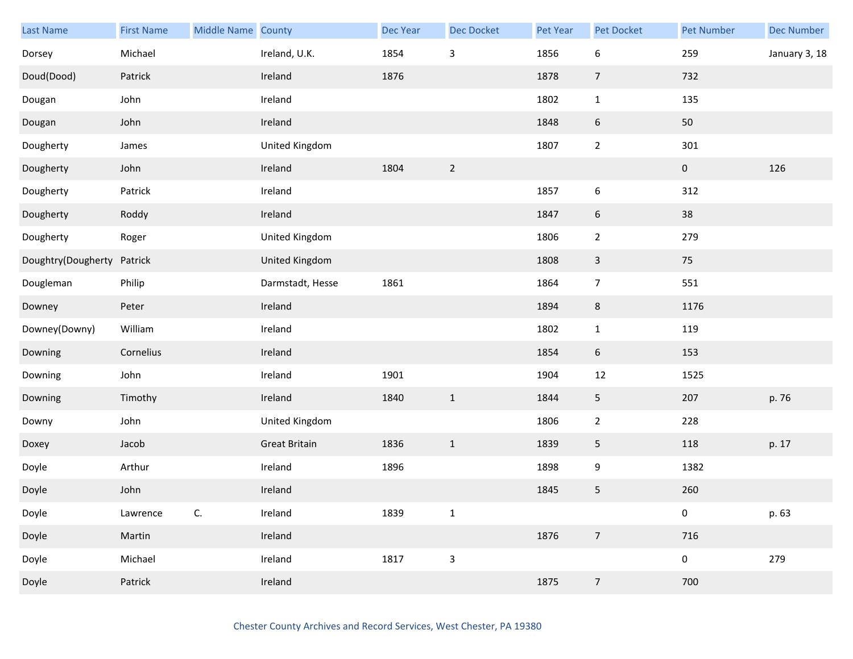| Last Name          | <b>First Name</b> | Middle Name County |                      | Dec Year | Dec Docket     | Pet Year | Pet Docket       | <b>Pet Number</b> | <b>Dec Number</b> |
|--------------------|-------------------|--------------------|----------------------|----------|----------------|----------|------------------|-------------------|-------------------|
| Dorsey             | Michael           |                    | Ireland, U.K.        | 1854     | $\mathsf 3$    | 1856     | 6                | 259               | January 3, 18     |
| Doud(Dood)         | Patrick           |                    | Ireland              | 1876     |                | 1878     | $\overline{7}$   | 732               |                   |
| Dougan             | John              |                    | Ireland              |          |                | 1802     | $\mathbf{1}$     | 135               |                   |
| Dougan             | John              |                    | Ireland              |          |                | 1848     | 6                | $50\,$            |                   |
| Dougherty          | James             |                    | United Kingdom       |          |                | 1807     | $\mathbf 2$      | 301               |                   |
| Dougherty          | John              |                    | Ireland              | 1804     | $\overline{2}$ |          |                  | $\pmb{0}$         | 126               |
| Dougherty          | Patrick           |                    | Ireland              |          |                | 1857     | 6                | 312               |                   |
| Dougherty          | Roddy             |                    | Ireland              |          |                | 1847     | $\boldsymbol{6}$ | 38                |                   |
| Dougherty          | Roger             |                    | United Kingdom       |          |                | 1806     | $\overline{2}$   | 279               |                   |
| Doughtry(Dougherty | Patrick           |                    | United Kingdom       |          |                | 1808     | $\mathbf{3}$     | 75                |                   |
| Dougleman          | Philip            |                    | Darmstadt, Hesse     | 1861     |                | 1864     | $\overline{7}$   | 551               |                   |
| Downey             | Peter             |                    | Ireland              |          |                | 1894     | $\,8\,$          | 1176              |                   |
| Downey(Downy)      | William           |                    | Ireland              |          |                | 1802     | $\mathbf{1}$     | 119               |                   |
| Downing            | Cornelius         |                    | Ireland              |          |                | 1854     | $6\,$            | 153               |                   |
| Downing            | John              |                    | Ireland              | 1901     |                | 1904     | $12\,$           | 1525              |                   |
| Downing            | Timothy           |                    | Ireland              | 1840     | $\mathbf{1}$   | 1844     | 5                | 207               | p. 76             |
| Downy              | John              |                    | United Kingdom       |          |                | 1806     | $\overline{2}$   | 228               |                   |
| Doxey              | Jacob             |                    | <b>Great Britain</b> | 1836     | $\mathbf{1}$   | 1839     | 5                | 118               | p. 17             |
| Doyle              | Arthur            |                    | Ireland              | 1896     |                | 1898     | 9                | 1382              |                   |
| Doyle              | John              |                    | Ireland              |          |                | 1845     | 5                | 260               |                   |
| Doyle              | Lawrence          | $\mathsf{C}.$      | Ireland              | 1839     | $\mathbf 1$    |          |                  | $\pmb{0}$         | p. 63             |
| Doyle              | Martin            |                    | Ireland              |          |                | 1876     | $\boldsymbol{7}$ | 716               |                   |
| Doyle              | Michael           |                    | Ireland              | 1817     | $\mathsf{3}$   |          |                  | $\pmb{0}$         | 279               |
| Doyle              | Patrick           |                    | Ireland              |          |                | 1875     | $\sqrt{7}$       | 700               |                   |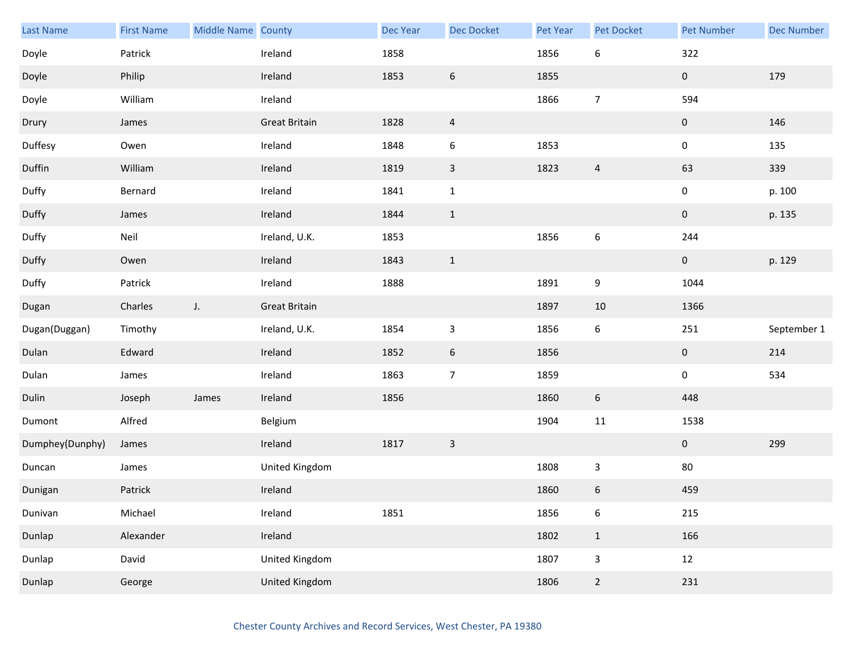| <b>Last Name</b> | <b>First Name</b> | Middle Name County |                      | Dec Year | <b>Dec Docket</b>       | Pet Year | Pet Docket       | <b>Pet Number</b>   | <b>Dec Number</b> |
|------------------|-------------------|--------------------|----------------------|----------|-------------------------|----------|------------------|---------------------|-------------------|
| Doyle            | Patrick           |                    | Ireland              | 1858     |                         | 1856     | $\boldsymbol{6}$ | 322                 |                   |
| Doyle            | Philip            |                    | Ireland              | 1853     | $\boldsymbol{6}$        | 1855     |                  | 0                   | 179               |
| Doyle            | William           |                    | Ireland              |          |                         | 1866     | $\overline{7}$   | 594                 |                   |
| Drury            | James             |                    | <b>Great Britain</b> | 1828     | $\overline{\mathbf{4}}$ |          |                  | $\mathbf{0}$        | 146               |
| Duffesy          | Owen              |                    | Ireland              | 1848     | $\boldsymbol{6}$        | 1853     |                  | $\pmb{0}$           | 135               |
| Duffin           | William           |                    | Ireland              | 1819     | $\mathsf 3$             | 1823     | $\overline{4}$   | 63                  | 339               |
| Duffy            | Bernard           |                    | Ireland              | 1841     | $\mathbf{1}$            |          |                  | $\pmb{0}$           | p. 100            |
| Duffy            | James             |                    | Ireland              | 1844     | $\mathbf{1}$            |          |                  | $\mathbf{0}$        | p. 135            |
| Duffy            | Neil              |                    | Ireland, U.K.        | 1853     |                         | 1856     | $\boldsymbol{6}$ | 244                 |                   |
| Duffy            | Owen              |                    | Ireland              | 1843     | $\mathbf{1}$            |          |                  | $\mathbf{0}$        | p. 129            |
| Duffy            | Patrick           |                    | Ireland              | 1888     |                         | 1891     | 9                | 1044                |                   |
| Dugan            | Charles           | $J_{\star}$        | <b>Great Britain</b> |          |                         | 1897     | 10               | 1366                |                   |
| Dugan(Duggan)    | Timothy           |                    | Ireland, U.K.        | 1854     | $\mathsf 3$             | 1856     | 6                | 251                 | September 1       |
| Dulan            | Edward            |                    | Ireland              | 1852     | $6\phantom{.}6$         | 1856     |                  | $\mathbf 0$         | 214               |
| Dulan            | James             |                    | Ireland              | 1863     | $\boldsymbol{7}$        | 1859     |                  | $\mathsf{O}\xspace$ | 534               |
| Dulin            | Joseph            | James              | Ireland              | 1856     |                         | 1860     | $6\,$            | 448                 |                   |
| Dumont           | Alfred            |                    | Belgium              |          |                         | 1904     | $11\,$           | 1538                |                   |
| Dumphey(Dunphy)  | James             |                    | Ireland              | 1817     | $\mathsf{3}$            |          |                  | $\mathbf{0}$        | 299               |
| Duncan           | James             |                    | United Kingdom       |          |                         | 1808     | 3                | $80\,$              |                   |
| Dunigan          | Patrick           |                    | Ireland              |          |                         | 1860     | 6                | 459                 |                   |
| Dunivan          | Michael           |                    | Ireland              | 1851     |                         | 1856     | 6                | 215                 |                   |
| Dunlap           | Alexander         |                    | Ireland              |          |                         | 1802     | $\mathbf{1}$     | 166                 |                   |
| Dunlap           | David             |                    | United Kingdom       |          |                         | 1807     | $\mathsf{3}$     | 12                  |                   |
| Dunlap           | George            |                    | United Kingdom       |          |                         | 1806     | $\overline{2}$   | 231                 |                   |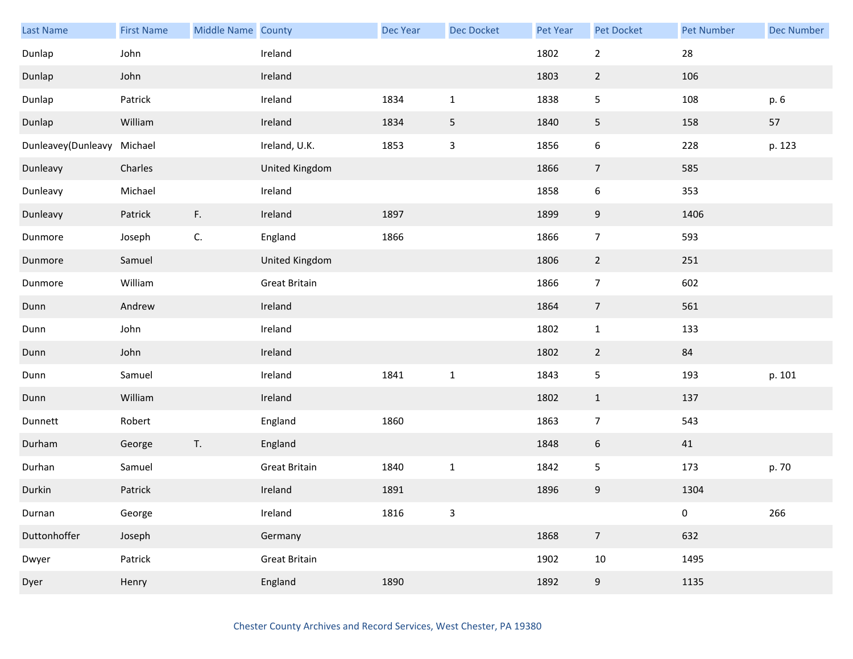| Last Name                  | <b>First Name</b> | Middle Name County |                      | Dec Year | Dec Docket   | <b>Pet Year</b> | Pet Docket     | <b>Pet Number</b> | <b>Dec Number</b> |
|----------------------------|-------------------|--------------------|----------------------|----------|--------------|-----------------|----------------|-------------------|-------------------|
| Dunlap                     | John              |                    | Ireland              |          |              | 1802            | $\mathbf{2}$   | 28                |                   |
| Dunlap                     | John              |                    | Ireland              |          |              | 1803            | $\overline{2}$ | 106               |                   |
| Dunlap                     | Patrick           |                    | Ireland              | 1834     | $\mathbf 1$  | 1838            | 5              | 108               | p. 6              |
| Dunlap                     | William           |                    | Ireland              | 1834     | 5            | 1840            | 5              | 158               | 57                |
| Dunleavey(Dunleavy Michael |                   |                    | Ireland, U.K.        | 1853     | $\mathsf 3$  | 1856            | 6              | 228               | p. 123            |
| Dunleavy                   | Charles           |                    | United Kingdom       |          |              | 1866            | $\overline{7}$ | 585               |                   |
| Dunleavy                   | Michael           |                    | Ireland              |          |              | 1858            | 6              | 353               |                   |
| Dunleavy                   | Patrick           | F.                 | Ireland              | 1897     |              | 1899            | 9              | 1406              |                   |
| Dunmore                    | Joseph            | C.                 | England              | 1866     |              | 1866            | $\overline{7}$ | 593               |                   |
| Dunmore                    | Samuel            |                    | United Kingdom       |          |              | 1806            | $\mathbf{2}$   | 251               |                   |
| Dunmore                    | William           |                    | <b>Great Britain</b> |          |              | 1866            | $\overline{7}$ | 602               |                   |
| Dunn                       | Andrew            |                    | Ireland              |          |              | 1864            | $\overline{7}$ | 561               |                   |
| Dunn                       | John              |                    | Ireland              |          |              | 1802            | $\mathbf{1}$   | 133               |                   |
| Dunn                       | John              |                    | Ireland              |          |              | 1802            | $\overline{2}$ | 84                |                   |
| Dunn                       | Samuel            |                    | Ireland              | 1841     | $\mathbf 1$  | 1843            | 5              | 193               | p. 101            |
| Dunn                       | William           |                    | Ireland              |          |              | 1802            | $\mathbf{1}$   | 137               |                   |
| Dunnett                    | Robert            |                    | England              | 1860     |              | 1863            | $\overline{7}$ | 543               |                   |
| Durham                     | George            | T.                 | England              |          |              | 1848            | 6              | 41                |                   |
| Durhan                     | Samuel            |                    | <b>Great Britain</b> | 1840     | $\mathbf 1$  | 1842            | 5              | 173               | p. 70             |
| Durkin                     | Patrick           |                    | Ireland              | 1891     |              | 1896            | 9              | 1304              |                   |
| Durnan                     | George            |                    | Ireland              | 1816     | $\mathbf{3}$ |                 |                | $\pmb{0}$         | 266               |
| Duttonhoffer               | Joseph            |                    | Germany              |          |              | 1868            | $\overline{7}$ | 632               |                   |
| Dwyer                      | Patrick           |                    | <b>Great Britain</b> |          |              | 1902            | $10\,$         | 1495              |                   |
| Dyer                       | Henry             |                    | England              | 1890     |              | 1892            | 9              | 1135              |                   |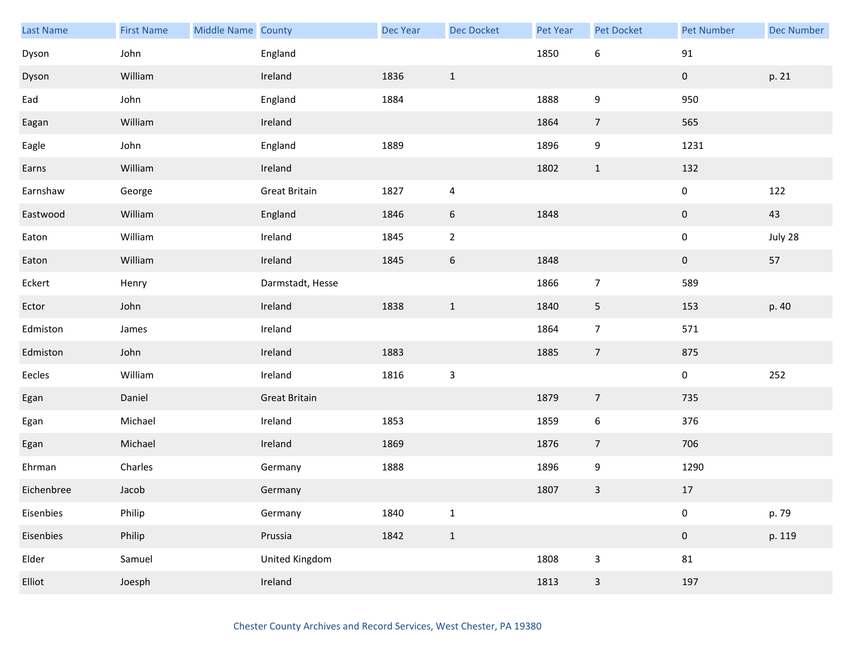| <b>Last Name</b> | <b>First Name</b> | Middle Name County |                      | Dec Year | <b>Dec Docket</b> | Pet Year | Pet Docket       | <b>Pet Number</b> | <b>Dec Number</b> |
|------------------|-------------------|--------------------|----------------------|----------|-------------------|----------|------------------|-------------------|-------------------|
| Dyson            | John              |                    | England              |          |                   | 1850     | 6                | $91\,$            |                   |
| Dyson            | William           |                    | Ireland              | 1836     | $\mathbf{1}$      |          |                  | $\boldsymbol{0}$  | p. 21             |
| Ead              | John              |                    | England              | 1884     |                   | 1888     | 9                | 950               |                   |
| Eagan            | William           |                    | Ireland              |          |                   | 1864     | $\overline{7}$   | 565               |                   |
| Eagle            | John              |                    | England              | 1889     |                   | 1896     | 9                | 1231              |                   |
| Earns            | William           |                    | Ireland              |          |                   | 1802     | $\mathbf{1}$     | 132               |                   |
| Earnshaw         | George            |                    | <b>Great Britain</b> | 1827     | $\overline{a}$    |          |                  | 0                 | 122               |
| Eastwood         | William           |                    | England              | 1846     | $\sqrt{6}$        | 1848     |                  | $\pmb{0}$         | 43                |
| Eaton            | William           |                    | Ireland              | 1845     | $\overline{2}$    |          |                  | 0                 | July 28           |
| Eaton            | William           |                    | Ireland              | 1845     | $\boldsymbol{6}$  | 1848     |                  | $\pmb{0}$         | 57                |
| Eckert           | Henry             |                    | Darmstadt, Hesse     |          |                   | 1866     | $\overline{7}$   | 589               |                   |
| Ector            | John              |                    | Ireland              | 1838     | $\mathbf{1}$      | 1840     | 5                | 153               | p. 40             |
| Edmiston         | James             |                    | Ireland              |          |                   | 1864     | $\overline{7}$   | 571               |                   |
| Edmiston         | John              |                    | Ireland              | 1883     |                   | 1885     | $\overline{7}$   | 875               |                   |
| Eecles           | William           |                    | Ireland              | 1816     | $\mathsf 3$       |          |                  | $\pmb{0}$         | $252\,$           |
| Egan             | Daniel            |                    | <b>Great Britain</b> |          |                   | 1879     | $\overline{7}$   | 735               |                   |
| Egan             | Michael           |                    | Ireland              | 1853     |                   | 1859     | $\boldsymbol{6}$ | 376               |                   |
| Egan             | Michael           |                    | Ireland              | 1869     |                   | 1876     | $\overline{7}$   | 706               |                   |
| Ehrman           | Charles           |                    | Germany              | 1888     |                   | 1896     | 9                | 1290              |                   |
| Eichenbree       | Jacob             |                    | Germany              |          |                   | 1807     | $\mathbf{3}$     | $17\,$            |                   |
| Eisenbies        | Philip            |                    | Germany              | 1840     | $\mathbf{1}$      |          |                  | $\pmb{0}$         | p. 79             |
| Eisenbies        | Philip            |                    | Prussia              | 1842     | $\mathbf{1}$      |          |                  | $\pmb{0}$         | p. 119            |
| Elder            | Samuel            |                    | United Kingdom       |          |                   | 1808     | 3                | 81                |                   |
| Elliot           | Joesph            |                    | Ireland              |          |                   | 1813     | $\mathbf{3}$     | 197               |                   |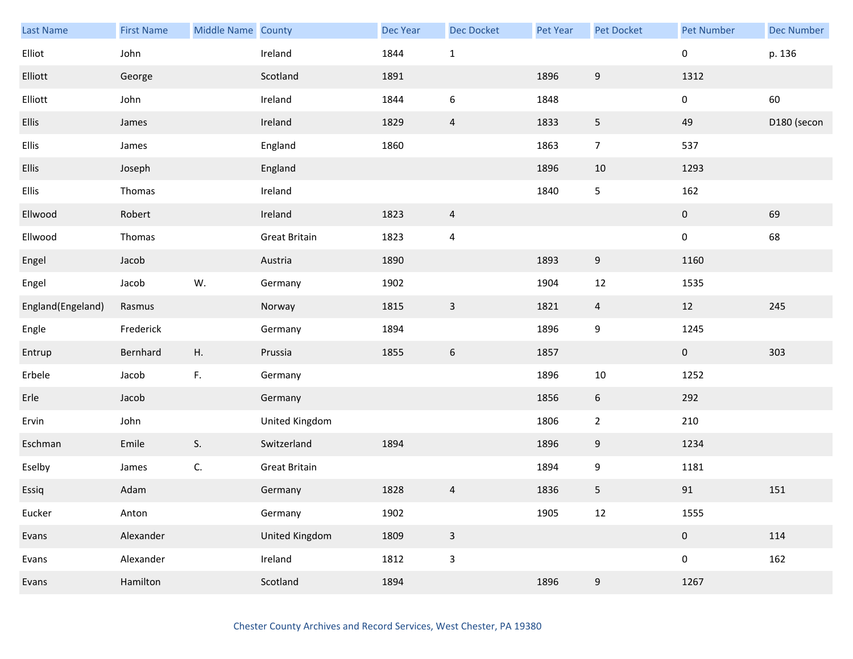| Last Name         | <b>First Name</b> | Middle Name County |                      | Dec Year | <b>Dec Docket</b> | Pet Year | Pet Docket       | <b>Pet Number</b> | <b>Dec Number</b> |
|-------------------|-------------------|--------------------|----------------------|----------|-------------------|----------|------------------|-------------------|-------------------|
| Elliot            | John              |                    | Ireland              | 1844     | $\mathbf 1$       |          |                  | $\mathbf 0$       | p. 136            |
| Elliott           | George            |                    | Scotland             | 1891     |                   | 1896     | $\boldsymbol{9}$ | 1312              |                   |
| Elliott           | John              |                    | Ireland              | 1844     | $\boldsymbol{6}$  | 1848     |                  | $\mathbf 0$       | 60                |
| <b>Ellis</b>      | James             |                    | Ireland              | 1829     | $\overline{4}$    | 1833     | $5\phantom{.0}$  | 49                | D180 (secon       |
| Ellis             | James             |                    | England              | 1860     |                   | 1863     | $\overline{7}$   | 537               |                   |
| <b>Ellis</b>      | Joseph            |                    | England              |          |                   | 1896     | 10               | 1293              |                   |
| Ellis             | Thomas            |                    | Ireland              |          |                   | 1840     | 5                | 162               |                   |
| Ellwood           | Robert            |                    | Ireland              | 1823     | $\overline{a}$    |          |                  | $\overline{0}$    | 69                |
| Ellwood           | Thomas            |                    | <b>Great Britain</b> | 1823     | 4                 |          |                  | $\mathbf 0$       | 68                |
| Engel             | Jacob             |                    | Austria              | 1890     |                   | 1893     | 9                | 1160              |                   |
| Engel             | Jacob             | W.                 | Germany              | 1902     |                   | 1904     | 12               | 1535              |                   |
| England(Engeland) | Rasmus            |                    | Norway               | 1815     | $\mathsf{3}$      | 1821     | $\overline{4}$   | 12                | 245               |
| Engle             | Frederick         |                    | Germany              | 1894     |                   | 1896     | 9                | 1245              |                   |
| Entrup            | Bernhard          | Η.                 | Prussia              | 1855     | $6\phantom{.}6$   | 1857     |                  | $\mathbf 0$       | 303               |
| Erbele            | Jacob             | F.                 | Germany              |          |                   | 1896     | $10\,$           | 1252              |                   |
| Erle              | Jacob             |                    | Germany              |          |                   | 1856     | $6\phantom{.}6$  | 292               |                   |
| Ervin             | John              |                    | United Kingdom       |          |                   | 1806     | $\overline{2}$   | 210               |                   |
| Eschman           | Emile             | S.                 | Switzerland          | 1894     |                   | 1896     | 9                | 1234              |                   |
| Eselby            | James             | C.                 | <b>Great Britain</b> |          |                   | 1894     | 9                | 1181              |                   |
| Essiq             | Adam              |                    | Germany              | 1828     | $\overline{a}$    | 1836     | 5                | $91\,$            | 151               |
| Eucker            | Anton             |                    | Germany              | 1902     |                   | 1905     | 12               | 1555              |                   |
| Evans             | Alexander         |                    | United Kingdom       | 1809     | $\mathbf{3}$      |          |                  | $\pmb{0}$         | 114               |
| Evans             | Alexander         |                    | Ireland              | 1812     | $\mathsf 3$       |          |                  | 0                 | 162               |
| Evans             | Hamilton          |                    | Scotland             | 1894     |                   | 1896     | 9                | 1267              |                   |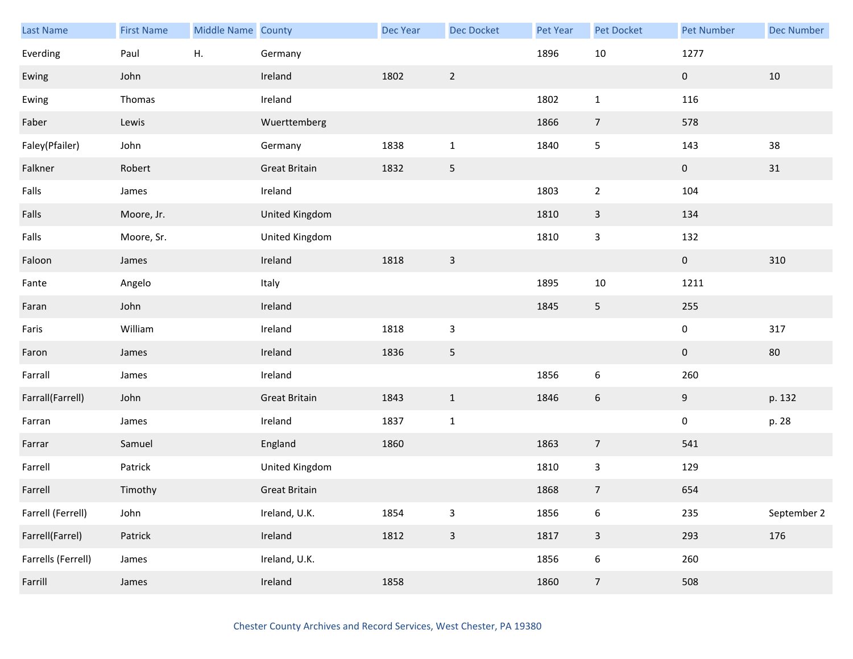| <b>Last Name</b>   | <b>First Name</b> | Middle Name County |                      | Dec Year | <b>Dec Docket</b>         | Pet Year | Pet Docket              | <b>Pet Number</b> | <b>Dec Number</b> |
|--------------------|-------------------|--------------------|----------------------|----------|---------------------------|----------|-------------------------|-------------------|-------------------|
| Everding           | Paul              | Η.                 | Germany              |          |                           | 1896     | $10\,$                  | 1277              |                   |
| Ewing              | John              |                    | Ireland              | 1802     | $\overline{2}$            |          |                         | $\pmb{0}$         | 10                |
| Ewing              | Thomas            |                    | Ireland              |          |                           | 1802     | $\mathbf{1}$            | 116               |                   |
| Faber              | Lewis             |                    | Wuerttemberg         |          |                           | 1866     | $\overline{7}$          | 578               |                   |
| Faley(Pfailer)     | John              |                    | Germany              | 1838     | $\mathbf{1}$              | 1840     | 5                       | 143               | 38                |
| Falkner            | Robert            |                    | <b>Great Britain</b> | 1832     | $\mathsf S$               |          |                         | $\pmb{0}$         | 31                |
| Falls              | James             |                    | Ireland              |          |                           | 1803     | $\overline{a}$          | 104               |                   |
| Falls              | Moore, Jr.        |                    | United Kingdom       |          |                           | 1810     | $\mathbf{3}$            | 134               |                   |
| Falls              | Moore, Sr.        |                    | United Kingdom       |          |                           | 1810     | 3                       | 132               |                   |
| Faloon             | James             |                    | Ireland              | 1818     | $\mathsf 3$               |          |                         | $\overline{0}$    | 310               |
| Fante              | Angelo            |                    | Italy                |          |                           | 1895     | 10                      | 1211              |                   |
| Faran              | John              |                    | Ireland              |          |                           | 1845     | 5                       | 255               |                   |
| Faris              | William           |                    | Ireland              | 1818     | $\mathsf 3$               |          |                         | $\pmb{0}$         | 317               |
| Faron              | James             |                    | Ireland              | 1836     | 5                         |          |                         | $\mathbf 0$       | 80                |
| Farrall            | James             |                    | Ireland              |          |                           | 1856     | 6                       | 260               |                   |
| Farrall(Farrell)   | John              |                    | <b>Great Britain</b> | 1843     | $1\,$                     | 1846     | 6                       | 9                 | p. 132            |
| Farran             | James             |                    | Ireland              | 1837     | $\mathbf 1$               |          |                         | 0                 | p. 28             |
| Farrar             | Samuel            |                    | England              | 1860     |                           | 1863     | $\overline{7}$          | 541               |                   |
| Farrell            | Patrick           |                    | United Kingdom       |          |                           | 1810     | 3                       | 129               |                   |
| Farrell            | Timothy           |                    | <b>Great Britain</b> |          |                           | 1868     | $\overline{7}$          | 654               |                   |
| Farrell (Ferrell)  | John              |                    | Ireland, U.K.        | 1854     | $\ensuremath{\mathsf{3}}$ | 1856     | 6                       | 235               | September 2       |
| Farrell(Farrel)    | Patrick           |                    | Ireland              | 1812     | $\mathsf 3$               | 1817     | $\overline{\mathbf{3}}$ | 293               | 176               |
| Farrells (Ferrell) | James             |                    | Ireland, U.K.        |          |                           | 1856     | $\boldsymbol{6}$        | 260               |                   |
| Farrill            | James             |                    | Ireland              | 1858     |                           | 1860     | $\overline{7}$          | 508               |                   |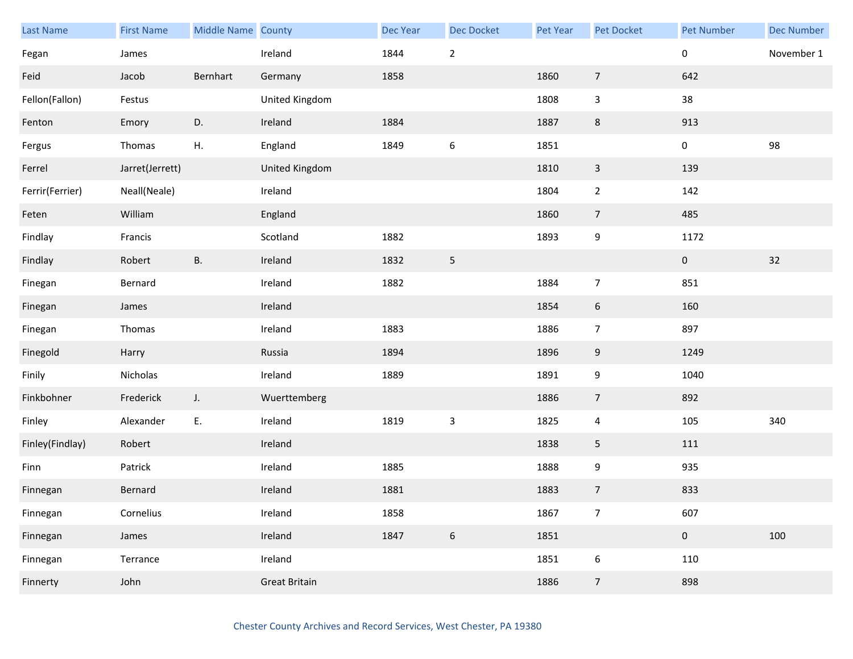| Last Name       | <b>First Name</b> | Middle Name County |                      | Dec Year | <b>Dec Docket</b> | Pet Year | Pet Docket              | <b>Pet Number</b> | <b>Dec Number</b> |
|-----------------|-------------------|--------------------|----------------------|----------|-------------------|----------|-------------------------|-------------------|-------------------|
| Fegan           | James             |                    | Ireland              | 1844     | $\mathbf 2$       |          |                         | $\pmb{0}$         | November 1        |
| Feid            | Jacob             | Bernhart           | Germany              | 1858     |                   | 1860     | $\overline{7}$          | 642               |                   |
| Fellon(Fallon)  | Festus            |                    | United Kingdom       |          |                   | 1808     | $\mathbf{3}$            | 38                |                   |
| Fenton          | Emory             | D.                 | Ireland              | 1884     |                   | 1887     | 8                       | 913               |                   |
| Fergus          | Thomas            | Η.                 | England              | 1849     | $\boldsymbol{6}$  | 1851     |                         | $\pmb{0}$         | 98                |
| Ferrel          | Jarret(Jerrett)   |                    | United Kingdom       |          |                   | 1810     | $\mathbf{3}$            | 139               |                   |
| Ferrir(Ferrier) | Neall(Neale)      |                    | Ireland              |          |                   | 1804     | $\mathbf{2}$            | 142               |                   |
| Feten           | William           |                    | England              |          |                   | 1860     | $\overline{7}$          | 485               |                   |
| Findlay         | Francis           |                    | Scotland             | 1882     |                   | 1893     | 9                       | 1172              |                   |
| Findlay         | Robert            | <b>B.</b>          | Ireland              | 1832     | $\sqrt{5}$        |          |                         | $\mathbf 0$       | 32                |
| Finegan         | Bernard           |                    | Ireland              | 1882     |                   | 1884     | $\overline{7}$          | 851               |                   |
| Finegan         | James             |                    | Ireland              |          |                   | 1854     | $6\phantom{.}6$         | 160               |                   |
| Finegan         | Thomas            |                    | Ireland              | 1883     |                   | 1886     | $\overline{7}$          | 897               |                   |
| Finegold        | Harry             |                    | Russia               | 1894     |                   | 1896     | 9                       | 1249              |                   |
| Finily          | Nicholas          |                    | Ireland              | 1889     |                   | 1891     | $\boldsymbol{9}$        | 1040              |                   |
| Finkbohner      | Frederick         | $J_{\star}$        | Wuerttemberg         |          |                   | 1886     | $\overline{7}$          | 892               |                   |
| Finley          | Alexander         | E.                 | Ireland              | 1819     | $\mathsf{3}$      | 1825     | $\overline{\mathbf{4}}$ | 105               | 340               |
| Finley(Findlay) | Robert            |                    | Ireland              |          |                   | 1838     | 5                       | 111               |                   |
| Finn            | Patrick           |                    | Ireland              | 1885     |                   | 1888     | 9                       | 935               |                   |
| Finnegan        | Bernard           |                    | Ireland              | 1881     |                   | 1883     | $\overline{7}$          | 833               |                   |
| Finnegan        | Cornelius         |                    | Ireland              | 1858     |                   | 1867     | $\overline{7}$          | 607               |                   |
| Finnegan        | James             |                    | Ireland              | 1847     | $\boldsymbol{6}$  | 1851     |                         | $\pmb{0}$         | 100               |
| Finnegan        | Terrance          |                    | Ireland              |          |                   | 1851     | 6                       | 110               |                   |
| Finnerty        | John              |                    | <b>Great Britain</b> |          |                   | 1886     | $\overline{7}$          | 898               |                   |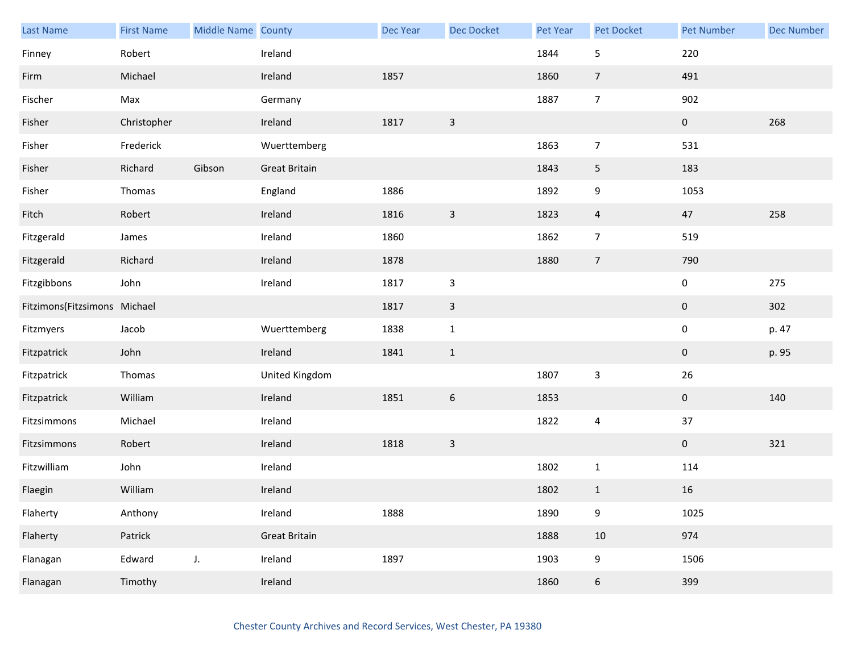| <b>Last Name</b>             | <b>First Name</b> | Middle Name County |                      | Dec Year | <b>Dec Docket</b> | Pet Year | Pet Docket     | <b>Pet Number</b> | <b>Dec Number</b> |
|------------------------------|-------------------|--------------------|----------------------|----------|-------------------|----------|----------------|-------------------|-------------------|
| Finney                       | Robert            |                    | Ireland              |          |                   | 1844     | 5              | 220               |                   |
| Firm                         | Michael           |                    | Ireland              | 1857     |                   | 1860     | $\overline{7}$ | 491               |                   |
| Fischer                      | Max               |                    | Germany              |          |                   | 1887     | $\overline{7}$ | 902               |                   |
| Fisher                       | Christopher       |                    | Ireland              | 1817     | $\overline{3}$    |          |                | $\pmb{0}$         | 268               |
| Fisher                       | Frederick         |                    | Wuerttemberg         |          |                   | 1863     | $\overline{7}$ | 531               |                   |
| Fisher                       | Richard           | Gibson             | <b>Great Britain</b> |          |                   | 1843     | $\overline{5}$ | 183               |                   |
| Fisher                       | Thomas            |                    | England              | 1886     |                   | 1892     | 9              | 1053              |                   |
| Fitch                        | Robert            |                    | Ireland              | 1816     | $\mathsf{3}$      | 1823     | $\overline{4}$ | 47                | 258               |
| Fitzgerald                   | James             |                    | Ireland              | 1860     |                   | 1862     | $\overline{7}$ | 519               |                   |
| Fitzgerald                   | Richard           |                    | Ireland              | 1878     |                   | 1880     | $\overline{7}$ | 790               |                   |
| Fitzgibbons                  | John              |                    | Ireland              | 1817     | $\mathsf{3}$      |          |                | $\pmb{0}$         | 275               |
| Fitzimons(Fitzsimons Michael |                   |                    |                      | 1817     | $\mathsf{3}$      |          |                | $\pmb{0}$         | 302               |
| Fitzmyers                    | Jacob             |                    | Wuerttemberg         | 1838     | $\mathbf{1}$      |          |                | $\pmb{0}$         | p. 47             |
| Fitzpatrick                  | John              |                    | Ireland              | 1841     | $\mathbf{1}$      |          |                | $\mathbf 0$       | p. 95             |
| Fitzpatrick                  | Thomas            |                    | United Kingdom       |          |                   | 1807     | $\mathsf 3$    | $26\,$            |                   |
| Fitzpatrick                  | William           |                    | Ireland              | 1851     | $\boldsymbol{6}$  | 1853     |                | $\boldsymbol{0}$  | 140               |
| Fitzsimmons                  | Michael           |                    | Ireland              |          |                   | 1822     | $\pmb{4}$      | 37                |                   |
| Fitzsimmons                  | Robert            |                    | Ireland              | 1818     | $\overline{3}$    |          |                | $\pmb{0}$         | 321               |
| Fitzwilliam                  | John              |                    | Ireland              |          |                   | 1802     | $\mathbf{1}$   | 114               |                   |
| Flaegin                      | William           |                    | Ireland              |          |                   | 1802     | $\mathbf{1}$   | 16                |                   |
| Flaherty                     | Anthony           |                    | Ireland              | 1888     |                   | 1890     | 9              | 1025              |                   |
| Flaherty                     | Patrick           |                    | <b>Great Britain</b> |          |                   | 1888     | $10\,$         | 974               |                   |
| Flanagan                     | Edward            | J.                 | Ireland              | 1897     |                   | 1903     | 9              | 1506              |                   |
| Flanagan                     | Timothy           |                    | Ireland              |          |                   | 1860     | $\sqrt{6}$     | 399               |                   |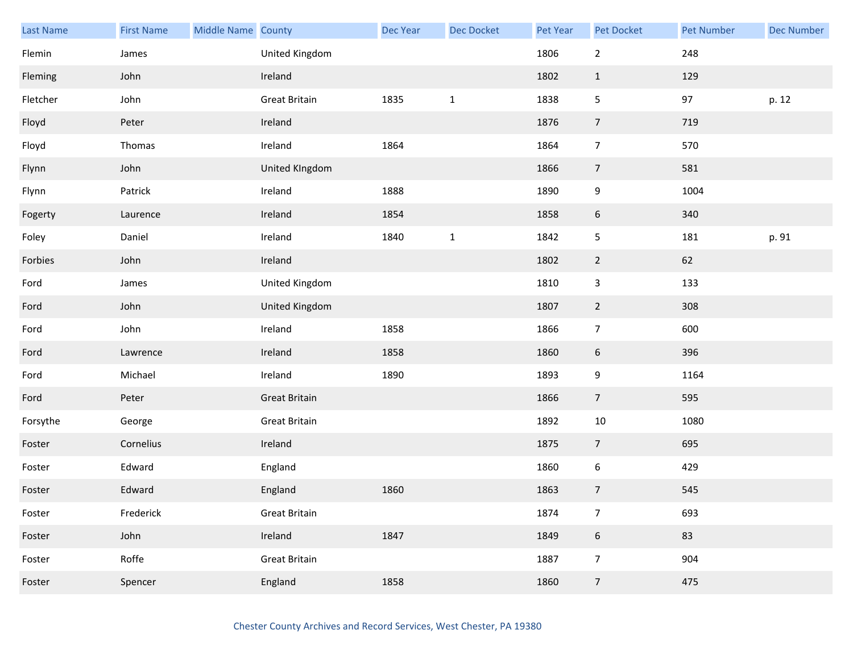| <b>Last Name</b> | <b>First Name</b> | Middle Name County |                      | Dec Year | <b>Dec Docket</b> | <b>Pet Year</b> | Pet Docket       | Pet Number | <b>Dec Number</b> |
|------------------|-------------------|--------------------|----------------------|----------|-------------------|-----------------|------------------|------------|-------------------|
| Flemin           | James             |                    | United Kingdom       |          |                   | 1806            | $\mathbf 2$      | 248        |                   |
| Fleming          | John              |                    | Ireland              |          |                   | 1802            | $\mathbf{1}$     | 129        |                   |
| Fletcher         | John              |                    | <b>Great Britain</b> | 1835     | $\mathbf{1}$      | 1838            | $\sqrt{5}$       | 97         | p. 12             |
| Floyd            | Peter             |                    | Ireland              |          |                   | 1876            | $\overline{7}$   | 719        |                   |
| Floyd            | Thomas            |                    | Ireland              | 1864     |                   | 1864            | $\overline{7}$   | 570        |                   |
| Flynn            | John              |                    | United KIngdom       |          |                   | 1866            | $\overline{7}$   | 581        |                   |
| Flynn            | Patrick           |                    | Ireland              | 1888     |                   | 1890            | 9                | 1004       |                   |
| Fogerty          | Laurence          |                    | Ireland              | 1854     |                   | 1858            | $\boldsymbol{6}$ | 340        |                   |
| Foley            | Daniel            |                    | Ireland              | 1840     | $\mathbf{1}$      | 1842            | $\sqrt{5}$       | 181        | p. 91             |
| Forbies          | John              |                    | Ireland              |          |                   | 1802            | $\overline{2}$   | 62         |                   |
| Ford             | James             |                    | United Kingdom       |          |                   | 1810            | $\mathsf{3}$     | 133        |                   |
| Ford             | John              |                    | United Kingdom       |          |                   | 1807            | $\overline{2}$   | 308        |                   |
| Ford             | John              |                    | Ireland              | 1858     |                   | 1866            | $\overline{7}$   | 600        |                   |
| Ford             | Lawrence          |                    | Ireland              | 1858     |                   | 1860            | $6\phantom{.}6$  | 396        |                   |
| Ford             | Michael           |                    | Ireland              | 1890     |                   | 1893            | $\boldsymbol{9}$ | 1164       |                   |
| Ford             | Peter             |                    | <b>Great Britain</b> |          |                   | 1866            | $\overline{7}$   | 595        |                   |
| Forsythe         | George            |                    | <b>Great Britain</b> |          |                   | 1892            | 10               | 1080       |                   |
| Foster           | Cornelius         |                    | Ireland              |          |                   | 1875            | $\overline{7}$   | 695        |                   |
| Foster           | Edward            |                    | England              |          |                   | 1860            | $\boldsymbol{6}$ | 429        |                   |
| Foster           | Edward            |                    | England              | 1860     |                   | 1863            | $\overline{7}$   | 545        |                   |
| Foster           | Frederick         |                    | <b>Great Britain</b> |          |                   | 1874            | $\overline{7}$   | 693        |                   |
| Foster           | John              |                    | Ireland              | 1847     |                   | 1849            | $\boldsymbol{6}$ | 83         |                   |
| Foster           | Roffe             |                    | <b>Great Britain</b> |          |                   | 1887            | $\boldsymbol{7}$ | 904        |                   |
| Foster           | Spencer           |                    | England              | 1858     |                   | 1860            | $\overline{7}$   | 475        |                   |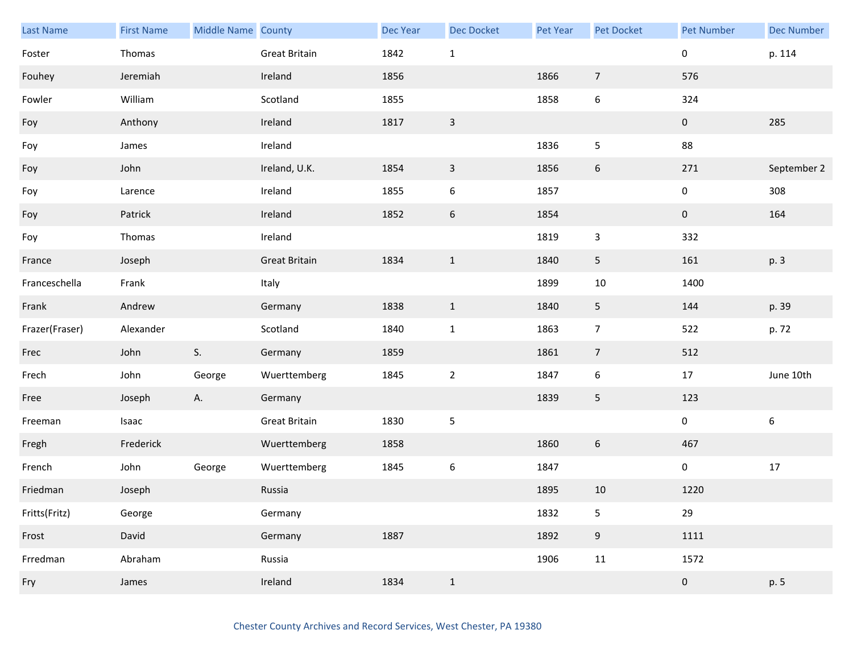| <b>Last Name</b> | <b>First Name</b> | Middle Name County |                      | Dec Year | <b>Dec Docket</b> | Pet Year | Pet Docket       | <b>Pet Number</b> | <b>Dec Number</b> |
|------------------|-------------------|--------------------|----------------------|----------|-------------------|----------|------------------|-------------------|-------------------|
| Foster           | Thomas            |                    | Great Britain        | 1842     | $\mathbf{1}$      |          |                  | 0                 | p. 114            |
| Fouhey           | Jeremiah          |                    | Ireland              | 1856     |                   | 1866     | $\overline{7}$   | 576               |                   |
| Fowler           | William           |                    | Scotland             | 1855     |                   | 1858     | 6                | 324               |                   |
| Foy              | Anthony           |                    | Ireland              | 1817     | $\overline{3}$    |          |                  | $\mathbf{0}$      | 285               |
| Foy              | James             |                    | Ireland              |          |                   | 1836     | 5                | 88                |                   |
| Foy              | John              |                    | Ireland, U.K.        | 1854     | $\mathsf 3$       | 1856     | $\boldsymbol{6}$ | 271               | September 2       |
| Foy              | Larence           |                    | Ireland              | 1855     | $\boldsymbol{6}$  | 1857     |                  | 0                 | 308               |
| Foy              | Patrick           |                    | Ireland              | 1852     | $\boldsymbol{6}$  | 1854     |                  | $\overline{0}$    | 164               |
| Foy              | Thomas            |                    | Ireland              |          |                   | 1819     | 3                | 332               |                   |
| France           | Joseph            |                    | <b>Great Britain</b> | 1834     | $\mathbf{1}$      | 1840     | 5                | 161               | p. 3              |
| Franceschella    | Frank             |                    | Italy                |          |                   | 1899     | $10\,$           | 1400              |                   |
| Frank            | Andrew            |                    | Germany              | 1838     | $\mathbf{1}$      | 1840     | 5                | 144               | p. 39             |
| Frazer(Fraser)   | Alexander         |                    | Scotland             | 1840     | $\mathbf 1$       | 1863     | $\overline{7}$   | 522               | p. 72             |
| Frec             | John              | S.                 | Germany              | 1859     |                   | 1861     | $\overline{7}$   | 512               |                   |
| Frech            | John              | George             | Wuerttemberg         | 1845     | $\sqrt{2}$        | 1847     | 6                | 17                | June 10th         |
| Free             | Joseph            | Α.                 | Germany              |          |                   | 1839     | 5                | 123               |                   |
| Freeman          | Isaac             |                    | <b>Great Britain</b> | 1830     | $\sqrt{5}$        |          |                  | 0                 | $\boldsymbol{6}$  |
| Fregh            | Frederick         |                    | Wuerttemberg         | 1858     |                   | 1860     | 6                | 467               |                   |
| French           | John              | George             | Wuerttemberg         | 1845     | $\boldsymbol{6}$  | 1847     |                  | $\mathbf 0$       | $17\,$            |
| Friedman         | Joseph            |                    | Russia               |          |                   | 1895     | 10               | 1220              |                   |
| Fritts(Fritz)    | George            |                    | Germany              |          |                   | 1832     | 5                | 29                |                   |
| Frost            | David             |                    | Germany              | 1887     |                   | 1892     | $9\,$            | 1111              |                   |
| Frredman         | Abraham           |                    | Russia               |          |                   | 1906     | 11               | 1572              |                   |
| Fry              | James             |                    | Ireland              | 1834     | $\mathbf{1}$      |          |                  | $\pmb{0}$         | p. 5              |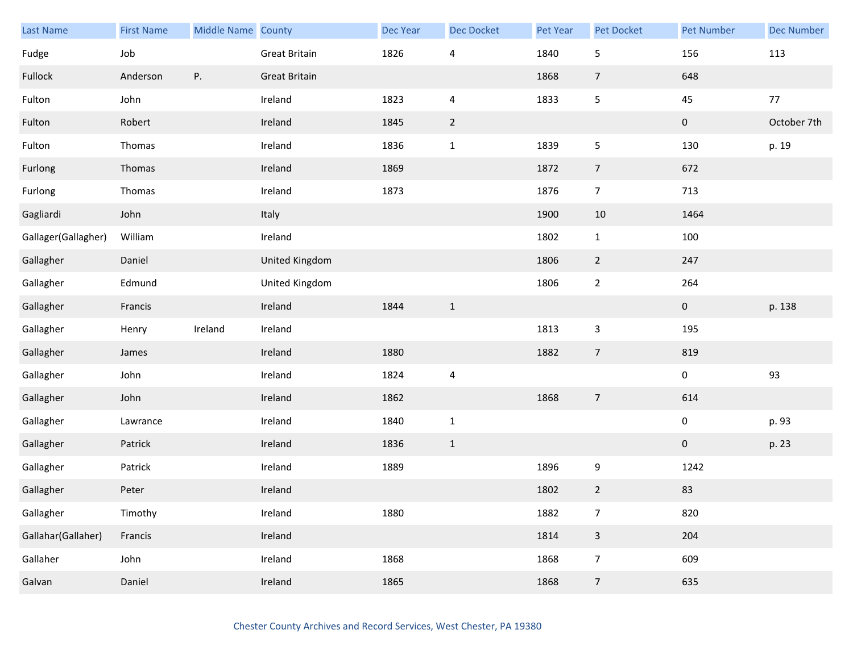| <b>Last Name</b>    | <b>First Name</b> | Middle Name County |                      | <b>Dec Year</b> | Dec Docket     | Pet Year | Pet Docket       | <b>Pet Number</b> | <b>Dec Number</b> |
|---------------------|-------------------|--------------------|----------------------|-----------------|----------------|----------|------------------|-------------------|-------------------|
| Fudge               | Job               |                    | <b>Great Britain</b> | 1826            | $\overline{4}$ | 1840     | 5                | 156               | 113               |
| Fullock             | Anderson          | Ρ.                 | <b>Great Britain</b> |                 |                | 1868     | $\overline{7}$   | 648               |                   |
| Fulton              | John              |                    | Ireland              | 1823            | $\overline{4}$ | 1833     | 5                | $45\,$            | $77$              |
| Fulton              | Robert            |                    | Ireland              | 1845            | $\overline{2}$ |          |                  | $\pmb{0}$         | October 7th       |
| Fulton              | Thomas            |                    | Ireland              | 1836            | $\mathbf{1}$   | 1839     | 5                | 130               | p. 19             |
| Furlong             | Thomas            |                    | Ireland              | 1869            |                | 1872     | $\overline{7}$   | 672               |                   |
| Furlong             | Thomas            |                    | Ireland              | 1873            |                | 1876     | $\overline{7}$   | 713               |                   |
| Gagliardi           | John              |                    | Italy                |                 |                | 1900     | $10\,$           | 1464              |                   |
| Gallager(Gallagher) | William           |                    | Ireland              |                 |                | 1802     | $\mathbf{1}$     | 100               |                   |
| Gallagher           | Daniel            |                    | United Kingdom       |                 |                | 1806     | $\overline{2}$   | 247               |                   |
| Gallagher           | Edmund            |                    | United Kingdom       |                 |                | 1806     | $\mathbf{2}$     | 264               |                   |
| Gallagher           | Francis           |                    | Ireland              | 1844            | $\mathbf{1}$   |          |                  | $\mathbf 0$       | p. 138            |
| Gallagher           | Henry             | Ireland            | Ireland              |                 |                | 1813     | $\mathbf{3}$     | 195               |                   |
| Gallagher           | James             |                    | Ireland              | 1880            |                | 1882     | $\overline{7}$   | 819               |                   |
| Gallagher           | John              |                    | Ireland              | 1824            | $\overline{4}$ |          |                  | $\pmb{0}$         | 93                |
| Gallagher           | John              |                    | Ireland              | 1862            |                | 1868     | $\overline{7}$   | 614               |                   |
| Gallagher           | Lawrance          |                    | Ireland              | 1840            | $\mathbf 1$    |          |                  | $\pmb{0}$         | p. 93             |
| Gallagher           | Patrick           |                    | Ireland              | 1836            | $\mathbf{1}$   |          |                  | $\pmb{0}$         | p. 23             |
| Gallagher           | Patrick           |                    | Ireland              | 1889            |                | 1896     | $\boldsymbol{9}$ | 1242              |                   |
| Gallagher           | Peter             |                    | Ireland              |                 |                | 1802     | $\overline{2}$   | 83                |                   |
| Gallagher           | Timothy           |                    | Ireland              | 1880            |                | 1882     | $\overline{7}$   | 820               |                   |
| Gallahar(Gallaher)  | Francis           |                    | Ireland              |                 |                | 1814     | $\mathbf{3}$     | 204               |                   |
| Gallaher            | John              |                    | Ireland              | 1868            |                | 1868     | $\overline{7}$   | 609               |                   |
| Galvan              | Daniel            |                    | Ireland              | 1865            |                | 1868     | $\overline{7}$   | 635               |                   |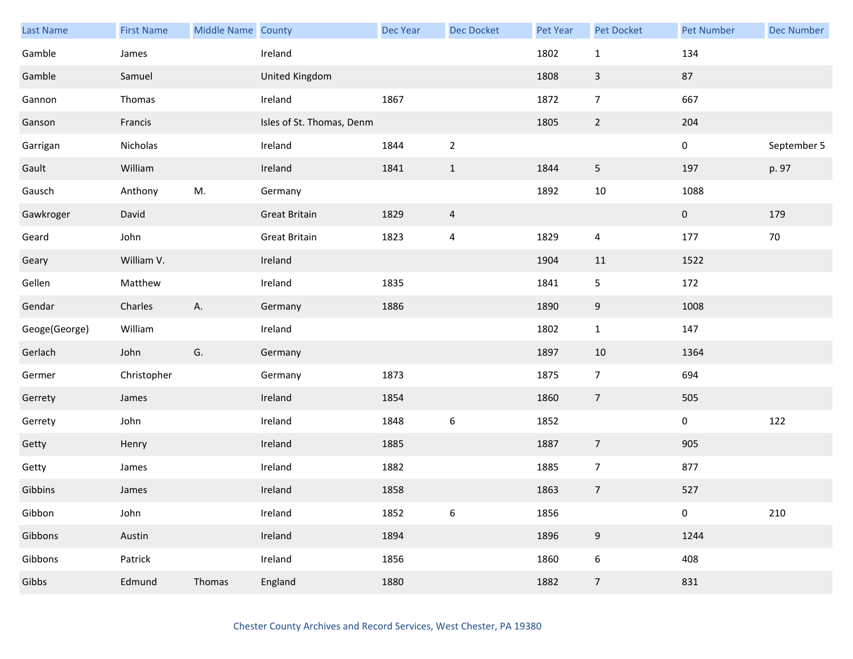| <b>Last Name</b> | <b>First Name</b> | Middle Name County |                           | Dec Year | Dec Docket               | Pet Year | Pet Docket       | <b>Pet Number</b> | <b>Dec Number</b> |
|------------------|-------------------|--------------------|---------------------------|----------|--------------------------|----------|------------------|-------------------|-------------------|
| Gamble           | James             |                    | Ireland                   |          |                          | 1802     | $\mathbf{1}$     | 134               |                   |
| Gamble           | Samuel            |                    | United Kingdom            |          |                          | 1808     | $\mathbf{3}$     | 87                |                   |
| Gannon           | Thomas            |                    | Ireland                   | 1867     |                          | 1872     | $\overline{7}$   | 667               |                   |
| Ganson           | Francis           |                    | Isles of St. Thomas, Denm |          |                          | 1805     | $\overline{2}$   | 204               |                   |
| Garrigan         | Nicholas          |                    | Ireland                   | 1844     | $\overline{2}$           |          |                  | $\mathbf 0$       | September 5       |
| Gault            | William           |                    | Ireland                   | 1841     | $\mathbf 1$              | 1844     | $\sqrt{5}$       | 197               | p. 97             |
| Gausch           | Anthony           | M.                 | Germany                   |          |                          | 1892     | 10               | 1088              |                   |
| Gawkroger        | David             |                    | <b>Great Britain</b>      | 1829     | $\overline{a}$           |          |                  | $\overline{0}$    | 179               |
| Geard            | John              |                    | <b>Great Britain</b>      | 1823     | $\overline{\mathcal{A}}$ | 1829     | 4                | 177               | 70                |
| Geary            | William V.        |                    | Ireland                   |          |                          | 1904     | 11               | 1522              |                   |
| Gellen           | Matthew           |                    | Ireland                   | 1835     |                          | 1841     | 5                | 172               |                   |
| Gendar           | Charles           | Α.                 | Germany                   | 1886     |                          | 1890     | 9                | 1008              |                   |
| Geoge(George)    | William           |                    | Ireland                   |          |                          | 1802     | $\mathbf{1}$     | 147               |                   |
| Gerlach          | John              | G.                 | Germany                   |          |                          | 1897     | 10               | 1364              |                   |
| Germer           | Christopher       |                    | Germany                   | 1873     |                          | 1875     | $\overline{7}$   | 694               |                   |
| Gerrety          | James             |                    | Ireland                   | 1854     |                          | 1860     | $\overline{7}$   | 505               |                   |
| Gerrety          | John              |                    | Ireland                   | 1848     | $\boldsymbol{6}$         | 1852     |                  | $\mathbf 0$       | 122               |
| Getty            | Henry             |                    | Ireland                   | 1885     |                          | 1887     | $\overline{7}$   | 905               |                   |
| Getty            | James             |                    | Ireland                   | 1882     |                          | 1885     | $\overline{7}$   | 877               |                   |
| Gibbins          | James             |                    | Ireland                   | 1858     |                          | 1863     | $\overline{7}$   | 527               |                   |
| Gibbon           | John              |                    | Ireland                   | 1852     | $\boldsymbol{6}$         | 1856     |                  | $\pmb{0}$         | 210               |
| Gibbons          | Austin            |                    | Ireland                   | 1894     |                          | 1896     | $9\,$            | 1244              |                   |
| Gibbons          | Patrick           |                    | Ireland                   | 1856     |                          | 1860     | $\boldsymbol{6}$ | 408               |                   |
| Gibbs            | Edmund            | Thomas             | England                   | 1880     |                          | 1882     | $7\overline{ }$  | 831               |                   |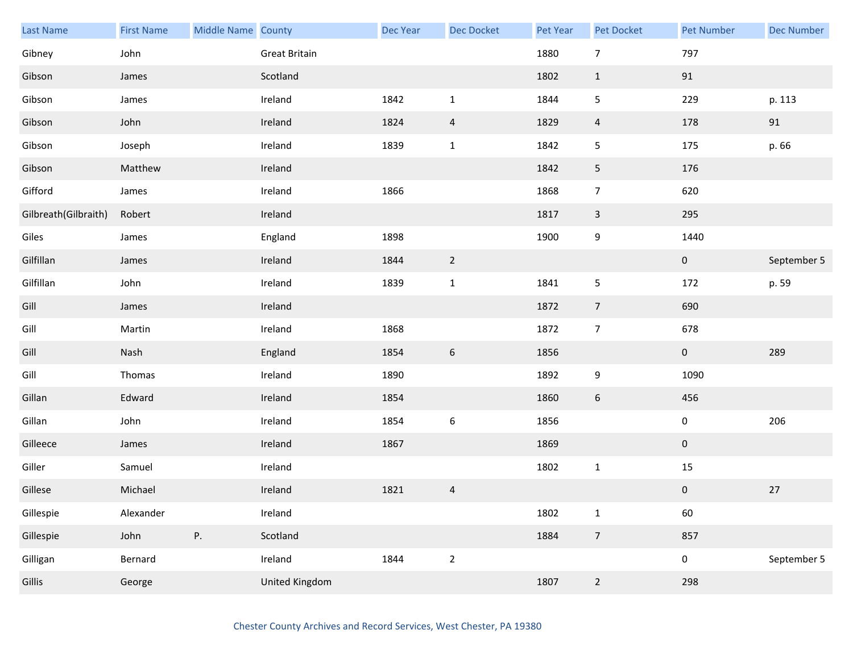| <b>Last Name</b>     | <b>First Name</b> | Middle Name County |                | Dec Year | Dec Docket       | Pet Year | <b>Pet Docket</b> | <b>Pet Number</b> | <b>Dec Number</b> |
|----------------------|-------------------|--------------------|----------------|----------|------------------|----------|-------------------|-------------------|-------------------|
| Gibney               | John              |                    | Great Britain  |          |                  | 1880     | $\overline{7}$    | 797               |                   |
| Gibson               | James             |                    | Scotland       |          |                  | 1802     | $\mathbf{1}$      | 91                |                   |
| Gibson               | James             |                    | Ireland        | 1842     | $\mathbf 1$      | 1844     | 5                 | 229               | p. 113            |
| Gibson               | John              |                    | Ireland        | 1824     | $\overline{4}$   | 1829     | $\overline{4}$    | 178               | 91                |
| Gibson               | Joseph            |                    | Ireland        | 1839     | $1\,$            | 1842     | 5                 | 175               | p. 66             |
| Gibson               | Matthew           |                    | Ireland        |          |                  | 1842     | 5                 | 176               |                   |
| Gifford              | James             |                    | Ireland        | 1866     |                  | 1868     | $\overline{7}$    | 620               |                   |
| Gilbreath(Gilbraith) | Robert            |                    | Ireland        |          |                  | 1817     | $\mathbf{3}$      | 295               |                   |
| Giles                | James             |                    | England        | 1898     |                  | 1900     | 9                 | 1440              |                   |
| Gilfillan            | James             |                    | Ireland        | 1844     | $\overline{2}$   |          |                   | $\mathbf{0}$      | September 5       |
| Gilfillan            | John              |                    | Ireland        | 1839     | $\mathbf 1$      | 1841     | $\sqrt{5}$        | 172               | p. 59             |
| Gill                 | James             |                    | Ireland        |          |                  | 1872     | $\overline{7}$    | 690               |                   |
| Gill                 | Martin            |                    | Ireland        | 1868     |                  | 1872     | $\overline{7}$    | 678               |                   |
| Gill                 | Nash              |                    | England        | 1854     | $\boldsymbol{6}$ | 1856     |                   | $\mathbf{0}$      | 289               |
| Gill                 | Thomas            |                    | Ireland        | 1890     |                  | 1892     | $\boldsymbol{9}$  | 1090              |                   |
| Gillan               | Edward            |                    | Ireland        | 1854     |                  | 1860     | $6\,$             | 456               |                   |
| Gillan               | John              |                    | Ireland        | 1854     | $\boldsymbol{6}$ | 1856     |                   | $\pmb{0}$         | 206               |
| Gilleece             | James             |                    | Ireland        | 1867     |                  | 1869     |                   | $\mathbf{0}$      |                   |
| Giller               | Samuel            |                    | Ireland        |          |                  | 1802     | $\mathbf{1}$      | 15                |                   |
| Gillese              | Michael           |                    | Ireland        | 1821     | $\overline{a}$   |          |                   | $\pmb{0}$         | $27$              |
| Gillespie            | Alexander         |                    | Ireland        |          |                  | 1802     | $\mathbf{1}$      | 60                |                   |
| Gillespie            | John              | Ρ.                 | Scotland       |          |                  | 1884     | $\overline{7}$    | 857               |                   |
| Gilligan             | Bernard           |                    | Ireland        | 1844     | $\overline{2}$   |          |                   | $\mathbf 0$       | September 5       |
| <b>Gillis</b>        | George            |                    | United Kingdom |          |                  | 1807     | $\overline{2}$    | 298               |                   |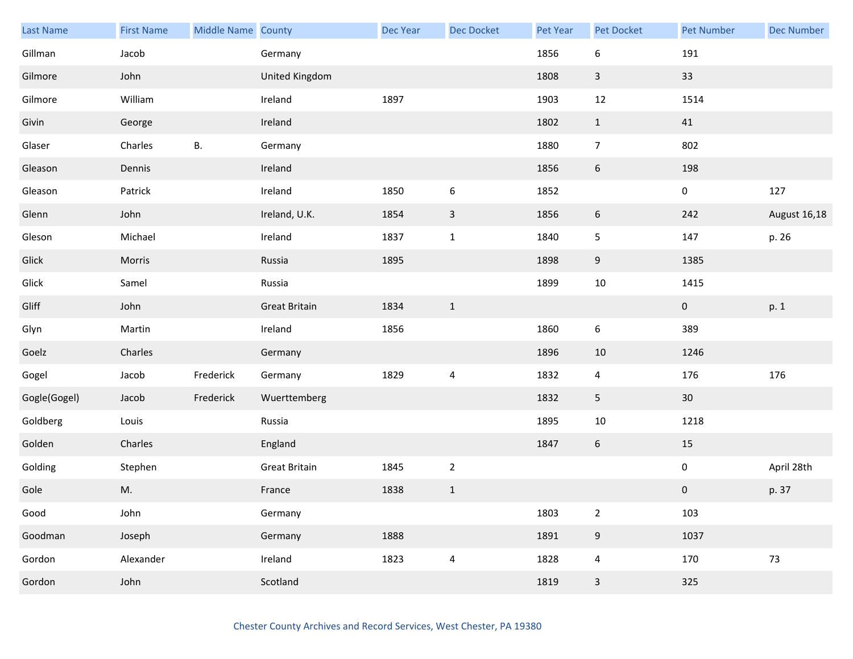| Last Name    | <b>First Name</b> | Middle Name County |                      | Dec Year | <b>Dec Docket</b>       | Pet Year | Pet Docket       | <b>Pet Number</b> | <b>Dec Number</b> |
|--------------|-------------------|--------------------|----------------------|----------|-------------------------|----------|------------------|-------------------|-------------------|
| Gillman      | Jacob             |                    | Germany              |          |                         | 1856     | 6                | 191               |                   |
| Gilmore      | John              |                    | United Kingdom       |          |                         | 1808     | $\mathbf{3}$     | 33                |                   |
| Gilmore      | William           |                    | Ireland              | 1897     |                         | 1903     | 12               | 1514              |                   |
| Givin        | George            |                    | Ireland              |          |                         | 1802     | $\mathbf{1}$     | 41                |                   |
| Glaser       | Charles           | В.                 | Germany              |          |                         | 1880     | $\overline{7}$   | 802               |                   |
| Gleason      | Dennis            |                    | Ireland              |          |                         | 1856     | $\boldsymbol{6}$ | 198               |                   |
| Gleason      | Patrick           |                    | Ireland              | 1850     | $\boldsymbol{6}$        | 1852     |                  | $\mathbf 0$       | 127               |
| Glenn        | John              |                    | Ireland, U.K.        | 1854     | $\mathsf{3}$            | 1856     | 6                | 242               | August 16,18      |
| Gleson       | Michael           |                    | Ireland              | 1837     | $1\,$                   | 1840     | 5                | 147               | p. 26             |
| Glick        | Morris            |                    | Russia               | 1895     |                         | 1898     | $9\,$            | 1385              |                   |
| Glick        | Samel             |                    | Russia               |          |                         | 1899     | $10\,$           | 1415              |                   |
| Gliff        | John              |                    | <b>Great Britain</b> | 1834     | $\mathbf{1}$            |          |                  | $\mathbf 0$       | p. 1              |
| Glyn         | Martin            |                    | Ireland              | 1856     |                         | 1860     | 6                | 389               |                   |
| Goelz        | Charles           |                    | Germany              |          |                         | 1896     | 10               | 1246              |                   |
| Gogel        | Jacob             | Frederick          | Germany              | 1829     | $\overline{4}$          | 1832     | 4                | 176               | 176               |
| Gogle(Gogel) | Jacob             | Frederick          | Wuerttemberg         |          |                         | 1832     | 5                | 30                |                   |
| Goldberg     | Louis             |                    | Russia               |          |                         | 1895     | $10\,$           | 1218              |                   |
| Golden       | Charles           |                    | England              |          |                         | 1847     | $6\phantom{.0}$  | 15                |                   |
| Golding      | Stephen           |                    | <b>Great Britain</b> | 1845     | $\overline{2}$          |          |                  | 0                 | April 28th        |
| Gole         | M.                |                    | France               | 1838     | $1\,$                   |          |                  | $\pmb{0}$         | p. 37             |
| Good         | John              |                    | Germany              |          |                         | 1803     | $\overline{2}$   | 103               |                   |
| Goodman      | Joseph            |                    | Germany              | 1888     |                         | 1891     | $\boldsymbol{9}$ | 1037              |                   |
| Gordon       | Alexander         |                    | Ireland              | 1823     | $\overline{\mathbf{4}}$ | 1828     | $\overline{4}$   | 170               | 73                |
| Gordon       | John              |                    | Scotland             |          |                         | 1819     | $\mathsf{3}$     | 325               |                   |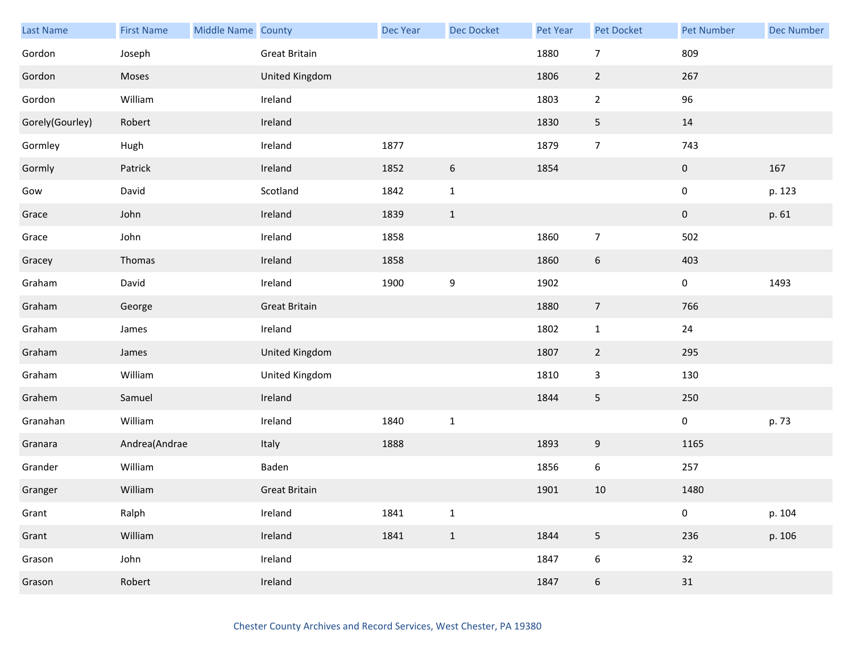| Last Name       | <b>First Name</b> | Middle Name County |                      | Dec Year | <b>Dec Docket</b> | Pet Year | Pet Docket       | Pet Number  | <b>Dec Number</b> |
|-----------------|-------------------|--------------------|----------------------|----------|-------------------|----------|------------------|-------------|-------------------|
| Gordon          | Joseph            |                    | <b>Great Britain</b> |          |                   | 1880     | $\overline{7}$   | 809         |                   |
| Gordon          | Moses             |                    | United Kingdom       |          |                   | 1806     | $\overline{2}$   | 267         |                   |
| Gordon          | William           |                    | Ireland              |          |                   | 1803     | $\overline{2}$   | 96          |                   |
| Gorely(Gourley) | Robert            |                    | Ireland              |          |                   | 1830     | 5                | 14          |                   |
| Gormley         | Hugh              |                    | Ireland              | 1877     |                   | 1879     | $\overline{7}$   | 743         |                   |
| Gormly          | Patrick           |                    | Ireland              | 1852     | $\,$ 6 $\,$       | 1854     |                  | $\pmb{0}$   | 167               |
| Gow             | David             |                    | Scotland             | 1842     | $\mathbf{1}$      |          |                  | 0           | p. 123            |
| Grace           | John              |                    | Ireland              | 1839     | $1\,$             |          |                  | $\mathbf 0$ | p. 61             |
| Grace           | John              |                    | Ireland              | 1858     |                   | 1860     | $\overline{7}$   | 502         |                   |
| Gracey          | Thomas            |                    | Ireland              | 1858     |                   | 1860     | $\boldsymbol{6}$ | 403         |                   |
| Graham          | David             |                    | Ireland              | 1900     | $\boldsymbol{9}$  | 1902     |                  | 0           | 1493              |
| Graham          | George            |                    | <b>Great Britain</b> |          |                   | 1880     | $\overline{7}$   | 766         |                   |
| Graham          | James             |                    | Ireland              |          |                   | 1802     | $\mathbf{1}$     | 24          |                   |
| Graham          | James             |                    | United Kingdom       |          |                   | 1807     | $\overline{2}$   | 295         |                   |
| Graham          | William           |                    | United Kingdom       |          |                   | 1810     | 3                | 130         |                   |
| Grahem          | Samuel            |                    | Ireland              |          |                   | 1844     | 5                | 250         |                   |
| Granahan        | William           |                    | Ireland              | 1840     | $\mathbf 1$       |          |                  | $\pmb{0}$   | p. 73             |
| Granara         | Andrea(Andrae     |                    | Italy                | 1888     |                   | 1893     | 9                | 1165        |                   |
| Grander         | William           |                    | Baden                |          |                   | 1856     | 6                | 257         |                   |
| Granger         | William           |                    | <b>Great Britain</b> |          |                   | 1901     | 10               | 1480        |                   |
| Grant           | Ralph             |                    | Ireland              | 1841     | $\mathbf 1$       |          |                  | 0           | p. 104            |
| Grant           | William           |                    | Ireland              | 1841     | $\,1\,$           | 1844     | 5                | 236         | p. 106            |
| Grason          | John              |                    | Ireland              |          |                   | 1847     | 6                | 32          |                   |
| Grason          | Robert            |                    | Ireland              |          |                   | 1847     | $\boldsymbol{6}$ | 31          |                   |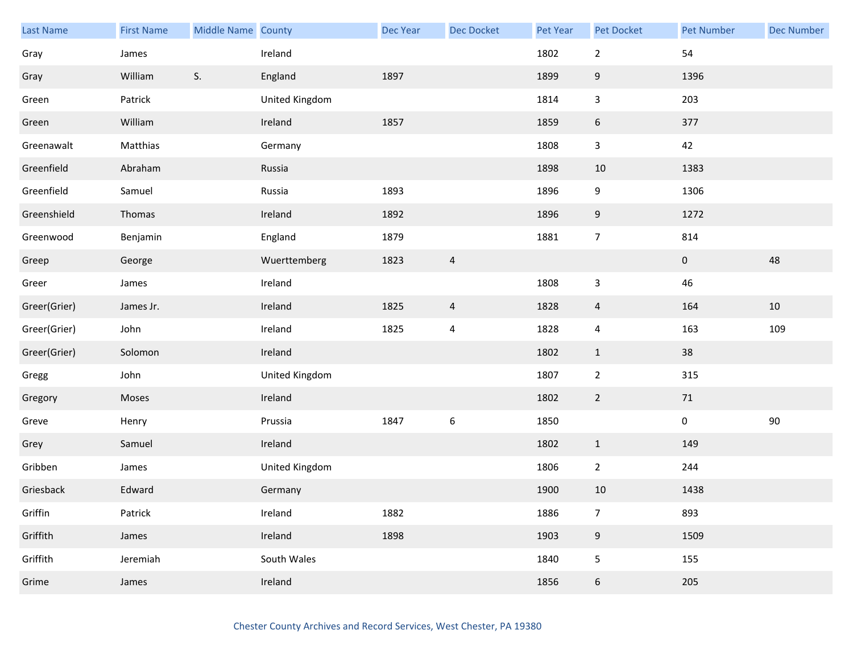| <b>Last Name</b> | <b>First Name</b> | Middle Name County |                | <b>Dec Year</b> | <b>Dec Docket</b>       | Pet Year | Pet Docket       | Pet Number  | <b>Dec Number</b> |
|------------------|-------------------|--------------------|----------------|-----------------|-------------------------|----------|------------------|-------------|-------------------|
| Gray             | James             |                    | Ireland        |                 |                         | 1802     | $\sqrt{2}$       | 54          |                   |
| Gray             | William           | S.                 | England        | 1897            |                         | 1899     | $\boldsymbol{9}$ | 1396        |                   |
| Green            | Patrick           |                    | United Kingdom |                 |                         | 1814     | $\mathsf 3$      | 203         |                   |
| Green            | William           |                    | Ireland        | 1857            |                         | 1859     | $\boldsymbol{6}$ | 377         |                   |
| Greenawalt       | Matthias          |                    | Germany        |                 |                         | 1808     | $\mathsf 3$      | 42          |                   |
| Greenfield       | Abraham           |                    | Russia         |                 |                         | 1898     | 10               | 1383        |                   |
| Greenfield       | Samuel            |                    | Russia         | 1893            |                         | 1896     | 9                | 1306        |                   |
| Greenshield      | Thomas            |                    | Ireland        | 1892            |                         | 1896     | $\boldsymbol{9}$ | 1272        |                   |
| Greenwood        | Benjamin          |                    | England        | 1879            |                         | 1881     | $\overline{7}$   | 814         |                   |
| Greep            | George            |                    | Wuerttemberg   | 1823            | $\overline{4}$          |          |                  | $\pmb{0}$   | 48                |
| Greer            | James             |                    | Ireland        |                 |                         | 1808     | $\mathbf{3}$     | 46          |                   |
| Greer(Grier)     | James Jr.         |                    | Ireland        | 1825            | $\overline{4}$          | 1828     | $\overline{4}$   | 164         | 10                |
| Greer(Grier)     | John              |                    | Ireland        | 1825            | $\overline{\mathbf{4}}$ | 1828     | $\pmb{4}$        | 163         | 109               |
| Greer(Grier)     | Solomon           |                    | Ireland        |                 |                         | 1802     | $\mathbf{1}$     | 38          |                   |
| Gregg            | John              |                    | United Kingdom |                 |                         | 1807     | $\sqrt{2}$       | 315         |                   |
| Gregory          | Moses             |                    | Ireland        |                 |                         | 1802     | $\overline{2}$   | 71          |                   |
| Greve            | Henry             |                    | Prussia        | 1847            | $\boldsymbol{6}$        | 1850     |                  | $\mathbf 0$ | $90\,$            |
| Grey             | Samuel            |                    | Ireland        |                 |                         | 1802     | $\mathbf{1}$     | 149         |                   |
| Gribben          | James             |                    | United Kingdom |                 |                         | 1806     | $\overline{2}$   | 244         |                   |
| Griesback        | Edward            |                    | Germany        |                 |                         | 1900     | 10               | 1438        |                   |
| Griffin          | Patrick           |                    | Ireland        | 1882            |                         | 1886     | $\overline{7}$   | 893         |                   |
| Griffith         | James             |                    | Ireland        | 1898            |                         | 1903     | $9\,$            | 1509        |                   |
| Griffith         | Jeremiah          |                    | South Wales    |                 |                         | 1840     | 5                | 155         |                   |
| Grime            | James             |                    | Ireland        |                 |                         | 1856     | 6                | 205         |                   |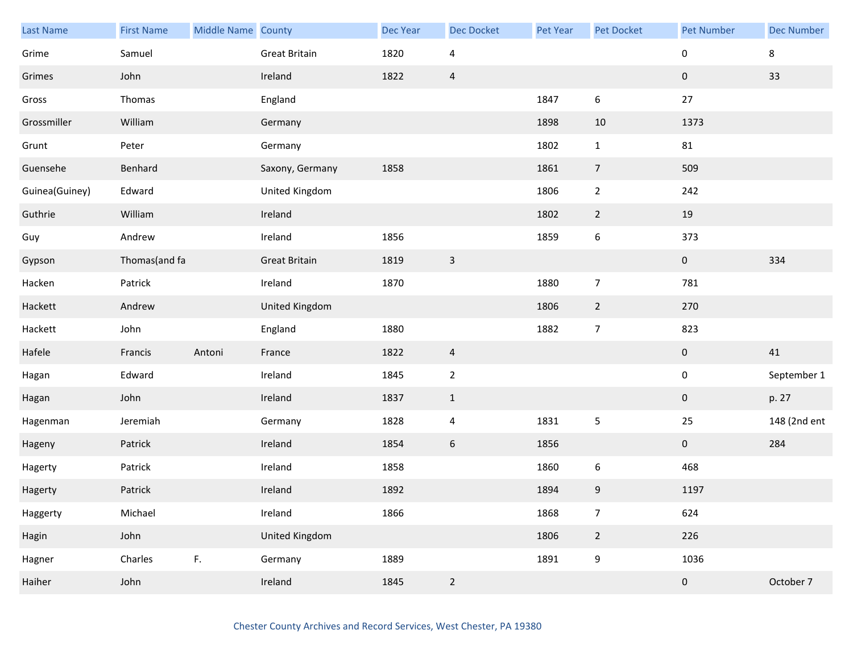| Last Name      | <b>First Name</b> | Middle Name County |                      | Dec Year | <b>Dec Docket</b> | Pet Year | Pet Docket       | <b>Pet Number</b> | <b>Dec Number</b> |
|----------------|-------------------|--------------------|----------------------|----------|-------------------|----------|------------------|-------------------|-------------------|
| Grime          | Samuel            |                    | <b>Great Britain</b> | 1820     | 4                 |          |                  | 0                 | 8                 |
| Grimes         | John              |                    | Ireland              | 1822     | $\overline{4}$    |          |                  | $\pmb{0}$         | 33                |
| Gross          | Thomas            |                    | England              |          |                   | 1847     | 6                | 27                |                   |
| Grossmiller    | William           |                    | Germany              |          |                   | 1898     | 10               | 1373              |                   |
| Grunt          | Peter             |                    | Germany              |          |                   | 1802     | $\mathbf{1}$     | 81                |                   |
| Guensehe       | Benhard           |                    | Saxony, Germany      | 1858     |                   | 1861     | $\overline{7}$   | 509               |                   |
| Guinea(Guiney) | Edward            |                    | United Kingdom       |          |                   | 1806     | $\overline{2}$   | 242               |                   |
| Guthrie        | William           |                    | Ireland              |          |                   | 1802     | $2\overline{ }$  | 19                |                   |
| Guy            | Andrew            |                    | Ireland              | 1856     |                   | 1859     | $\boldsymbol{6}$ | 373               |                   |
| Gypson         | Thomas(and fa     |                    | <b>Great Britain</b> | 1819     | $\mathsf 3$       |          |                  | $\pmb{0}$         | 334               |
| Hacken         | Patrick           |                    | Ireland              | 1870     |                   | 1880     | $\overline{7}$   | 781               |                   |
| Hackett        | Andrew            |                    | United Kingdom       |          |                   | 1806     | $\overline{2}$   | 270               |                   |
| Hackett        | John              |                    | England              | 1880     |                   | 1882     | $\overline{7}$   | 823               |                   |
| Hafele         | Francis           | Antoni             | France               | 1822     | $\overline{4}$    |          |                  | $\pmb{0}$         | 41                |
| Hagan          | Edward            |                    | Ireland              | 1845     | $\overline{2}$    |          |                  | $\pmb{0}$         | September 1       |
| Hagan          | John              |                    | Ireland              | 1837     | $1\,$             |          |                  | 0                 | p. 27             |
| Hagenman       | Jeremiah          |                    | Germany              | 1828     | $\pmb{4}$         | 1831     | 5                | 25                | 148 (2nd ent      |
| Hageny         | Patrick           |                    | Ireland              | 1854     | 6                 | 1856     |                  | $\mathbf{0}$      | 284               |
| Hagerty        | Patrick           |                    | Ireland              | 1858     |                   | 1860     | 6                | 468               |                   |
| Hagerty        | Patrick           |                    | Ireland              | 1892     |                   | 1894     | 9                | 1197              |                   |
| Haggerty       | Michael           |                    | Ireland              | 1866     |                   | 1868     | $\overline{7}$   | 624               |                   |
| Hagin          | John              |                    | United Kingdom       |          |                   | 1806     | $\overline{2}$   | 226               |                   |
| Hagner         | Charles           | F.                 | Germany              | 1889     |                   | 1891     | 9                | 1036              |                   |
| Haiher         | John              |                    | Ireland              | 1845     | $\overline{2}$    |          |                  | $\pmb{0}$         | October 7         |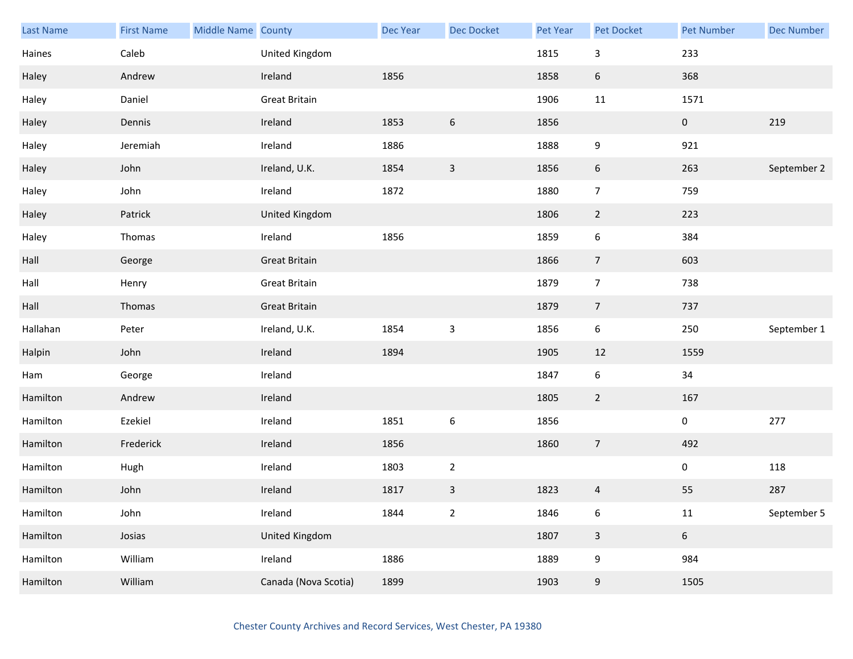| Last Name | <b>First Name</b> | Middle Name County |                      | Dec Year | Dec Docket       | Pet Year | Pet Docket              | <b>Pet Number</b>   | <b>Dec Number</b> |
|-----------|-------------------|--------------------|----------------------|----------|------------------|----------|-------------------------|---------------------|-------------------|
| Haines    | Caleb             |                    | United Kingdom       |          |                  | 1815     | 3                       | 233                 |                   |
| Haley     | Andrew            |                    | Ireland              | 1856     |                  | 1858     | $6\,$                   | 368                 |                   |
| Haley     | Daniel            |                    | <b>Great Britain</b> |          |                  | 1906     | 11                      | 1571                |                   |
| Haley     | Dennis            |                    | Ireland              | 1853     | $\boldsymbol{6}$ | 1856     |                         | $\mathbf{0}$        | 219               |
| Haley     | Jeremiah          |                    | Ireland              | 1886     |                  | 1888     | 9                       | 921                 |                   |
| Haley     | John              |                    | Ireland, U.K.        | 1854     | $\mathsf 3$      | 1856     | 6                       | 263                 | September 2       |
| Haley     | John              |                    | Ireland              | 1872     |                  | 1880     | $\overline{7}$          | 759                 |                   |
| Haley     | Patrick           |                    | United Kingdom       |          |                  | 1806     | $\overline{2}$          | 223                 |                   |
| Haley     | Thomas            |                    | Ireland              | 1856     |                  | 1859     | $\boldsymbol{6}$        | 384                 |                   |
| Hall      | George            |                    | <b>Great Britain</b> |          |                  | 1866     | $\overline{7}$          | 603                 |                   |
| Hall      | Henry             |                    | <b>Great Britain</b> |          |                  | 1879     | $\overline{7}$          | 738                 |                   |
| Hall      | Thomas            |                    | <b>Great Britain</b> |          |                  | 1879     | $\overline{7}$          | 737                 |                   |
| Hallahan  | Peter             |                    | Ireland, U.K.        | 1854     | $\mathsf 3$      | 1856     | 6                       | 250                 | September 1       |
| Halpin    | John              |                    | Ireland              | 1894     |                  | 1905     | 12                      | 1559                |                   |
| Ham       | George            |                    | Ireland              |          |                  | 1847     | $\boldsymbol{6}$        | 34                  |                   |
| Hamilton  | Andrew            |                    | Ireland              |          |                  | 1805     | $\overline{2}$          | 167                 |                   |
| Hamilton  | Ezekiel           |                    | Ireland              | 1851     | $\boldsymbol{6}$ | 1856     |                         | $\mathsf{O}\xspace$ | 277               |
| Hamilton  | Frederick         |                    | Ireland              | 1856     |                  | 1860     | $\overline{7}$          | 492                 |                   |
| Hamilton  | Hugh              |                    | Ireland              | 1803     | $\overline{2}$   |          |                         | $\mathbf 0$         | 118               |
| Hamilton  | John              |                    | Ireland              | 1817     | $\mathsf{3}$     | 1823     | $\overline{\mathbf{4}}$ | 55                  | 287               |
| Hamilton  | John              |                    | Ireland              | 1844     | $\overline{2}$   | 1846     | 6                       | 11                  | September 5       |
| Hamilton  | Josias            |                    | United Kingdom       |          |                  | 1807     | $\mathsf{3}$            | $6\phantom{.}$      |                   |
| Hamilton  | William           |                    | Ireland              | 1886     |                  | 1889     | 9                       | 984                 |                   |
| Hamilton  | William           |                    | Canada (Nova Scotia) | 1899     |                  | 1903     | 9                       | 1505                |                   |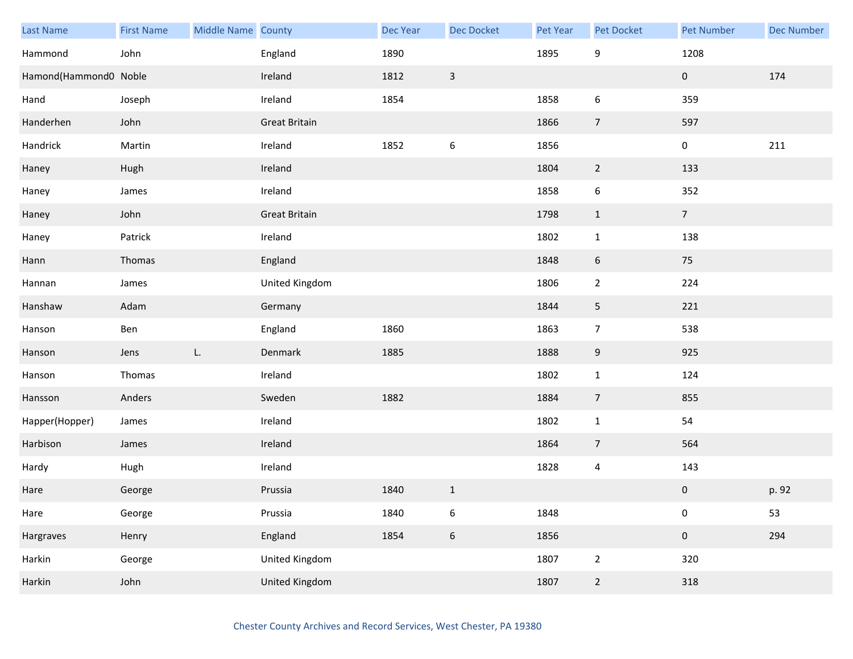| Last Name             | <b>First Name</b> | Middle Name County |                       | Dec Year | Dec Docket       | <b>Pet Year</b> | Pet Docket     | <b>Pet Number</b> | <b>Dec Number</b> |
|-----------------------|-------------------|--------------------|-----------------------|----------|------------------|-----------------|----------------|-------------------|-------------------|
| Hammond               | John              |                    | England               | 1890     |                  | 1895            | 9              | 1208              |                   |
| Hamond(Hammond0 Noble |                   |                    | Ireland               | 1812     | $\overline{3}$   |                 |                | $\mathbf{0}$      | 174               |
| Hand                  | Joseph            |                    | Ireland               | 1854     |                  | 1858            | 6              | 359               |                   |
| Handerhen             | John              |                    | <b>Great Britain</b>  |          |                  | 1866            | $\overline{7}$ | 597               |                   |
| Handrick              | Martin            |                    | Ireland               | 1852     | $\boldsymbol{6}$ | 1856            |                | $\mathbf 0$       | 211               |
| Haney                 | Hugh              |                    | Ireland               |          |                  | 1804            | $\overline{2}$ | 133               |                   |
| Haney                 | James             |                    | Ireland               |          |                  | 1858            | 6              | 352               |                   |
| Haney                 | John              |                    | <b>Great Britain</b>  |          |                  | 1798            | $\mathbf{1}$   | 7 <sup>7</sup>    |                   |
| Haney                 | Patrick           |                    | Ireland               |          |                  | 1802            | $\mathbf{1}$   | 138               |                   |
| Hann                  | Thomas            |                    | England               |          |                  | 1848            | 6              | 75                |                   |
| Hannan                | James             |                    | United Kingdom        |          |                  | 1806            | $\overline{2}$ | 224               |                   |
| Hanshaw               | Adam              |                    | Germany               |          |                  | 1844            | 5              | 221               |                   |
| Hanson                | Ben               |                    | England               | 1860     |                  | 1863            | $\overline{7}$ | 538               |                   |
| Hanson                | Jens              | L.                 | Denmark               | 1885     |                  | 1888            | 9              | 925               |                   |
| Hanson                | Thomas            |                    | Ireland               |          |                  | 1802            | $\mathbf 1$    | 124               |                   |
| Hansson               | Anders            |                    | Sweden                | 1882     |                  | 1884            | $\overline{7}$ | 855               |                   |
| Happer(Hopper)        | James             |                    | Ireland               |          |                  | 1802            | $\mathbf{1}$   | 54                |                   |
| Harbison              | James             |                    | Ireland               |          |                  | 1864            | $\overline{7}$ | 564               |                   |
| Hardy                 | Hugh              |                    | Ireland               |          |                  | 1828            | $\overline{a}$ | 143               |                   |
| Hare                  | George            |                    | Prussia               | 1840     | $1\,$            |                 |                | 0                 | p. 92             |
| Hare                  | George            |                    | Prussia               | 1840     | $\,$ 6 $\,$      | 1848            |                | $\pmb{0}$         | 53                |
| Hargraves             | Henry             |                    | England               | 1854     | $\boldsymbol{6}$ | 1856            |                | $\mathbf 0$       | 294               |
| Harkin                | George            |                    | United Kingdom        |          |                  | 1807            | $\mathbf 2$    | 320               |                   |
| Harkin                | John              |                    | <b>United Kingdom</b> |          |                  | 1807            | $\overline{2}$ | 318               |                   |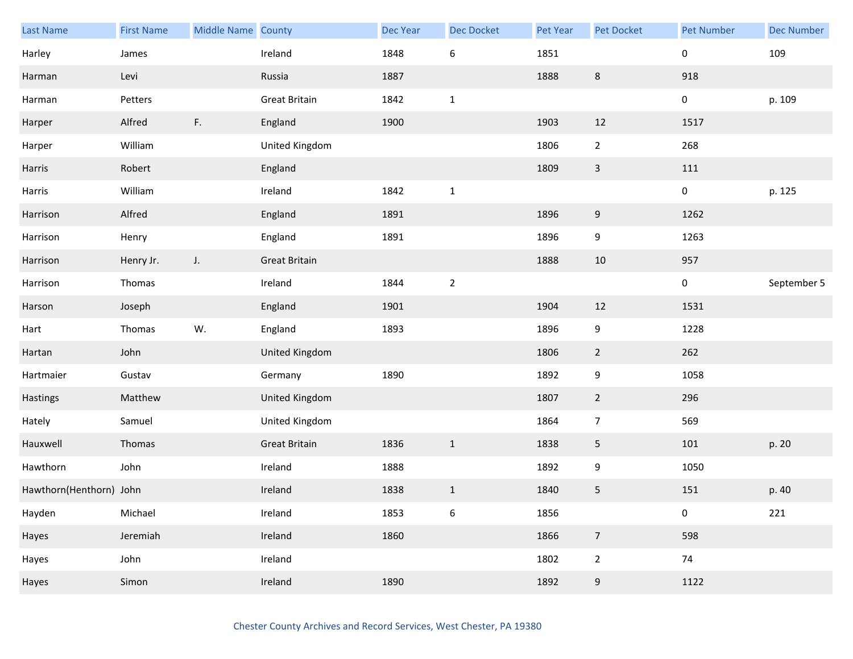| <b>Last Name</b>        | <b>First Name</b> | Middle Name County |                       | Dec Year | <b>Dec Docket</b> | Pet Year | Pet Docket     | <b>Pet Number</b> | <b>Dec Number</b> |
|-------------------------|-------------------|--------------------|-----------------------|----------|-------------------|----------|----------------|-------------------|-------------------|
| Harley                  | James             |                    | Ireland               | 1848     | $\boldsymbol{6}$  | 1851     |                | 0                 | 109               |
| Harman                  | Levi              |                    | Russia                | 1887     |                   | 1888     | $\,8\,$        | 918               |                   |
| Harman                  | Petters           |                    | <b>Great Britain</b>  | 1842     | $\mathbf{1}$      |          |                | 0                 | p. 109            |
| Harper                  | Alfred            | F.                 | England               | 1900     |                   | 1903     | 12             | 1517              |                   |
| Harper                  | William           |                    | United Kingdom        |          |                   | 1806     | $\overline{2}$ | 268               |                   |
| Harris                  | Robert            |                    | England               |          |                   | 1809     | $\mathsf{3}$   | 111               |                   |
| Harris                  | William           |                    | Ireland               | 1842     | $\mathbf 1$       |          |                | 0                 | p. 125            |
| Harrison                | Alfred            |                    | England               | 1891     |                   | 1896     | 9              | 1262              |                   |
| Harrison                | Henry             |                    | England               | 1891     |                   | 1896     | 9              | 1263              |                   |
| Harrison                | Henry Jr.         | $J_{\star}$        | <b>Great Britain</b>  |          |                   | 1888     | 10             | 957               |                   |
| Harrison                | Thomas            |                    | Ireland               | 1844     | $\sqrt{2}$        |          |                | 0                 | September 5       |
| Harson                  | Joseph            |                    | England               | 1901     |                   | 1904     | 12             | 1531              |                   |
| Hart                    | Thomas            | W.                 | England               | 1893     |                   | 1896     | 9              | 1228              |                   |
| Hartan                  | John              |                    | <b>United Kingdom</b> |          |                   | 1806     | $\overline{2}$ | 262               |                   |
| Hartmaier               | Gustav            |                    | Germany               | 1890     |                   | 1892     | 9              | 1058              |                   |
| Hastings                | Matthew           |                    | United Kingdom        |          |                   | 1807     | $\overline{2}$ | 296               |                   |
| Hately                  | Samuel            |                    | United Kingdom        |          |                   | 1864     | $\overline{7}$ | 569               |                   |
| Hauxwell                | Thomas            |                    | <b>Great Britain</b>  | 1836     | $\mathbf{1}$      | 1838     | 5              | 101               | p. 20             |
| Hawthorn                | John              |                    | Ireland               | 1888     |                   | 1892     | 9              | 1050              |                   |
| Hawthorn(Henthorn) John |                   |                    | Ireland               | 1838     | $\mathbf 1$       | 1840     | 5              | 151               | p. 40             |
| Hayden                  | Michael           |                    | Ireland               | 1853     | $\,$ 6 $\,$       | 1856     |                | 0                 | 221               |
| Hayes                   | Jeremiah          |                    | Ireland               | 1860     |                   | 1866     | $\overline{7}$ | 598               |                   |
| Hayes                   | John              |                    | Ireland               |          |                   | 1802     | $\overline{2}$ | 74                |                   |
| Hayes                   | Simon             |                    | Ireland               | 1890     |                   | 1892     | 9              | 1122              |                   |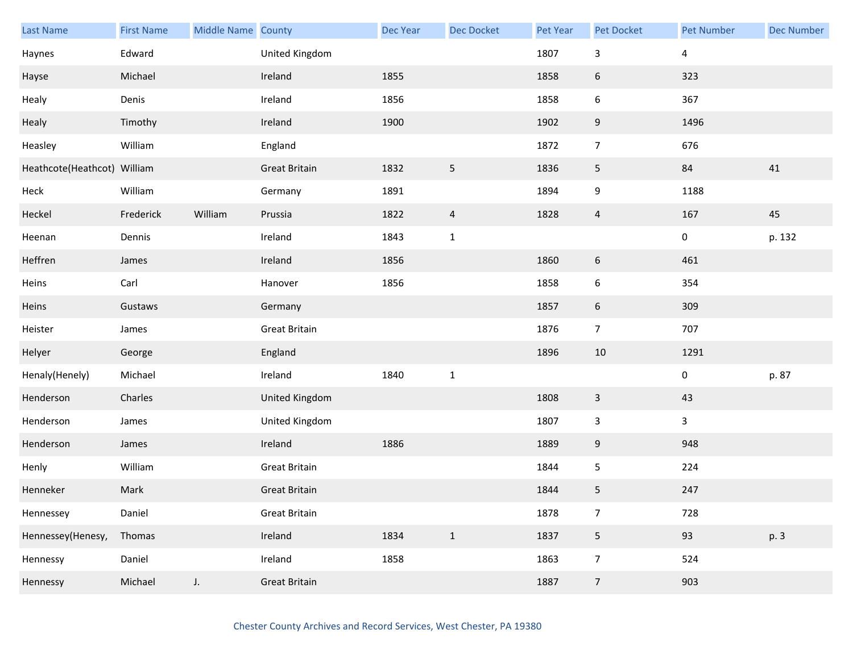| <b>Last Name</b>            | <b>First Name</b> | Middle Name County |                      | Dec Year | <b>Dec Docket</b> | <b>Pet Year</b> | <b>Pet Docket</b> | <b>Pet Number</b> | <b>Dec Number</b> |
|-----------------------------|-------------------|--------------------|----------------------|----------|-------------------|-----------------|-------------------|-------------------|-------------------|
| Haynes                      | Edward            |                    | United Kingdom       |          |                   | 1807            | $\mathbf{3}$      | $\overline{4}$    |                   |
| Hayse                       | Michael           |                    | Ireland              | 1855     |                   | 1858            | 6                 | 323               |                   |
| Healy                       | Denis             |                    | Ireland              | 1856     |                   | 1858            | 6                 | 367               |                   |
| Healy                       | Timothy           |                    | Ireland              | 1900     |                   | 1902            | 9                 | 1496              |                   |
| Heasley                     | William           |                    | England              |          |                   | 1872            | $\overline{7}$    | 676               |                   |
| Heathcote(Heathcot) William |                   |                    | <b>Great Britain</b> | 1832     | $\mathsf S$       | 1836            | 5                 | 84                | 41                |
| Heck                        | William           |                    | Germany              | 1891     |                   | 1894            | 9                 | 1188              |                   |
| Heckel                      | Frederick         | William            | Prussia              | 1822     | $\overline{4}$    | 1828            | $\overline{4}$    | 167               | 45                |
| Heenan                      | Dennis            |                    | Ireland              | 1843     | $\mathbf 1$       |                 |                   | 0                 | p. 132            |
| Heffren                     | James             |                    | Ireland              | 1856     |                   | 1860            | 6                 | 461               |                   |
| Heins                       | Carl              |                    | Hanover              | 1856     |                   | 1858            | 6                 | 354               |                   |
| Heins                       | Gustaws           |                    | Germany              |          |                   | 1857            | 6                 | 309               |                   |
| Heister                     | James             |                    | <b>Great Britain</b> |          |                   | 1876            | $\overline{7}$    | 707               |                   |
| Helyer                      | George            |                    | England              |          |                   | 1896            | $10\,$            | 1291              |                   |
| Henaly(Henely)              | Michael           |                    | Ireland              | 1840     | $\mathbf 1$       |                 |                   | $\pmb{0}$         | p. 87             |
| Henderson                   | Charles           |                    | United Kingdom       |          |                   | 1808            | 3                 | 43                |                   |
| Henderson                   | James             |                    | United Kingdom       |          |                   | 1807            | $\mathbf{3}$      | $\mathbf{3}$      |                   |
| Henderson                   | James             |                    | Ireland              | 1886     |                   | 1889            | 9                 | 948               |                   |
| Henly                       | William           |                    | <b>Great Britain</b> |          |                   | 1844            | 5                 | 224               |                   |
| Henneker                    | Mark              |                    | <b>Great Britain</b> |          |                   | 1844            | 5                 | 247               |                   |
| Hennessey                   | Daniel            |                    | <b>Great Britain</b> |          |                   | 1878            | $\overline{7}$    | 728               |                   |
| Hennessey(Henesy,           | Thomas            |                    | Ireland              | 1834     | $\mathbf{1}$      | 1837            | 5                 | 93                | p. 3              |
| Hennessy                    | Daniel            |                    | Ireland              | 1858     |                   | 1863            | $\overline{7}$    | 524               |                   |
| Hennessy                    | Michael           | $J_{\star}$        | <b>Great Britain</b> |          |                   | 1887            | $\overline{7}$    | 903               |                   |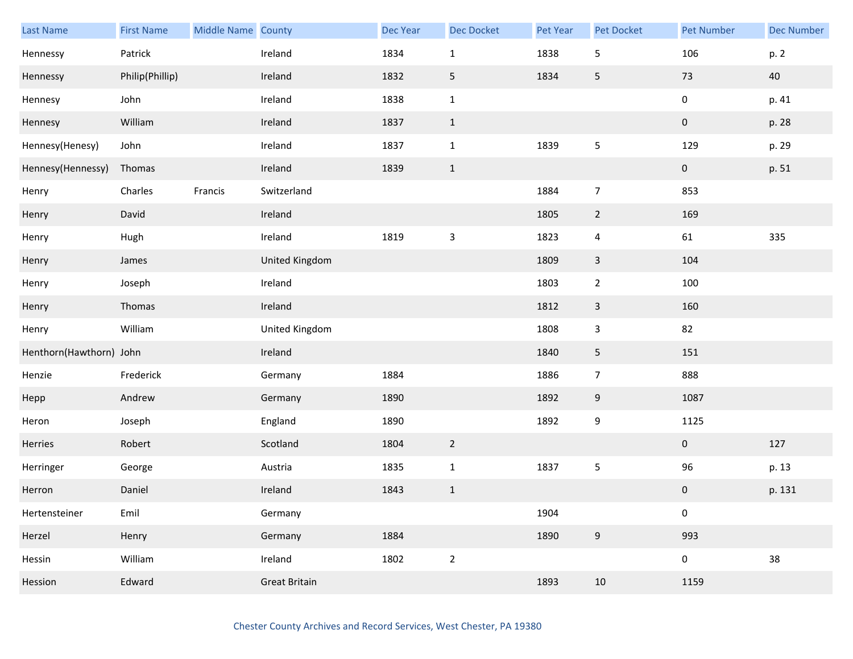| <b>Last Name</b>        | <b>First Name</b> | Middle Name County |                      | Dec Year | Dec Docket     | Pet Year | Pet Docket              | <b>Pet Number</b> | <b>Dec Number</b> |
|-------------------------|-------------------|--------------------|----------------------|----------|----------------|----------|-------------------------|-------------------|-------------------|
| Hennessy                | Patrick           |                    | Ireland              | 1834     | $\mathbf 1$    | 1838     | 5                       | 106               | p. 2              |
| Hennessy                | Philip(Phillip)   |                    | Ireland              | 1832     | 5              | 1834     | 5                       | $73\,$            | 40                |
| Hennesy                 | John              |                    | Ireland              | 1838     | $\mathbf 1$    |          |                         | 0                 | p. 41             |
| Hennesy                 | William           |                    | Ireland              | 1837     | $\mathbf{1}$   |          |                         | $\pmb{0}$         | p. 28             |
| Hennesy(Henesy)         | John              |                    | Ireland              | 1837     | $\mathbf{1}$   | 1839     | 5                       | 129               | p. 29             |
| Hennesy(Hennessy)       | Thomas            |                    | Ireland              | 1839     | $1\,$          |          |                         | $\pmb{0}$         | p. 51             |
| Henry                   | Charles           | Francis            | Switzerland          |          |                | 1884     | $\overline{7}$          | 853               |                   |
| Henry                   | David             |                    | Ireland              |          |                | 1805     | $2\overline{ }$         | 169               |                   |
| Henry                   | Hugh              |                    | Ireland              | 1819     | $\mathsf 3$    | 1823     | $\overline{\mathbf{4}}$ | 61                | 335               |
| Henry                   | James             |                    | United Kingdom       |          |                | 1809     | $\mathsf{3}$            | 104               |                   |
| Henry                   | Joseph            |                    | Ireland              |          |                | 1803     | $\overline{2}$          | 100               |                   |
| Henry                   | Thomas            |                    | Ireland              |          |                | 1812     | $\overline{3}$          | 160               |                   |
| Henry                   | William           |                    | United Kingdom       |          |                | 1808     | 3                       | 82                |                   |
| Henthorn(Hawthorn) John |                   |                    | Ireland              |          |                | 1840     | 5                       | 151               |                   |
| Henzie                  | Frederick         |                    | Germany              | 1884     |                | 1886     | $\overline{7}$          | 888               |                   |
| Hepp                    | Andrew            |                    | Germany              | 1890     |                | 1892     | 9                       | 1087              |                   |
| Heron                   | Joseph            |                    | England              | 1890     |                | 1892     | 9                       | 1125              |                   |
| Herries                 | Robert            |                    | Scotland             | 1804     | $\overline{2}$ |          |                         | $\overline{0}$    | 127               |
| Herringer               | George            |                    | Austria              | 1835     | $\mathbf 1$    | 1837     | 5                       | 96                | p. 13             |
| Herron                  | Daniel            |                    | Ireland              | 1843     | $1\,$          |          |                         | $\pmb{0}$         | p. 131            |
| Hertensteiner           | Emil              |                    | Germany              |          |                | 1904     |                         | 0                 |                   |
| Herzel                  | Henry             |                    | Germany              | 1884     |                | 1890     | $\boldsymbol{9}$        | 993               |                   |
| Hessin                  | William           |                    | Ireland              | 1802     | $\overline{2}$ |          |                         | 0                 | 38                |
| Hession                 | Edward            |                    | <b>Great Britain</b> |          |                | 1893     | 10                      | 1159              |                   |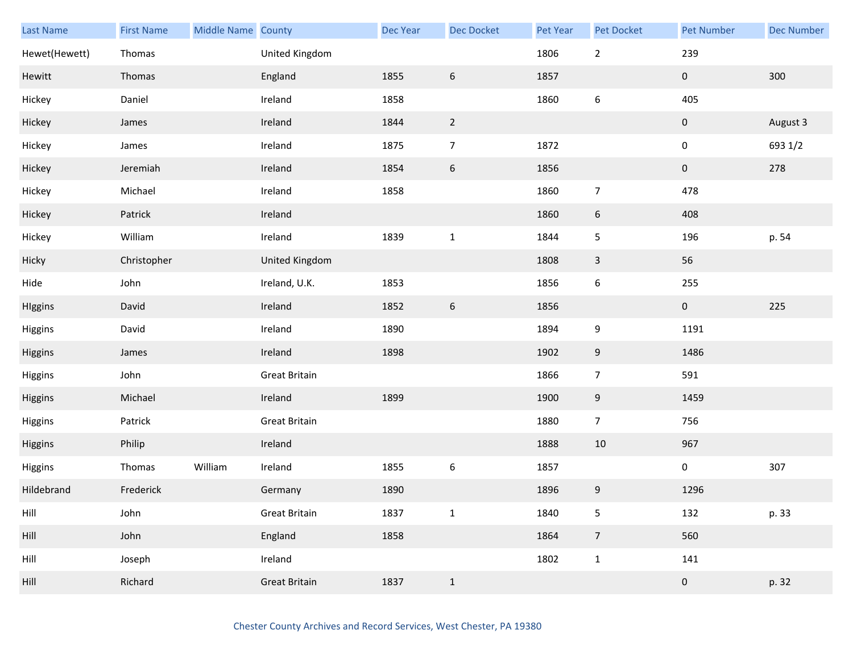| Last Name     | <b>First Name</b> | Middle Name County |                      | Dec Year | <b>Dec Docket</b> | Pet Year | Pet Docket       | <b>Pet Number</b> | <b>Dec Number</b> |
|---------------|-------------------|--------------------|----------------------|----------|-------------------|----------|------------------|-------------------|-------------------|
| Hewet(Hewett) | Thomas            |                    | United Kingdom       |          |                   | 1806     | $\mathbf{2}$     | 239               |                   |
| Hewitt        | Thomas            |                    | England              | 1855     | $\boldsymbol{6}$  | 1857     |                  | $\pmb{0}$         | 300               |
| Hickey        | Daniel            |                    | Ireland              | 1858     |                   | 1860     | $\boldsymbol{6}$ | 405               |                   |
| Hickey        | James             |                    | Ireland              | 1844     | $\overline{2}$    |          |                  | 0                 | August 3          |
| Hickey        | James             |                    | Ireland              | 1875     | $\overline{7}$    | 1872     |                  | $\pmb{0}$         | 693 1/2           |
| Hickey        | Jeremiah          |                    | Ireland              | 1854     | $\boldsymbol{6}$  | 1856     |                  | $\pmb{0}$         | 278               |
| Hickey        | Michael           |                    | Ireland              | 1858     |                   | 1860     | $\overline{7}$   | 478               |                   |
| Hickey        | Patrick           |                    | Ireland              |          |                   | 1860     | 6                | 408               |                   |
| Hickey        | William           |                    | Ireland              | 1839     | $\mathbf 1$       | 1844     | 5                | 196               | p. 54             |
| Hicky         | Christopher       |                    | United Kingdom       |          |                   | 1808     | 3                | 56                |                   |
| Hide          | John              |                    | Ireland, U.K.        | 1853     |                   | 1856     | 6                | 255               |                   |
| HIggins       | David             |                    | Ireland              | 1852     | $\boldsymbol{6}$  | 1856     |                  | $\mathbf 0$       | 225               |
| Higgins       | David             |                    | Ireland              | 1890     |                   | 1894     | 9                | 1191              |                   |
| Higgins       | James             |                    | Ireland              | 1898     |                   | 1902     | 9                | 1486              |                   |
| Higgins       | John              |                    | <b>Great Britain</b> |          |                   | 1866     | $\overline{7}$   | 591               |                   |
| Higgins       | Michael           |                    | Ireland              | 1899     |                   | 1900     | 9                | 1459              |                   |
| Higgins       | Patrick           |                    | <b>Great Britain</b> |          |                   | 1880     | $\overline{7}$   | 756               |                   |
| Higgins       | Philip            |                    | Ireland              |          |                   | 1888     | 10               | 967               |                   |
| Higgins       | Thomas            | William            | Ireland              | 1855     | $\boldsymbol{6}$  | 1857     |                  | 0                 | 307               |
| Hildebrand    | Frederick         |                    | Germany              | 1890     |                   | 1896     | 9                | 1296              |                   |
| Hill          | John              |                    | <b>Great Britain</b> | 1837     | $\mathbf 1$       | 1840     | 5                | 132               | p. 33             |
| Hill          | John              |                    | England              | 1858     |                   | 1864     | $\overline{7}$   | 560               |                   |
| Hill          | Joseph            |                    | Ireland              |          |                   | 1802     | $\mathbf{1}$     | 141               |                   |
| Hill          | Richard           |                    | <b>Great Britain</b> | 1837     | $1\,$             |          |                  | $\pmb{0}$         | p. 32             |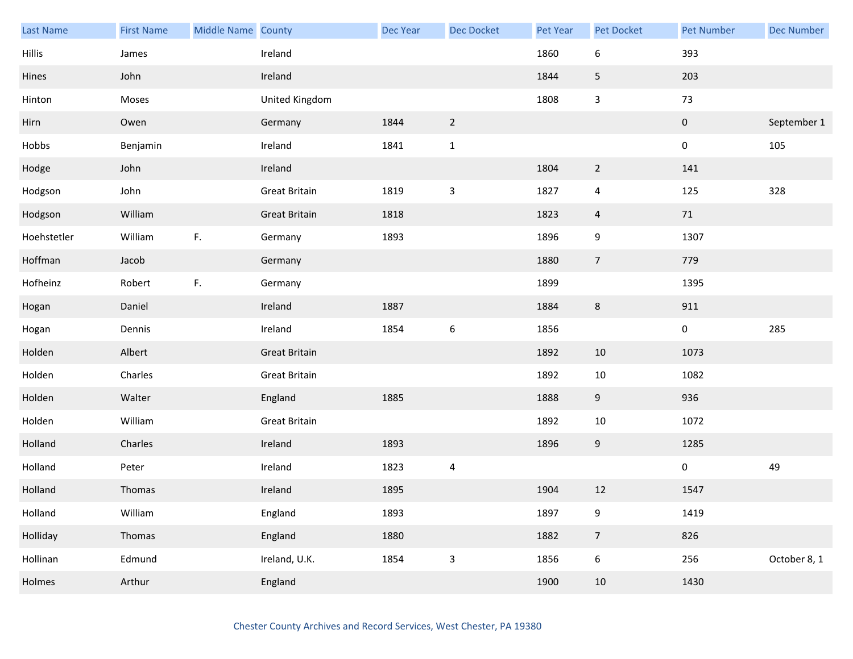| Last Name     | <b>First Name</b> | Middle Name County |                      | <b>Dec Year</b> | Dec Docket       | Pet Year | Pet Docket       | <b>Pet Number</b> | <b>Dec Number</b> |
|---------------|-------------------|--------------------|----------------------|-----------------|------------------|----------|------------------|-------------------|-------------------|
| <b>Hillis</b> | James             |                    | Ireland              |                 |                  | 1860     | 6                | 393               |                   |
| Hines         | John              |                    | Ireland              |                 |                  | 1844     | 5                | 203               |                   |
| Hinton        | Moses             |                    | United Kingdom       |                 |                  | 1808     | $\mathsf{3}$     | 73                |                   |
| Hirn          | Owen              |                    | Germany              | 1844            | $\overline{2}$   |          |                  | $\pmb{0}$         | September 1       |
| Hobbs         | Benjamin          |                    | Ireland              | 1841            | $\mathbf{1}$     |          |                  | $\pmb{0}$         | 105               |
| Hodge         | John              |                    | Ireland              |                 |                  | 1804     | $\overline{2}$   | 141               |                   |
| Hodgson       | John              |                    | <b>Great Britain</b> | 1819            | $\mathsf 3$      | 1827     | $\overline{4}$   | 125               | 328               |
| Hodgson       | William           |                    | <b>Great Britain</b> | 1818            |                  | 1823     | $\overline{4}$   | 71                |                   |
| Hoehstetler   | William           | F.                 | Germany              | 1893            |                  | 1896     | 9                | 1307              |                   |
| Hoffman       | Jacob             |                    | Germany              |                 |                  | 1880     | $\overline{7}$   | 779               |                   |
| Hofheinz      | Robert            | F.                 | Germany              |                 |                  | 1899     |                  | 1395              |                   |
| Hogan         | Daniel            |                    | Ireland              | 1887            |                  | 1884     | 8                | 911               |                   |
| Hogan         | Dennis            |                    | Ireland              | 1854            | $\boldsymbol{6}$ | 1856     |                  | $\pmb{0}$         | 285               |
| Holden        | Albert            |                    | <b>Great Britain</b> |                 |                  | 1892     | 10               | 1073              |                   |
| Holden        | Charles           |                    | Great Britain        |                 |                  | 1892     | $10\,$           | 1082              |                   |
| Holden        | Walter            |                    | England              | 1885            |                  | 1888     | 9                | 936               |                   |
| Holden        | William           |                    | <b>Great Britain</b> |                 |                  | 1892     | $10\,$           | 1072              |                   |
| Holland       | Charles           |                    | Ireland              | 1893            |                  | 1896     | 9                | 1285              |                   |
| Holland       | Peter             |                    | Ireland              | 1823            | 4                |          |                  | $\pmb{0}$         | 49                |
| Holland       | Thomas            |                    | Ireland              | 1895            |                  | 1904     | $12\,$           | 1547              |                   |
| Holland       | William           |                    | England              | 1893            |                  | 1897     | $\boldsymbol{9}$ | 1419              |                   |
| Holliday      | Thomas            |                    | England              | 1880            |                  | 1882     | $\overline{7}$   | 826               |                   |
| Hollinan      | Edmund            |                    | Ireland, U.K.        | 1854            | $\mathbf{3}$     | 1856     | $\boldsymbol{6}$ | 256               | October 8, 1      |
| Holmes        | Arthur            |                    | England              |                 |                  | 1900     | 10               | 1430              |                   |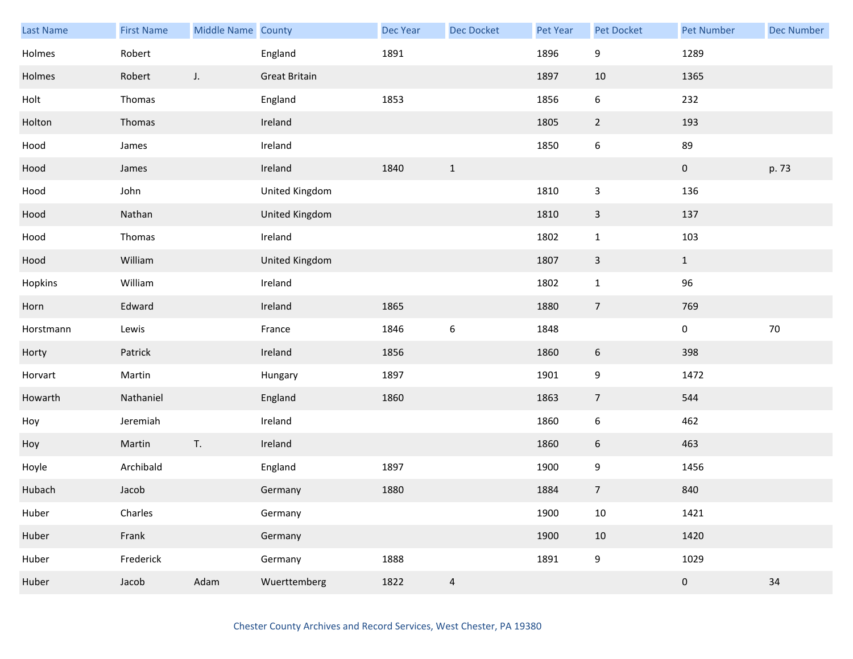| Last Name | <b>First Name</b> | <b>Middle Name County</b> |                      | Dec Year | Dec Docket       | Pet Year | Pet Docket       | Pet Number          | <b>Dec Number</b> |
|-----------|-------------------|---------------------------|----------------------|----------|------------------|----------|------------------|---------------------|-------------------|
| Holmes    | Robert            |                           | England              | 1891     |                  | 1896     | 9                | 1289                |                   |
| Holmes    | Robert            | J.                        | <b>Great Britain</b> |          |                  | 1897     | 10               | 1365                |                   |
| Holt      | Thomas            |                           | England              | 1853     |                  | 1856     | $\boldsymbol{6}$ | 232                 |                   |
| Holton    | Thomas            |                           | Ireland              |          |                  | 1805     | $\overline{2}$   | 193                 |                   |
| Hood      | James             |                           | Ireland              |          |                  | 1850     | $\boldsymbol{6}$ | 89                  |                   |
| Hood      | James             |                           | Ireland              | 1840     | $\mathbf{1}$     |          |                  | $\pmb{0}$           | p. 73             |
| Hood      | John              |                           | United Kingdom       |          |                  | 1810     | 3                | 136                 |                   |
| Hood      | Nathan            |                           | United Kingdom       |          |                  | 1810     | $\mathbf{3}$     | 137                 |                   |
| Hood      | Thomas            |                           | Ireland              |          |                  | 1802     | $\mathbf{1}$     | 103                 |                   |
| Hood      | William           |                           | United Kingdom       |          |                  | 1807     | $\mathbf{3}$     | $\mathbf{1}$        |                   |
| Hopkins   | William           |                           | Ireland              |          |                  | 1802     | $\mathbf 1$      | 96                  |                   |
| Horn      | Edward            |                           | Ireland              | 1865     |                  | 1880     | $\overline{7}$   | 769                 |                   |
| Horstmann | Lewis             |                           | France               | 1846     | $\boldsymbol{6}$ | 1848     |                  | $\mathbf 0$         | $70\,$            |
| Horty     | Patrick           |                           | Ireland              | 1856     |                  | 1860     | $\boldsymbol{6}$ | 398                 |                   |
| Horvart   | Martin            |                           | Hungary              | 1897     |                  | 1901     | $\boldsymbol{9}$ | 1472                |                   |
| Howarth   | Nathaniel         |                           | England              | 1860     |                  | 1863     | $\overline{7}$   | 544                 |                   |
| Hoy       | Jeremiah          |                           | Ireland              |          |                  | 1860     | $\boldsymbol{6}$ | 462                 |                   |
| Hoy       | Martin            | T.                        | Ireland              |          |                  | 1860     | $6\phantom{.}6$  | 463                 |                   |
| Hoyle     | Archibald         |                           | England              | 1897     |                  | 1900     | 9                | 1456                |                   |
| Hubach    | Jacob             |                           | Germany              | 1880     |                  | 1884     | $\sqrt{ }$       | 840                 |                   |
| Huber     | Charles           |                           | Germany              |          |                  | 1900     | $10\,$           | 1421                |                   |
| Huber     | Frank             |                           | Germany              |          |                  | 1900     | $10\,$           | 1420                |                   |
| Huber     | Frederick         |                           | Germany              | 1888     |                  | 1891     | $\boldsymbol{9}$ | 1029                |                   |
| Huber     | Jacob             | Adam                      | Wuerttemberg         | 1822     | $\overline{a}$   |          |                  | $\mathsf{O}\xspace$ | 34                |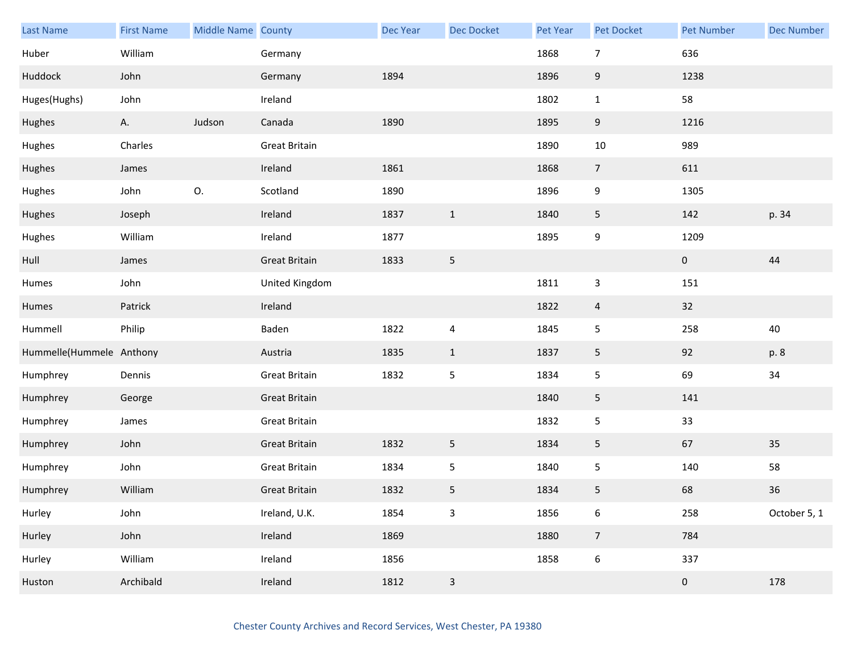| Last Name                | <b>First Name</b> | Middle Name County |                      | <b>Dec Year</b> | Dec Docket     | Pet Year | Pet Docket                | <b>Pet Number</b> | <b>Dec Number</b> |
|--------------------------|-------------------|--------------------|----------------------|-----------------|----------------|----------|---------------------------|-------------------|-------------------|
| Huber                    | William           |                    | Germany              |                 |                | 1868     | $\overline{7}$            | 636               |                   |
| Huddock                  | John              |                    | Germany              | 1894            |                | 1896     | $\boldsymbol{9}$          | 1238              |                   |
| Huges(Hughs)             | John              |                    | Ireland              |                 |                | 1802     | $\mathbf{1}$              | 58                |                   |
| Hughes                   | A.                | Judson             | Canada               | 1890            |                | 1895     | 9                         | 1216              |                   |
| Hughes                   | Charles           |                    | <b>Great Britain</b> |                 |                | 1890     | $10\,$                    | 989               |                   |
| Hughes                   | James             |                    | Ireland              | 1861            |                | 1868     | $\overline{7}$            | 611               |                   |
| Hughes                   | John              | 0.                 | Scotland             | 1890            |                | 1896     | 9                         | 1305              |                   |
| Hughes                   | Joseph            |                    | Ireland              | 1837            | $\mathbf{1}$   | 1840     | 5                         | 142               | p. 34             |
| Hughes                   | William           |                    | Ireland              | 1877            |                | 1895     | 9                         | 1209              |                   |
| Hull                     | James             |                    | <b>Great Britain</b> | 1833            | $\sqrt{5}$     |          |                           | $\pmb{0}$         | $44\,$            |
| Humes                    | John              |                    | United Kingdom       |                 |                | 1811     | $\ensuremath{\mathsf{3}}$ | 151               |                   |
| Humes                    | Patrick           |                    | Ireland              |                 |                | 1822     | $\overline{4}$            | 32                |                   |
| Hummell                  | Philip            |                    | Baden                | 1822            | $\overline{4}$ | 1845     | 5                         | 258               | 40                |
| Hummelle(Hummele Anthony |                   |                    | Austria              | 1835            | $\mathbf{1}$   | 1837     | $5\phantom{.0}$           | 92                | p. 8              |
| Humphrey                 | Dennis            |                    | <b>Great Britain</b> | 1832            | $\mathsf S$    | 1834     | 5                         | 69                | 34                |
| Humphrey                 | George            |                    | <b>Great Britain</b> |                 |                | 1840     | 5                         | 141               |                   |
| Humphrey                 | James             |                    | <b>Great Britain</b> |                 |                | 1832     | 5                         | 33                |                   |
| Humphrey                 | John              |                    | <b>Great Britain</b> | 1832            | 5              | 1834     | 5                         | 67                | 35                |
| Humphrey                 | John              |                    | <b>Great Britain</b> | 1834            | $\sqrt{5}$     | 1840     | 5                         | 140               | 58                |
| Humphrey                 | William           |                    | <b>Great Britain</b> | 1832            | 5              | 1834     | 5                         | 68                | $36\,$            |
| Hurley                   | John              |                    | Ireland, U.K.        | 1854            | $\mathbf{3}$   | 1856     | $\boldsymbol{6}$          | 258               | October 5, 1      |
| Hurley                   | John              |                    | Ireland              | 1869            |                | 1880     | $\overline{7}$            | 784               |                   |
| Hurley                   | William           |                    | Ireland              | 1856            |                | 1858     | $\boldsymbol{6}$          | 337               |                   |
| Huston                   | Archibald         |                    | Ireland              | 1812            | $\mathbf{3}$   |          |                           | $\pmb{0}$         | 178               |